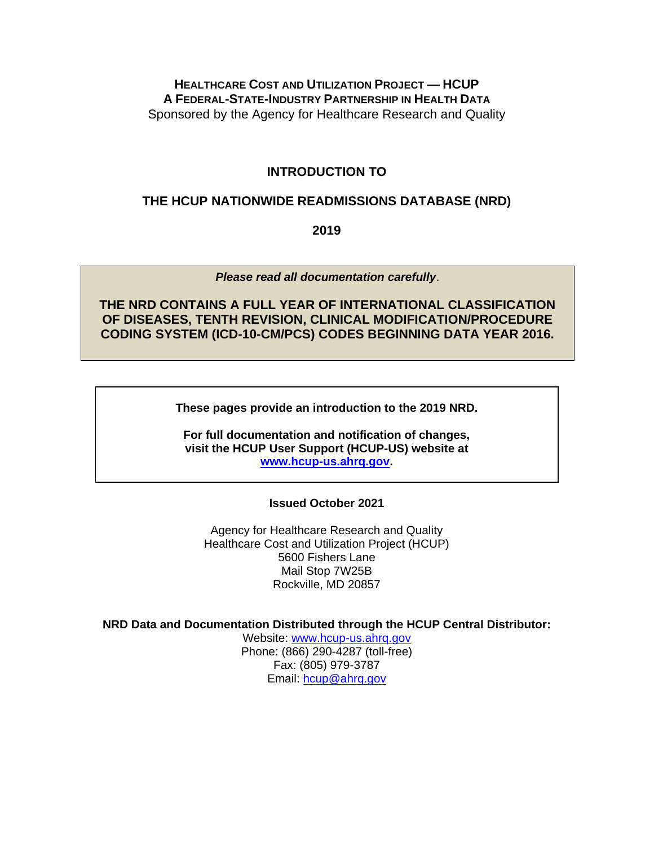## **HEALTHCARE COST AND UTILIZATION PROJECT — HCUP A FEDERAL-STATE-INDUSTRY PARTNERSHIP IN HEALTH DATA** Sponsored by the Agency for Healthcare Research and Quality

## **INTRODUCTION TO**

## **THE HCUP NATIONWIDE READMISSIONS DATABASE (NRD)**

**2019**

*Please read all documentation carefully*.

**THE NRD CONTAINS A FULL YEAR OF INTERNATIONAL CLASSIFICATION OF DISEASES, TENTH REVISION, CLINICAL MODIFICATION/PROCEDURE CODING SYSTEM (ICD-10-CM/PCS) CODES BEGINNING DATA YEAR 2016.**

**These pages provide an introduction to the 2019 NRD.**

**For full documentation and notification of changes, visit the HCUP User Support (HCUP-US) website at [www.hcup-us.ahrq.gov.](http://www.hcup-us.ahrq.gov/)**

**Issued October 2021**

Agency for Healthcare Research and Quality Healthcare Cost and Utilization Project (HCUP) 5600 Fishers Lane Mail Stop 7W25B Rockville, MD 20857

**NRD Data and Documentation Distributed through the HCUP Central Distributor:**

Website: [www.hcup-us.ahrq.gov](http://www.hcup-us.ahrq.gov/) Phone: (866) 290-4287 (toll-free) Fax: (805) 979-3787 Email: [hcup@ahrq.gov](mailto:hcup@ahrq.gov)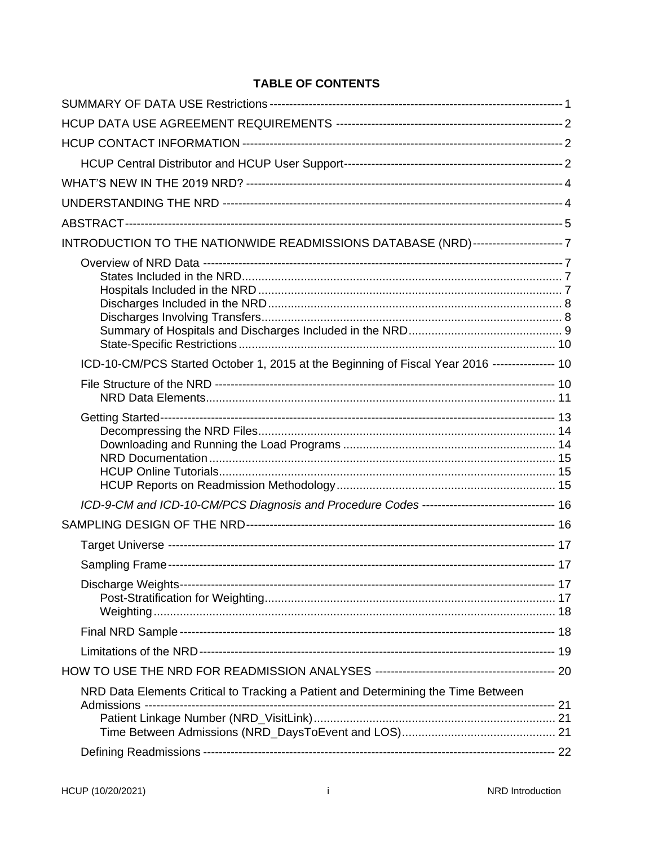## **TABLE OF CONTENTS**

| INTRODUCTION TO THE NATIONWIDE READMISSIONS DATABASE (NRD)----------------------7              |  |
|------------------------------------------------------------------------------------------------|--|
|                                                                                                |  |
| ICD-10-CM/PCS Started October 1, 2015 at the Beginning of Fiscal Year 2016 ---------------- 10 |  |
|                                                                                                |  |
|                                                                                                |  |
| ICD-9-CM and ICD-10-CM/PCS Diagnosis and Procedure Codes -------------------------------- 16   |  |
|                                                                                                |  |
|                                                                                                |  |
|                                                                                                |  |
|                                                                                                |  |
|                                                                                                |  |
|                                                                                                |  |
|                                                                                                |  |
| NRD Data Elements Critical to Tracking a Patient and Determining the Time Between              |  |
|                                                                                                |  |
|                                                                                                |  |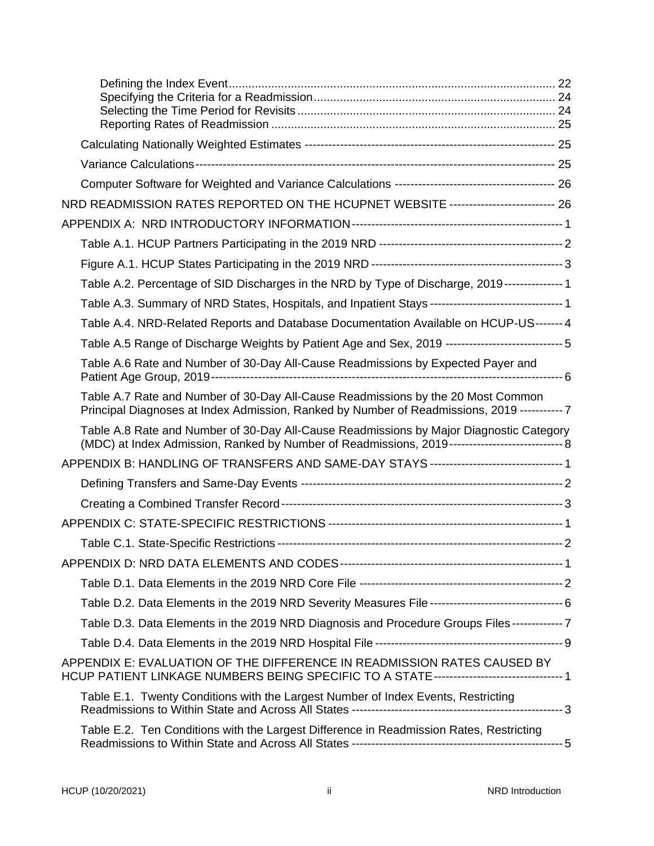| NRD READMISSION RATES REPORTED ON THE HCUPNET WEBSITE -------------------------- 26                                                                                                              |  |
|--------------------------------------------------------------------------------------------------------------------------------------------------------------------------------------------------|--|
|                                                                                                                                                                                                  |  |
|                                                                                                                                                                                                  |  |
|                                                                                                                                                                                                  |  |
| Table A.2. Percentage of SID Discharges in the NRD by Type of Discharge, 2019--------------- 1                                                                                                   |  |
| Table A.3. Summary of NRD States, Hospitals, and Inpatient Stays --------------------------------- 1                                                                                             |  |
| Table A.4. NRD-Related Reports and Database Documentation Available on HCUP-US------- 4                                                                                                          |  |
| Table A.5 Range of Discharge Weights by Patient Age and Sex, 2019 ---------------------------- 5                                                                                                 |  |
| Table A.6 Rate and Number of 30-Day All-Cause Readmissions by Expected Payer and                                                                                                                 |  |
| Table A.7 Rate and Number of 30-Day All-Cause Readmissions by the 20 Most Common<br>Principal Diagnoses at Index Admission, Ranked by Number of Readmissions, 2019 ----------- 7                 |  |
| Table A.8 Rate and Number of 30-Day All-Cause Readmissions by Major Diagnostic Category<br>(MDC) at Index Admission, Ranked by Number of Readmissions, 2019----------------------------------- 8 |  |
| APPENDIX B: HANDLING OF TRANSFERS AND SAME-DAY STAYS --------------------------------- 1                                                                                                         |  |
|                                                                                                                                                                                                  |  |
|                                                                                                                                                                                                  |  |
|                                                                                                                                                                                                  |  |
|                                                                                                                                                                                                  |  |
|                                                                                                                                                                                                  |  |
|                                                                                                                                                                                                  |  |
| Table D.2. Data Elements in the 2019 NRD Severity Measures File ----------------------------------- 6                                                                                            |  |
| Table D.3. Data Elements in the 2019 NRD Diagnosis and Procedure Groups Files ------------- 7                                                                                                    |  |
|                                                                                                                                                                                                  |  |
| APPENDIX E: EVALUATION OF THE DIFFERENCE IN READMISSION RATES CAUSED BY<br>HCUP PATIENT LINKAGE NUMBERS BEING SPECIFIC TO A STATE--------------------------------- 1                             |  |
| Table E.1. Twenty Conditions with the Largest Number of Index Events, Restricting                                                                                                                |  |
| Table E.2. Ten Conditions with the Largest Difference in Readmission Rates, Restricting                                                                                                          |  |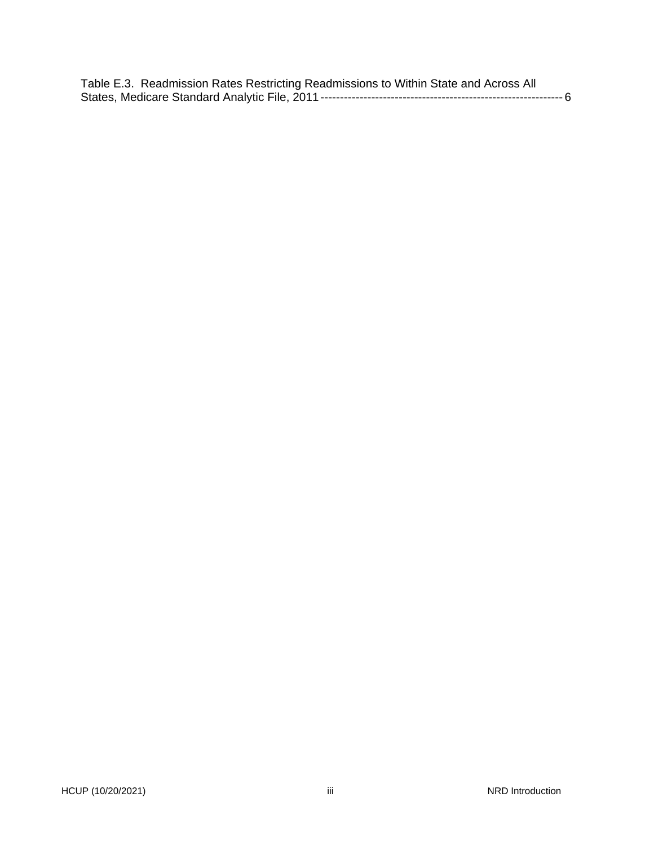|  | Table E.3. Readmission Rates Restricting Readmissions to Within State and Across All |  |
|--|--------------------------------------------------------------------------------------|--|
|  |                                                                                      |  |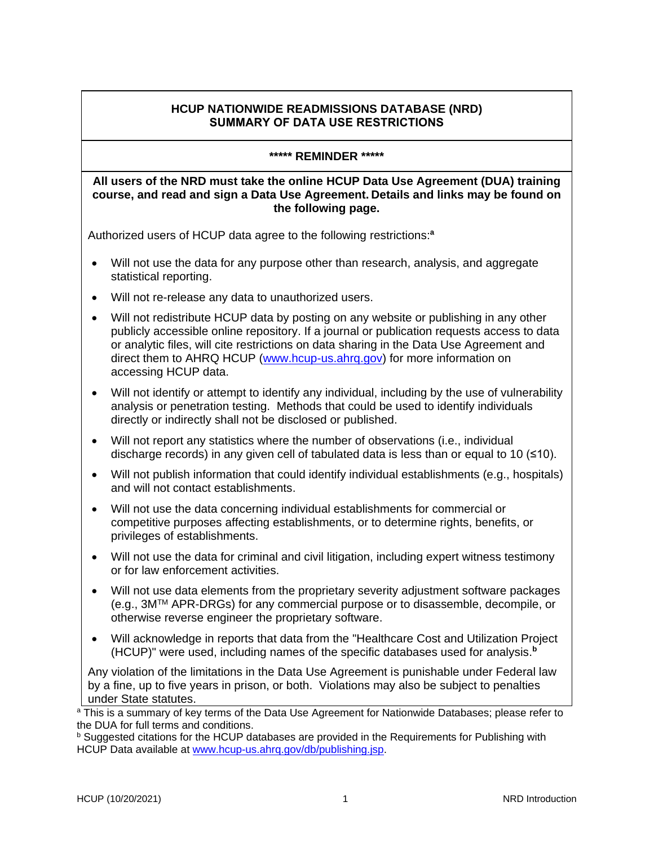#### **HCUP NATIONWIDE READMISSIONS DATABASE (NRD) SUMMARY OF DATA USE RESTRICTIONS**

#### **\*\*\*\*\* REMINDER \*\*\*\*\***

#### <span id="page-4-0"></span>**All users of the NRD must take the online HCUP Data Use Agreement (DUA) training course, and read and sign a Data Use Agreement. Details and links may be found on the following page.**

Authorized users of HCUP data agree to the following restrictions:**<sup>a</sup>**

- Will not use the data for any purpose other than research, analysis, and aggregate statistical reporting.
- Will not re-release any data to unauthorized users.
- Will not redistribute HCUP data by posting on any website or publishing in any other publicly accessible online repository. If a journal or publication requests access to data or analytic files, will cite restrictions on data sharing in the Data Use Agreement and direct them to AHRQ HCUP [\(www.hcup-us.ahrq.gov\)](https://www.hcup-us.ahrq.gov/) for more information on accessing HCUP data.
- Will not identify or attempt to identify any individual, including by the use of vulnerability analysis or penetration testing. Methods that could be used to identify individuals directly or indirectly shall not be disclosed or published.
- Will not report any statistics where the number of observations (i.e., individual discharge records) in any given cell of tabulated data is less than or equal to 10  $(\leq 10)$ .
- Will not publish information that could identify individual establishments (e.g., hospitals) and will not contact establishments.
- Will not use the data concerning individual establishments for commercial or competitive purposes affecting establishments, or to determine rights, benefits, or privileges of establishments.
- Will not use the data for criminal and civil litigation, including expert witness testimony or for law enforcement activities.
- Will not use data elements from the proprietary severity adjustment software packages (e.g., 3MTM APR-DRGs) for any commercial purpose or to disassemble, decompile, or otherwise reverse engineer the proprietary software.
- Will acknowledge in reports that data from the "Healthcare Cost and Utilization Project (HCUP)" were used, including names of the specific databases used for analysis. **b**

Any violation of the limitations in the Data Use Agreement is punishable under Federal law by a fine, up to five years in prison, or both. Violations may also be subject to penalties under State statutes.

<sup>&</sup>lt;sup>a</sup> This is a summary of key terms of the Data Use Agreement for Nationwide Databases; please refer to the DUA for full terms and conditions.

 $<sup>b</sup>$  Suggested citations for the HCUP databases are provided in the Requirements for Publishing with</sup> HCUP Data available at [www.hcup-us.ahrq.gov/db/publishing.jsp.](https://www.hcup-us.ahrq.gov/db/publishing.jsp)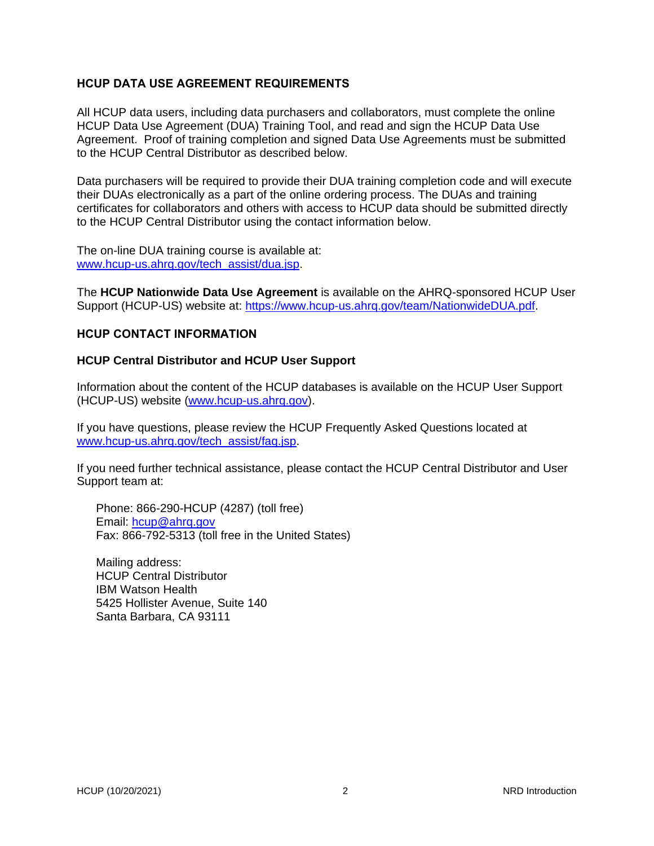#### <span id="page-5-0"></span>**HCUP DATA USE AGREEMENT REQUIREMENTS**

All HCUP data users, including data purchasers and collaborators, must complete the online HCUP Data Use Agreement (DUA) Training Tool, and read and sign the HCUP Data Use Agreement. Proof of training completion and signed Data Use Agreements must be submitted to the HCUP Central Distributor as described below.

Data purchasers will be required to provide their DUA training completion code and will execute their DUAs electronically as a part of the online ordering process. The DUAs and training certificates for collaborators and others with access to HCUP data should be submitted directly to the HCUP Central Distributor using the contact information below.

The on-line DUA training course is available at: www.hcup-us.ahrg.gov/tech\_assist/dua.jsp.

The **HCUP Nationwide Data Use Agreement** is available on the AHRQ-sponsored HCUP User Support (HCUP-US) website at: [https://www.hcup-us.ahrq.gov/team/NationwideDUA.pdf.](https://www.hcup-us.ahrq.gov/team/NationwideDUA.pdf)

#### <span id="page-5-1"></span>**HCUP CONTACT INFORMATION**

#### <span id="page-5-2"></span>**HCUP Central Distributor and HCUP User Support**

Information about the content of the HCUP databases is available on the HCUP User Support (HCUP-US) website [\(www.hcup-us.ahrq.gov\)](http://www.hcup-us.ahrq.gov/).

If you have questions, please review the HCUP Frequently Asked Questions located at [www.hcup-us.ahrq.gov/tech\\_assist/faq.jsp.](http://www.hcup-us.ahrq.gov/tech_assist/faq.jsp)

If you need further technical assistance, please contact the HCUP Central Distributor and User Support team at:

Phone: 866-290-HCUP (4287) (toll free) Email: [hcup@ahrq.gov](mailto:hcup@ahrq.gov) Fax: 866-792-5313 (toll free in the United States)

Mailing address: HCUP Central Distributor IBM Watson Health 5425 Hollister Avenue, Suite 140 Santa Barbara, CA 93111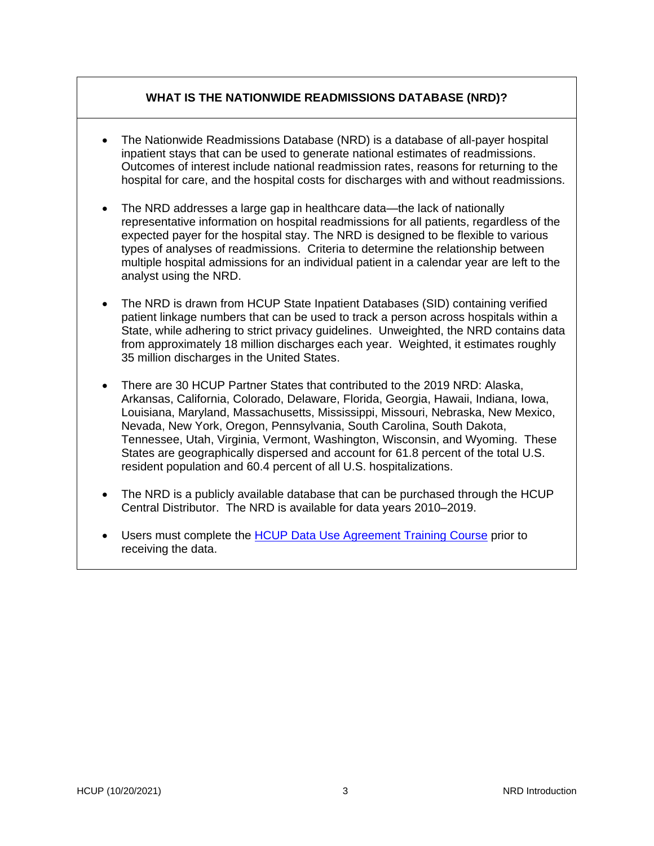## **WHAT IS THE NATIONWIDE READMISSIONS DATABASE (NRD)?**

- The Nationwide Readmissions Database (NRD) is a database of all-payer hospital inpatient stays that can be used to generate national estimates of readmissions. Outcomes of interest include national readmission rates, reasons for returning to the hospital for care, and the hospital costs for discharges with and without readmissions.
- The NRD addresses a large gap in healthcare data—the lack of nationally representative information on hospital readmissions for all patients, regardless of the expected payer for the hospital stay. The NRD is designed to be flexible to various types of analyses of readmissions. Criteria to determine the relationship between multiple hospital admissions for an individual patient in a calendar year are left to the analyst using the NRD.
- The NRD is drawn from HCUP State Inpatient Databases (SID) containing verified patient linkage numbers that can be used to track a person across hospitals within a State, while adhering to strict privacy guidelines. Unweighted, the NRD contains data from approximately 18 million discharges each year. Weighted, it estimates roughly 35 million discharges in the United States.
- There are 30 HCUP Partner States that contributed to the 2019 NRD: Alaska, Arkansas, California, Colorado, Delaware, Florida, Georgia, Hawaii, Indiana, Iowa, Louisiana, Maryland, Massachusetts, Mississippi, Missouri, Nebraska, New Mexico, Nevada, New York, Oregon, Pennsylvania, South Carolina, South Dakota, Tennessee, Utah, Virginia, Vermont, Washington, Wisconsin, and Wyoming. These States are geographically dispersed and account for 61.8 percent of the total U.S. resident population and 60.4 percent of all U.S. hospitalizations.
- The NRD is a publicly available database that can be purchased through the HCUP Central Distributor. The NRD is available for data years 2010–2019.
- Users must complete the HCUP [Data Use Agreement Training Course](https://www.hcup-us.ahrq.gov/tech_assist/dua.jsp) prior to receiving the data.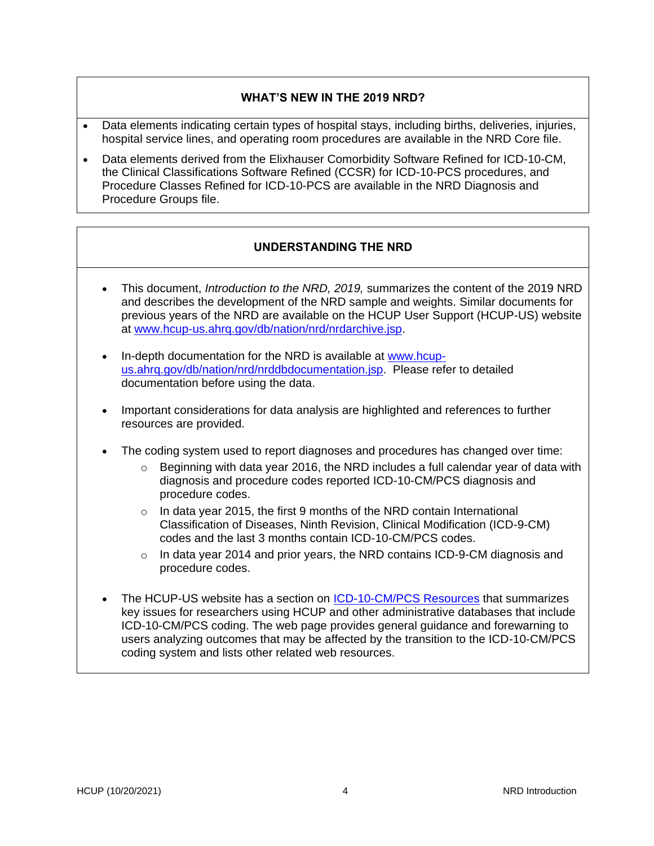## **WHAT'S NEW IN THE 2019 NRD?**

- <span id="page-7-0"></span>• Data elements indicating certain types of hospital stays, including births, deliveries, injuries, hospital service lines, and operating room procedures are available in the NRD Core file.
- Data elements derived from the Elixhauser Comorbidity Software Refined for ICD-10-CM, the Clinical Classifications Software Refined (CCSR) for ICD-10-PCS procedures, and Procedure Classes Refined for ICD-10-PCS are available in the NRD Diagnosis and Procedure Groups file.

## **UNDERSTANDING THE NRD**

- <span id="page-7-1"></span>• This document, *Introduction to the NRD, 2019,* summarizes the content of the 2019 NRD and describes the development of the NRD sample and weights. Similar documents for previous years of the NRD are available on the HCUP User Support (HCUP-US) website at [www.hcup-us.ahrq.gov/db/nation/nrd/nrdarchive.jsp.](http://www.hcup-us.ahrq.gov/db/nation/nrd/nrdarchive.jsp)
- In-depth documentation for the NRD is available at [www.hcup](https://www.hcup-us.ahrq.gov/db/nation/nrd/nrddbdocumentation.jsp)[us.ahrq.gov/db/nation/nrd/nrddbdocumentation.jsp.](https://www.hcup-us.ahrq.gov/db/nation/nrd/nrddbdocumentation.jsp) Please refer to detailed documentation before using the data.
- Important considerations for data analysis are highlighted and references to further resources are provided.
- The coding system used to report diagnoses and procedures has changed over time:
	- $\circ$  Beginning with data year 2016, the NRD includes a full calendar year of data with diagnosis and procedure codes reported ICD-10-CM/PCS diagnosis and procedure codes.
	- o In data year 2015, the first 9 months of the NRD contain International Classification of Diseases, Ninth Revision, Clinical Modification (ICD-9-CM) codes and the last 3 months contain ICD-10-CM/PCS codes.
	- $\circ$  In data year 2014 and prior years, the NRD contains ICD-9-CM diagnosis and procedure codes.
- The HCUP-US website has a section on **ICD-10-CM/PCS Resources** that summarizes key issues for researchers using HCUP and other administrative databases that include ICD-10-CM/PCS coding. The web page provides general guidance and forewarning to users analyzing outcomes that may be affected by the transition to the ICD-10-CM/PCS coding system and lists other related web resources.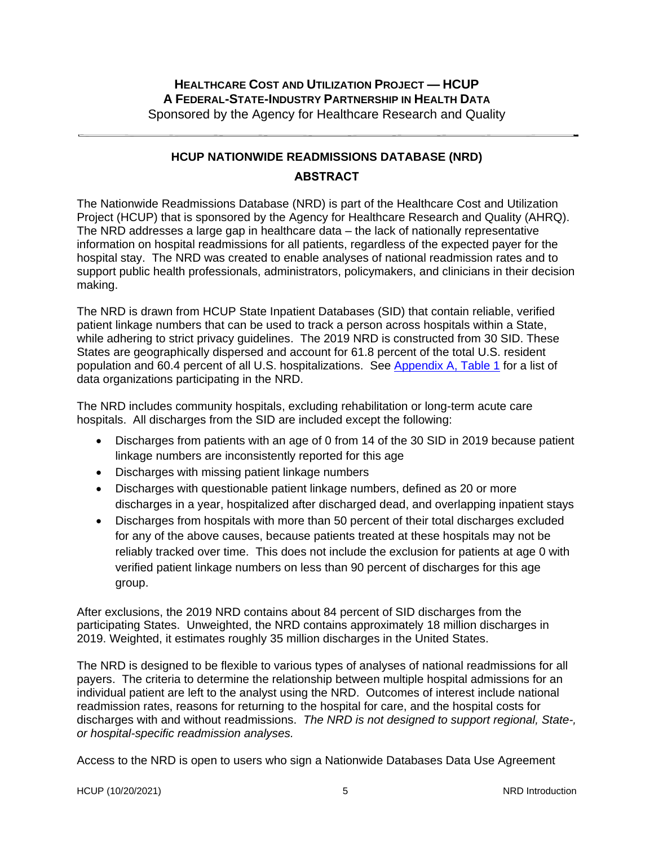## **HEALTHCARE COST AND UTILIZATION PROJECT — HCUP A FEDERAL-STATE-INDUSTRY PARTNERSHIP IN HEALTH DATA** Sponsored by the Agency for Healthcare Research and Quality

## **HCUP NATIONWIDE READMISSIONS DATABASE (NRD) ABSTRACT**

<span id="page-8-0"></span>The Nationwide Readmissions Database (NRD) is part of the Healthcare Cost and Utilization Project (HCUP) that is sponsored by the Agency for Healthcare Research and Quality (AHRQ). The NRD addresses a large gap in healthcare data – the lack of nationally representative information on hospital readmissions for all patients, regardless of the expected payer for the hospital stay. The NRD was created to enable analyses of national readmission rates and to support public health professionals, administrators, policymakers, and clinicians in their decision making.

The NRD is drawn from HCUP State Inpatient Databases (SID) that contain reliable, verified patient linkage numbers that can be used to track a person across hospitals within a State, while adhering to strict privacy guidelines. The 2019 NRD is constructed from 30 SID. These States are geographically dispersed and account for 61.8 percent of the total U.S. resident population and 60.4 percent of all U.S. hospitalizations. See [Appendix A, Table 1](#page-33-0) for a list of data organizations participating in the NRD.

The NRD includes community hospitals, excluding rehabilitation or long-term acute care hospitals. All discharges from the SID are included except the following:

- Discharges from patients with an age of 0 from 14 of the 30 SID in 2019 because patient linkage numbers are inconsistently reported for this age
- Discharges with missing patient linkage numbers
- Discharges with questionable patient linkage numbers, defined as 20 or more discharges in a year, hospitalized after discharged dead, and overlapping inpatient stays
- Discharges from hospitals with more than 50 percent of their total discharges excluded for any of the above causes, because patients treated at these hospitals may not be reliably tracked over time. This does not include the exclusion for patients at age 0 with verified patient linkage numbers on less than 90 percent of discharges for this age group.

After exclusions, the 2019 NRD contains about 84 percent of SID discharges from the participating States. Unweighted, the NRD contains approximately 18 million discharges in 2019. Weighted, it estimates roughly 35 million discharges in the United States.

The NRD is designed to be flexible to various types of analyses of national readmissions for all payers. The criteria to determine the relationship between multiple hospital admissions for an individual patient are left to the analyst using the NRD. Outcomes of interest include national readmission rates, reasons for returning to the hospital for care, and the hospital costs for discharges with and without readmissions. *The NRD is not designed to support regional, State-, or hospital-specific readmission analyses.* 

Access to the NRD is open to users who sign a Nationwide Databases Data Use Agreement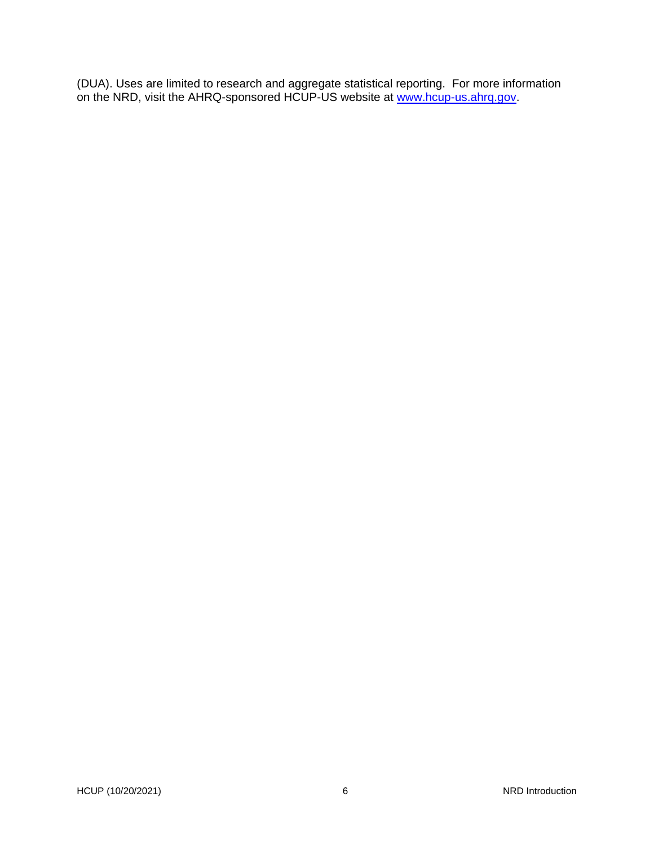(DUA). Uses are limited to research and aggregate statistical reporting. For more information on the NRD, visit the AHRQ-sponsored HCUP-US website at [www.hcup-us.ahrq.gov.](http://www.hcup-us.ahrq.gov/)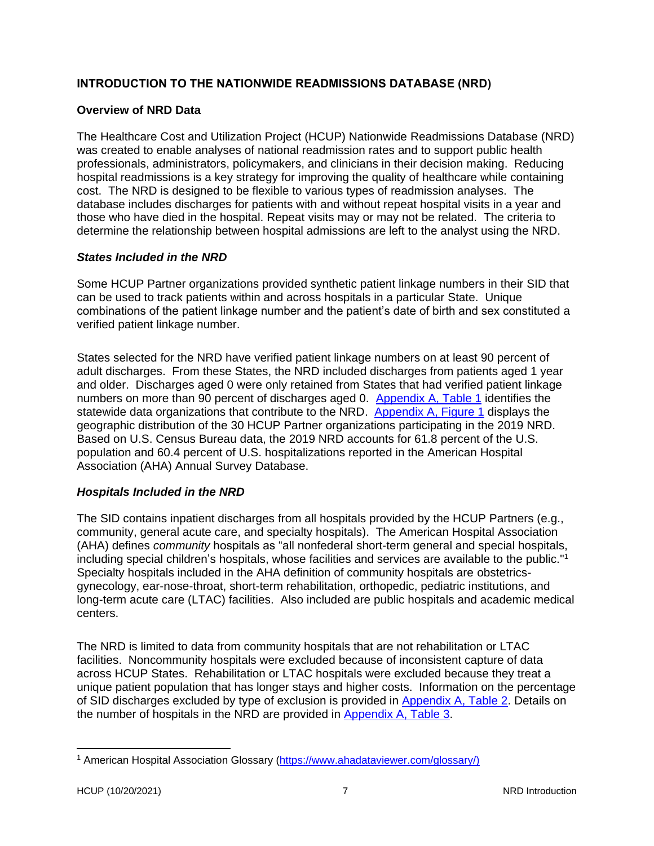## <span id="page-10-0"></span>**INTRODUCTION TO THE NATIONWIDE READMISSIONS DATABASE (NRD)**

## <span id="page-10-1"></span>**Overview of NRD Data**

The Healthcare Cost and Utilization Project (HCUP) Nationwide Readmissions Database (NRD) was created to enable analyses of national readmission rates and to support public health professionals, administrators, policymakers, and clinicians in their decision making. Reducing hospital readmissions is a key strategy for improving the quality of healthcare while containing cost. The NRD is designed to be flexible to various types of readmission analyses. The database includes discharges for patients with and without repeat hospital visits in a year and those who have died in the hospital. Repeat visits may or may not be related. The criteria to determine the relationship between hospital admissions are left to the analyst using the NRD.

#### <span id="page-10-2"></span>*States Included in the NRD*

Some HCUP Partner organizations provided synthetic patient linkage numbers in their SID that can be used to track patients within and across hospitals in a particular State. Unique combinations of the patient linkage number and the patient's date of birth and sex constituted a verified patient linkage number.

States selected for the NRD have verified patient linkage numbers on at least 90 percent of adult discharges. From these States, the NRD included discharges from patients aged 1 year and older. Discharges aged 0 were only retained from States that had verified patient linkage numbers on more than 90 percent of discharges aged 0. [Appendix A, Table 1](#page-33-0) identifies the statewide data organizations that contribute to the NRD. [Appendix A, Figure 1](#page-34-0) displays the geographic distribution of the 30 HCUP Partner organizations participating in the 2019 NRD. Based on U.S. Census Bureau data, the 2019 NRD accounts for 61.8 percent of the U.S. population and 60.4 percent of U.S. hospitalizations reported in the American Hospital Association (AHA) Annual Survey Database.

## <span id="page-10-3"></span>*Hospitals Included in the NRD*

The SID contains inpatient discharges from all hospitals provided by the HCUP Partners (e.g., community, general acute care, and specialty hospitals). The American Hospital Association (AHA) defines *community* hospitals as "all nonfederal short-term general and special hospitals, including special children's hospitals, whose facilities and services are available to the public." 1 Specialty hospitals included in the AHA definition of community hospitals are obstetricsgynecology, ear-nose-throat, short-term rehabilitation, orthopedic, pediatric institutions, and long-term acute care (LTAC) facilities. Also included are public hospitals and academic medical centers.

The NRD is limited to data from community hospitals that are not rehabilitation or LTAC facilities. Noncommunity hospitals were excluded because of inconsistent capture of data across HCUP States. Rehabilitation or LTAC hospitals were excluded because they treat a unique patient population that has longer stays and higher costs. Information on the percentage of SID discharges excluded by type of exclusion is provided in [Appendix A, Table 2.](#page-35-0) Details on the number of hospitals in the NRD are provided in [Appendix A, Table 3.](#page-35-1)

<sup>1</sup> American Hospital Association Glossary [\(https://www.ahadataviewer.com/glossary/\)](https://www.ahadataviewer.com/glossary/)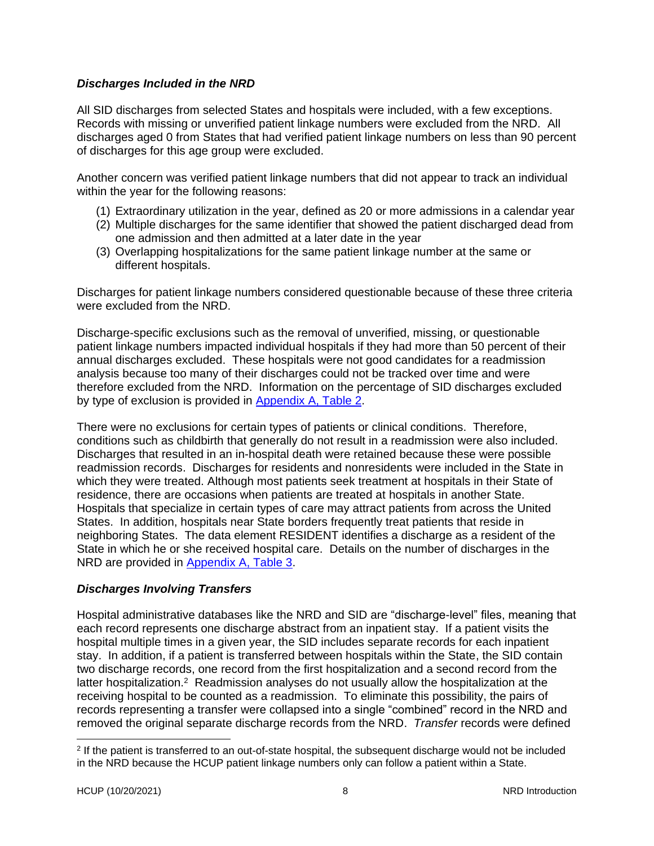#### <span id="page-11-0"></span>*Discharges Included in the NRD*

All SID discharges from selected States and hospitals were included, with a few exceptions. Records with missing or unverified patient linkage numbers were excluded from the NRD. All discharges aged 0 from States that had verified patient linkage numbers on less than 90 percent of discharges for this age group were excluded.

Another concern was verified patient linkage numbers that did not appear to track an individual within the year for the following reasons:

- (1) Extraordinary utilization in the year, defined as 20 or more admissions in a calendar year
- (2) Multiple discharges for the same identifier that showed the patient discharged dead from one admission and then admitted at a later date in the year
- (3) Overlapping hospitalizations for the same patient linkage number at the same or different hospitals.

Discharges for patient linkage numbers considered questionable because of these three criteria were excluded from the NRD.

Discharge-specific exclusions such as the removal of unverified, missing, or questionable patient linkage numbers impacted individual hospitals if they had more than 50 percent of their annual discharges excluded. These hospitals were not good candidates for a readmission analysis because too many of their discharges could not be tracked over time and were therefore excluded from the NRD. Information on the percentage of SID discharges excluded by type of exclusion is provided in [Appendix A, Table 2.](#page-35-0)

There were no exclusions for certain types of patients or clinical conditions. Therefore, conditions such as childbirth that generally do not result in a readmission were also included. Discharges that resulted in an in-hospital death were retained because these were possible readmission records. Discharges for residents and nonresidents were included in the State in which they were treated. Although most patients seek treatment at hospitals in their State of residence, there are occasions when patients are treated at hospitals in another State. Hospitals that specialize in certain types of care may attract patients from across the United States. In addition, hospitals near State borders frequently treat patients that reside in neighboring States. The data element RESIDENT identifies a discharge as a resident of the State in which he or she received hospital care. Details on the number of discharges in the NRD are provided in [Appendix A, Table 3.](#page-34-1)

## <span id="page-11-1"></span>*Discharges Involving Transfers*

Hospital administrative databases like the NRD and SID are "discharge-level" files, meaning that each record represents one discharge abstract from an inpatient stay. If a patient visits the hospital multiple times in a given year, the SID includes separate records for each inpatient stay. In addition, if a patient is transferred between hospitals within the State, the SID contain two discharge records, one record from the first hospitalization and a second record from the latter hospitalization.<sup>2</sup> Readmission analyses do not usually allow the hospitalization at the receiving hospital to be counted as a readmission. To eliminate this possibility, the pairs of records representing a transfer were collapsed into a single "combined" record in the NRD and removed the original separate discharge records from the NRD. *Transfer* records were defined

<sup>&</sup>lt;sup>2</sup> If the patient is transferred to an out-of-state hospital, the subsequent discharge would not be included in the NRD because the HCUP patient linkage numbers only can follow a patient within a State.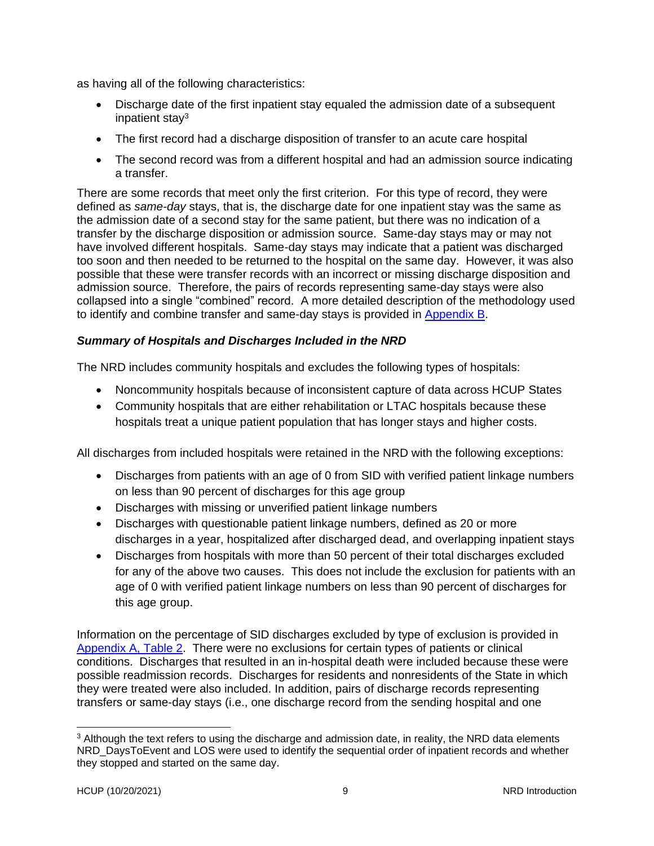as having all of the following characteristics:

- Discharge date of the first inpatient stay equaled the admission date of a subsequent inpatient stay<sup>3</sup>
- The first record had a discharge disposition of transfer to an acute care hospital
- The second record was from a different hospital and had an admission source indicating a transfer.

There are some records that meet only the first criterion. For this type of record, they were defined as *same-day* stays, that is, the discharge date for one inpatient stay was the same as the admission date of a second stay for the same patient, but there was no indication of a transfer by the discharge disposition or admission source. Same-day stays may or may not have involved different hospitals. Same-day stays may indicate that a patient was discharged too soon and then needed to be returned to the hospital on the same day. However, it was also possible that these were transfer records with an incorrect or missing discharge disposition and admission source. Therefore, the pairs of records representing same-day stays were also collapsed into a single "combined" record. A more detailed description of the methodology used to identify and combine transfer and same-day stays is provided in [Appendix B.](#page-44-0)

#### <span id="page-12-0"></span>*Summary of Hospitals and Discharges Included in the NRD*

The NRD includes community hospitals and excludes the following types of hospitals:

- Noncommunity hospitals because of inconsistent capture of data across HCUP States
- Community hospitals that are either rehabilitation or LTAC hospitals because these hospitals treat a unique patient population that has longer stays and higher costs.

All discharges from included hospitals were retained in the NRD with the following exceptions:

- Discharges from patients with an age of 0 from SID with verified patient linkage numbers on less than 90 percent of discharges for this age group
- Discharges with missing or unverified patient linkage numbers
- Discharges with questionable patient linkage numbers, defined as 20 or more discharges in a year, hospitalized after discharged dead, and overlapping inpatient stays
- Discharges from hospitals with more than 50 percent of their total discharges excluded for any of the above two causes. This does not include the exclusion for patients with an age of 0 with verified patient linkage numbers on less than 90 percent of discharges for this age group.

Information on the percentage of SID discharges excluded by type of exclusion is provided in [Appendix A, Table 2.](#page-35-0) There were no exclusions for certain types of patients or clinical conditions. Discharges that resulted in an in-hospital death were included because these were possible readmission records. Discharges for residents and nonresidents of the State in which they were treated were also included. In addition, pairs of discharge records representing transfers or same-day stays (i.e., one discharge record from the sending hospital and one

<sup>&</sup>lt;sup>3</sup> Although the text refers to using the discharge and admission date, in reality, the NRD data elements NRD\_DaysToEvent and LOS were used to identify the sequential order of inpatient records and whether they stopped and started on the same day.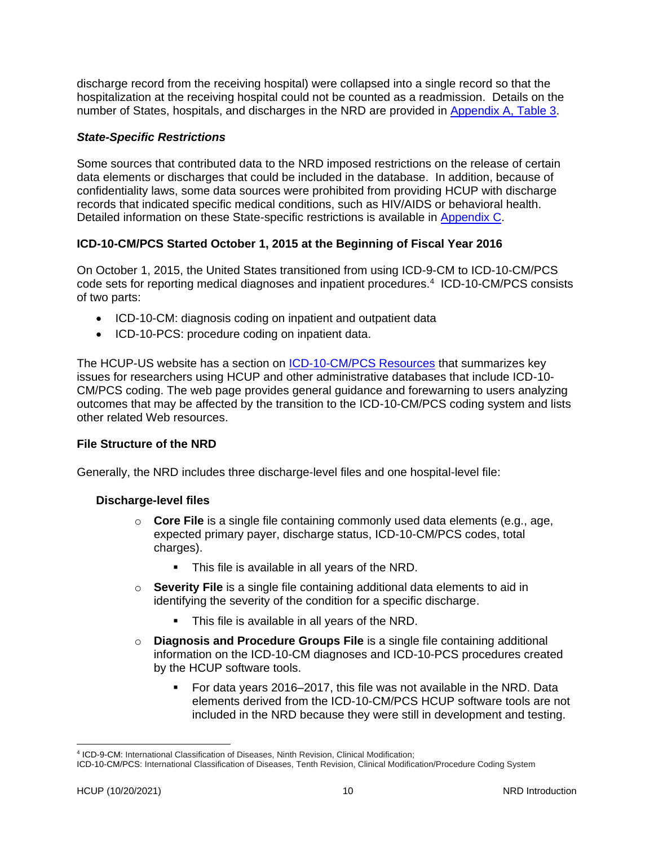discharge record from the receiving hospital) were collapsed into a single record so that the hospitalization at the receiving hospital could not be counted as a readmission. Details on the number of States, hospitals, and discharges in the NRD are provided in [Appendix A, Table 3.](#page-34-1)

#### <span id="page-13-0"></span>*State-Specific Restrictions*

Some sources that contributed data to the NRD imposed restrictions on the release of certain data elements or discharges that could be included in the database. In addition, because of confidentiality laws, some data sources were prohibited from providing HCUP with discharge records that indicated specific medical conditions, such as HIV/AIDS or behavioral health. Detailed information on these State-specific restrictions is available in [Appendix C.](#page-49-0)

## <span id="page-13-1"></span>**ICD-10-CM/PCS Started October 1, 2015 at the Beginning of Fiscal Year 2016**

On October 1, 2015, the United States transitioned from using ICD-9-CM to ICD-10-CM/PCS code sets for reporting medical diagnoses and inpatient procedures.<sup>4</sup> ICD-10-CM/PCS consists of two parts:

- ICD-10-CM: diagnosis coding on inpatient and outpatient data
- ICD-10-PCS: procedure coding on inpatient data.

The HCUP-US website has a section on [ICD-10-CM/PCS Resources](https://www.hcup-us.ahrq.gov/datainnovations/icd10_resources.jsp) that summarizes key issues for researchers using HCUP and other administrative databases that include ICD-10- CM/PCS coding. The web page provides general guidance and forewarning to users analyzing outcomes that may be affected by the transition to the ICD-10-CM/PCS coding system and lists other related Web resources.

#### <span id="page-13-2"></span>**File Structure of the NRD**

Generally, the NRD includes three discharge-level files and one hospital-level file:

#### **Discharge-level files**

- o **Core File** is a single file containing commonly used data elements (e.g., age, expected primary payer, discharge status, ICD-10-CM/PCS codes, total charges).
	- This file is available in all years of the NRD.
- o **Severity File** is a single file containing additional data elements to aid in identifying the severity of the condition for a specific discharge.
	- This file is available in all years of the NRD.
- o **Diagnosis and Procedure Groups File** is a single file containing additional information on the ICD-10-CM diagnoses and ICD-10-PCS procedures created by the HCUP software tools.
	- For data years 2016–2017, this file was not available in the NRD. Data elements derived from the ICD-10-CM/PCS HCUP software tools are not included in the NRD because they were still in development and testing.

<sup>4</sup> ICD-9-CM: International Classification of Diseases, Ninth Revision, Clinical Modification;

ICD-10-CM/PCS: International Classification of Diseases, Tenth Revision, Clinical Modification/Procedure Coding System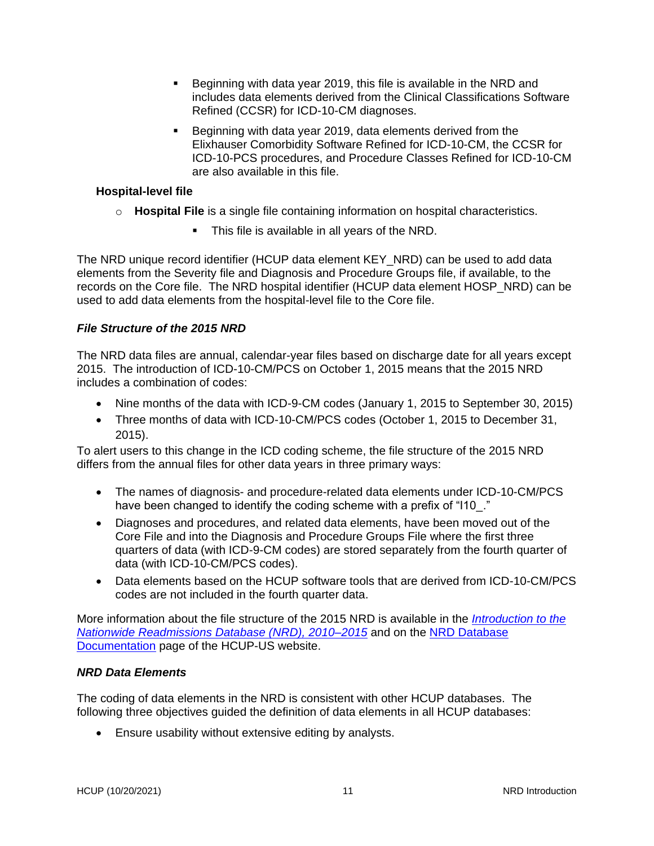- Beginning with data year 2019, this file is available in the NRD and includes data elements derived from the Clinical Classifications Software Refined (CCSR) for ICD-10-CM diagnoses.
- Beginning with data year 2019, data elements derived from the Elixhauser Comorbidity Software Refined for ICD-10-CM, the CCSR for ICD-10-PCS procedures, and Procedure Classes Refined for ICD-10-CM are also available in this file.

#### **Hospital-level file**

- o **Hospital File** is a single file containing information on hospital characteristics.
	- This file is available in all years of the NRD.

The NRD unique record identifier (HCUP data element KEY\_NRD) can be used to add data elements from the Severity file and Diagnosis and Procedure Groups file, if available, to the records on the Core file. The NRD hospital identifier (HCUP data element HOSP\_NRD) can be used to add data elements from the hospital-level file to the Core file.

## *File Structure of the 2015 NRD*

The NRD data files are annual, calendar-year files based on discharge date for all years except 2015. The introduction of ICD-10-CM/PCS on October 1, 2015 means that the 2015 NRD includes a combination of codes:

- Nine months of the data with ICD-9-CM codes (January 1, 2015 to September 30, 2015)
- Three months of data with ICD-10-CM/PCS codes (October 1, 2015 to December 31, 2015).

To alert users to this change in the ICD coding scheme, the file structure of the 2015 NRD differs from the annual files for other data years in three primary ways:

- The names of diagnosis- and procedure-related data elements under ICD-10-CM/PCS have been changed to identify the coding scheme with a prefix of "I10."
- Diagnoses and procedures, and related data elements, have been moved out of the Core File and into the Diagnosis and Procedure Groups File where the first three quarters of data (with ICD-9-CM codes) are stored separately from the fourth quarter of data (with ICD-10-CM/PCS codes).
- Data elements based on the HCUP software tools that are derived from ICD-10-CM/PCS codes are not included in the fourth quarter data.

More information about the file structure of the 2015 NRD is available in the *[Introduction to the](https://www.hcup-us.ahrq.gov/db/nation/nrd/Introduction_NRD_2010-2015.pdf)  [Nationwide Readmissions Database \(NRD\), 2010–2015](https://www.hcup-us.ahrq.gov/db/nation/nrd/Introduction_NRD_2010-2015.pdf)* and on the [NRD Database](https://www.hcup-us.ahrq.gov/db/nation/nrd/nrddbdocumentation.jsp)  [Documentation](https://www.hcup-us.ahrq.gov/db/nation/nrd/nrddbdocumentation.jsp) page of the HCUP-US website.

## <span id="page-14-0"></span>*NRD Data Elements*

The coding of data elements in the NRD is consistent with other HCUP databases. The following three objectives guided the definition of data elements in all HCUP databases:

• Ensure usability without extensive editing by analysts.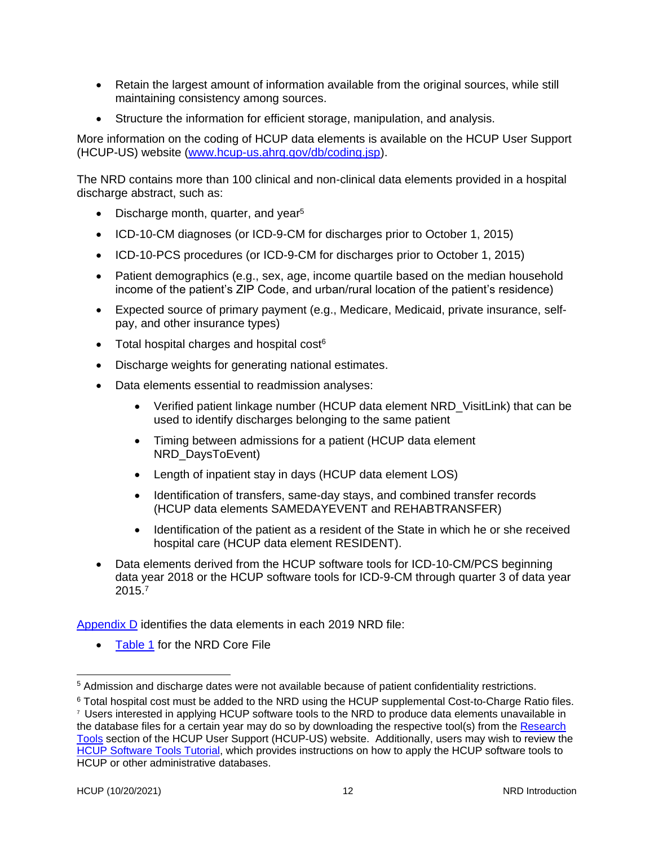- Retain the largest amount of information available from the original sources, while still maintaining consistency among sources.
- Structure the information for efficient storage, manipulation, and analysis.

More information on the coding of HCUP data elements is available on the HCUP User Support (HCUP-US) website [\(www.hcup-us.ahrq.gov/db/coding.jsp\)](https://www.hcup-us.ahrq.gov/db/coding.jsp).

The NRD contains more than 100 clinical and non-clinical data elements provided in a hospital discharge abstract, such as:

- Discharge month, quarter, and year<sup>5</sup>
- ICD-10-CM diagnoses (or ICD-9-CM for discharges prior to October 1, 2015)
- ICD-10-PCS procedures (or ICD-9-CM for discharges prior to October 1, 2015)
- Patient demographics (e.g., sex, age, income quartile based on the median household income of the patient's ZIP Code, and urban/rural location of the patient's residence)
- Expected source of primary payment (e.g., Medicare, Medicaid, private insurance, selfpay, and other insurance types)
- Total hospital charges and hospital cost $6$
- Discharge weights for generating national estimates.
- Data elements essential to readmission analyses:
	- Verified patient linkage number (HCUP data element NRD VisitLink) that can be used to identify discharges belonging to the same patient
	- Timing between admissions for a patient (HCUP data element NRD\_DaysToEvent)
	- Length of inpatient stay in days (HCUP data element LOS)
	- Identification of transfers, same-day stays, and combined transfer records (HCUP data elements SAMEDAYEVENT and REHABTRANSFER)
	- Identification of the patient as a resident of the State in which he or she received hospital care (HCUP data element RESIDENT).
- Data elements derived from the HCUP software tools for ICD-10-CM/PCS beginning data year 2018 or the HCUP software tools for ICD-9-CM through quarter 3 of data year 2015.<sup>7</sup>

[Appendix D](#page-51-0) identifies the data elements in each 2019 NRD file:

[Table 1](#page-52-1) for the NRD Core File

<sup>&</sup>lt;sup>5</sup> Admission and discharge dates were not available because of patient confidentiality restrictions.

<sup>&</sup>lt;sup>6</sup> Total hospital cost must be added to the NRD using the HCUP supplemental Cost-to-Charge Ratio files.

<sup>7</sup> Users interested in applying HCUP software tools to the NRD to produce data elements unavailable in the database files for a certain year may do so by downloading the respective tool(s) from the [Research](https://www.hcup-us.ahrq.gov/tools_software.jsp)  [Tools](https://www.hcup-us.ahrq.gov/tools_software.jsp) section of the HCUP User Support (HCUP-US) website. Additionally, users may wish to review the [HCUP Software Tools Tutorial,](https://www.hcup-us.ahrq.gov/tech_assist/tutorials.jsp) which provides instructions on how to apply the HCUP software tools to HCUP or other administrative databases.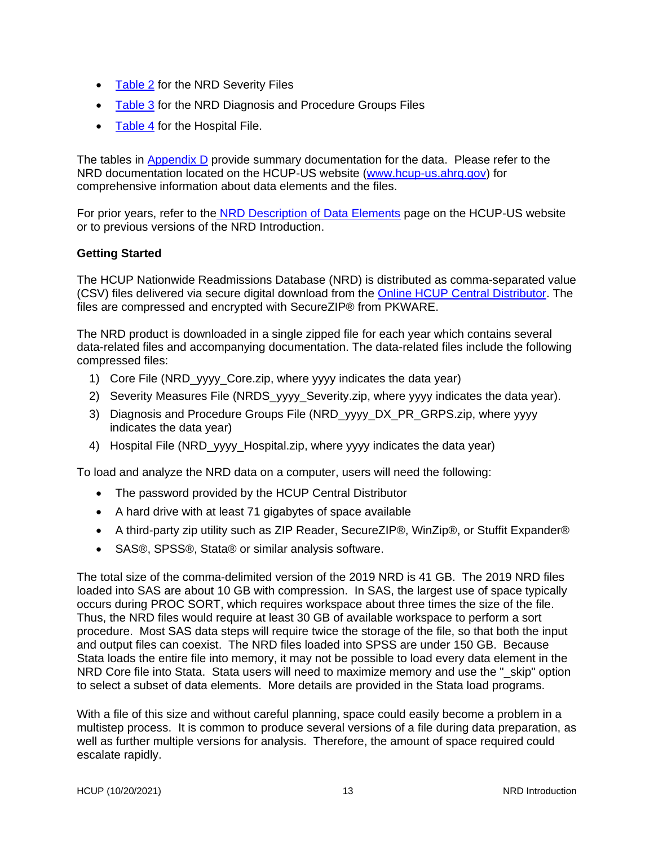- [Table 2](#page-56-0) for the NRD Severity Files
- [Table 3](#page-56-1) for the NRD Diagnosis and Procedure Groups Files
- [Table 4](#page-58-0) for the Hospital File.

The tables in [Appendix D](#page-51-0) provide summary documentation for the data. Please refer to the NRD documentation located on the HCUP-US website [\(www.hcup-us.ahrq.gov\)](http://www.hcup-us.ahrq.gov/) for comprehensive information about data elements and the files.

For prior years, refer to the NRD [Description of Data Elements](https://www.hcup-us.ahrq.gov/db/nation/nrd/nrddde.jsp) page on the HCUP-US website or to previous versions of the NRD Introduction.

#### <span id="page-16-0"></span>**Getting Started**

The HCUP Nationwide Readmissions Database (NRD) is distributed as comma-separated value (CSV) files delivered via secure digital download from the [Online HCUP Central Distributor.](https://www.distributor.hcup-us.ahrq.gov/Home.aspx) The files are compressed and encrypted with SecureZIP® from PKWARE.

The NRD product is downloaded in a single zipped file for each year which contains several data-related files and accompanying documentation. The data-related files include the following compressed files:

- 1) Core File (NRD\_yyyy\_Core.zip, where yyyy indicates the data year)
- 2) Severity Measures File (NRDS yyyy Severity.zip, where yyyy indicates the data year).
- 3) Diagnosis and Procedure Groups File (NRD\_yyyy\_DX\_PR\_GRPS.zip, where yyyy indicates the data year)
- 4) Hospital File (NRD\_yyyy\_Hospital.zip, where yyyy indicates the data year)

To load and analyze the NRD data on a computer, users will need the following:

- The password provided by the HCUP Central Distributor
- A hard drive with at least 71 gigabytes of space available
- A third-party zip utility such as ZIP Reader, SecureZIP®, WinZip®, or Stuffit Expander®
- SAS®, SPSS®, Stata® or similar analysis software.

The total size of the comma-delimited version of the 2019 NRD is 41 GB. The 2019 NRD files loaded into SAS are about 10 GB with compression. In SAS, the largest use of space typically occurs during PROC SORT, which requires workspace about three times the size of the file. Thus, the NRD files would require at least 30 GB of available workspace to perform a sort procedure. Most SAS data steps will require twice the storage of the file, so that both the input and output files can coexist. The NRD files loaded into SPSS are under 150 GB. Because Stata loads the entire file into memory, it may not be possible to load every data element in the NRD Core file into Stata. Stata users will need to maximize memory and use the " skip" option to select a subset of data elements. More details are provided in the Stata load programs.

With a file of this size and without careful planning, space could easily become a problem in a multistep process. It is common to produce several versions of a file during data preparation, as well as further multiple versions for analysis. Therefore, the amount of space required could escalate rapidly.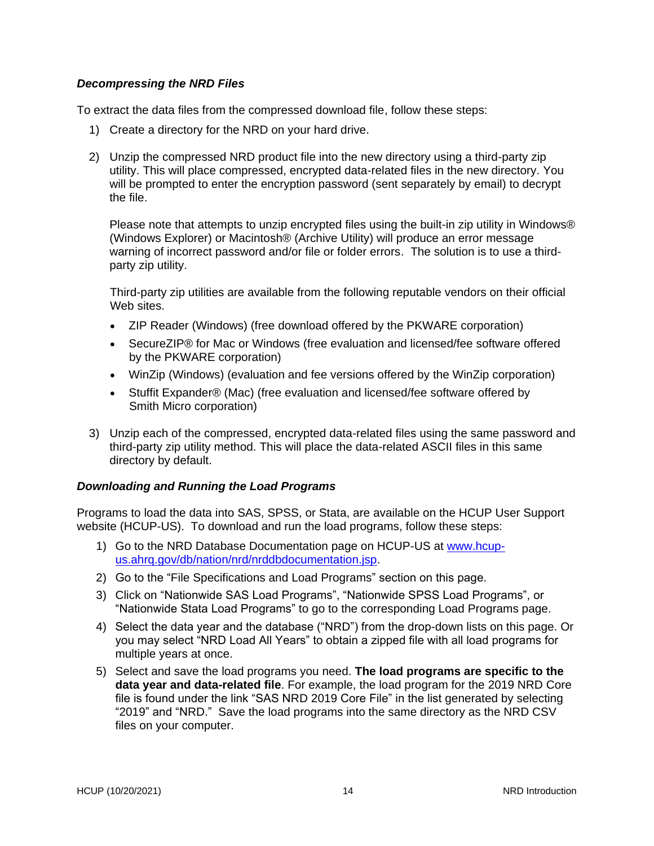#### <span id="page-17-0"></span>*Decompressing the NRD Files*

To extract the data files from the compressed download file, follow these steps:

- 1) Create a directory for the NRD on your hard drive.
- 2) Unzip the compressed NRD product file into the new directory using a third-party zip utility. This will place compressed, encrypted data-related files in the new directory. You will be prompted to enter the encryption password (sent separately by email) to decrypt the file.

Please note that attempts to unzip encrypted files using the built-in zip utility in Windows® (Windows Explorer) or Macintosh® (Archive Utility) will produce an error message warning of incorrect password and/or file or folder errors. The solution is to use a thirdparty zip utility.

Third-party zip utilities are available from the following reputable vendors on their official Web sites.

- ZIP Reader (Windows) (free download offered by the PKWARE corporation)
- SecureZIP® for Mac or Windows (free evaluation and licensed/fee software offered by the PKWARE corporation)
- WinZip (Windows) (evaluation and fee versions offered by the WinZip corporation)
- Stuffit Expander® (Mac) (free evaluation and licensed/fee software offered by Smith Micro corporation)
- 3) Unzip each of the compressed, encrypted data-related files using the same password and third-party zip utility method. This will place the data-related ASCII files in this same directory by default.

#### <span id="page-17-1"></span>*Downloading and Running the Load Programs*

Programs to load the data into SAS, SPSS, or Stata, are available on the HCUP User Support website (HCUP-US). To download and run the load programs, follow these steps:

- 1) Go to the NRD Database Documentation page on HCUP-US at [www.hcup](http://www.hcup-us.ahrq.gov/db/nation/nrd/nrddbdocumentation.jsp)[us.ahrq.gov/db/nation/nrd/nrddbdocumentation.jsp.](http://www.hcup-us.ahrq.gov/db/nation/nrd/nrddbdocumentation.jsp)
- 2) Go to the "File Specifications and Load Programs" section on this page.
- 3) Click on "Nationwide SAS Load Programs", "Nationwide SPSS Load Programs", or "Nationwide Stata Load Programs" to go to the corresponding Load Programs page.
- 4) Select the data year and the database ("NRD") from the drop-down lists on this page. Or you may select "NRD Load All Years" to obtain a zipped file with all load programs for multiple years at once.
- 5) Select and save the load programs you need. **The load programs are specific to the data year and data-related file**. For example, the load program for the 2019 NRD Core file is found under the link "SAS NRD 2019 Core File" in the list generated by selecting "2019" and "NRD." Save the load programs into the same directory as the NRD CSV files on your computer.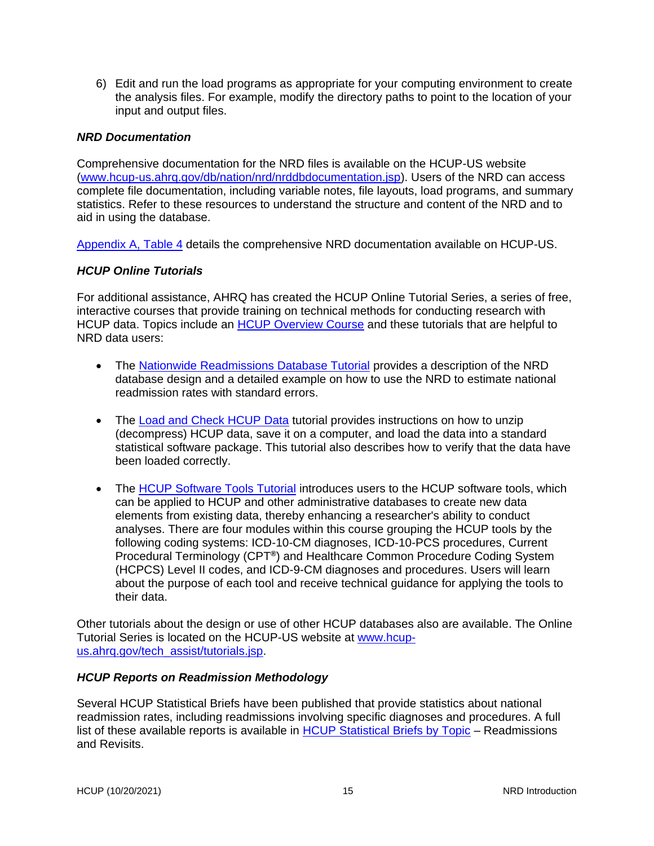6) Edit and run the load programs as appropriate for your computing environment to create the analysis files. For example, modify the directory paths to point to the location of your input and output files.

#### <span id="page-18-0"></span>*NRD Documentation*

Comprehensive documentation for the NRD files is available on the HCUP-US website [\(www.hcup-us.ahrq.gov/db/nation/nrd/nrddbdocumentation.jsp\)](http://www.hcup-us.ahrq.gov/db/nation/nrd/nrddbdocumentation.jsp). Users of the NRD can access complete file documentation, including variable notes, file layouts, load programs, and summary statistics. Refer to these resources to understand the structure and content of the NRD and to aid in using the database.

[Appendix A, Table 4](#page-39-0) details the comprehensive NRD documentation available on HCUP-US.

#### <span id="page-18-1"></span>*HCUP Online Tutorials*

For additional assistance, AHRQ has created the HCUP Online Tutorial Series, a series of free, interactive courses that provide training on technical methods for conducting research with HCUP data. Topics include an [HCUP Overview Course](http://hcup-us.ahrq.gov/overviewcourse.jsp) and these tutorials that are helpful to NRD data users:

- The Nationwide [Readmissions Database Tutorial](http://www.hcup-us.ahrq.gov/tech_assist/tutorials.jsp) provides a description of the NRD database design and a detailed example on how to use the NRD to estimate national readmission rates with standard errors.
- The [Load and Check HCUP Data](http://www.hcup-us.ahrq.gov/tech_assist/tutorials.jsp) tutorial provides instructions on how to unzip (decompress) HCUP data, save it on a computer, and load the data into a standard statistical software package. This tutorial also describes how to verify that the data have been loaded correctly.
- The [HCUP Software Tools Tutorial](https://www.hcup-us.ahrq.gov/tech_assist/tutorials.jsp) introduces users to the HCUP software tools, which can be applied to HCUP and other administrative databases to create new data elements from existing data, thereby enhancing a researcher's ability to conduct analyses. There are four modules within this course grouping the HCUP tools by the following coding systems: ICD-10-CM diagnoses, ICD-10-PCS procedures, Current Procedural Terminology (CPT**®** ) and Healthcare Common Procedure Coding System (HCPCS) Level II codes, and ICD-9-CM diagnoses and procedures. Users will learn about the purpose of each tool and receive technical guidance for applying the tools to their data.

Other tutorials about the design or use of other HCUP databases also are available. The Online Tutorial Series is located on the HCUP-US website at [www.hcup](http://www.hcup-us.ahrq.gov/tech_assist/tutorials.jsp)[us.ahrq.gov/tech\\_assist/tutorials.jsp.](http://www.hcup-us.ahrq.gov/tech_assist/tutorials.jsp)

#### <span id="page-18-2"></span>*HCUP Reports on Readmission Methodology*

Several HCUP Statistical Briefs have been published that provide statistics about national readmission rates, including readmissions involving specific diagnoses and procedures. A full list of these available reports is available in [HCUP Statistical Briefs by Topic](https://www.hcup-us.ahrq.gov/reports/statbriefs/sb_readmission.jsp) – Readmissions and Revisits.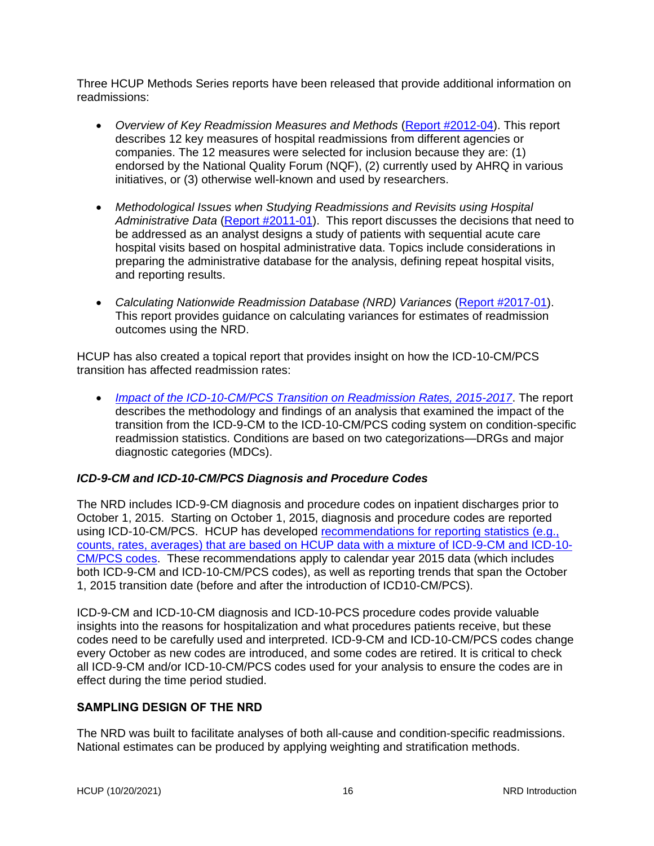Three HCUP Methods Series reports have been released that provide additional information on readmissions:

- *Overview of Key Readmission Measures and Methods* [\(Report #2012-04\)](https://www.hcup-us.ahrq.gov/reports/methods/2012_04.pdf). This report describes 12 key measures of hospital readmissions from different agencies or companies. The 12 measures were selected for inclusion because they are: (1) endorsed by the National Quality Forum (NQF), (2) currently used by AHRQ in various initiatives, or (3) otherwise well-known and used by researchers.
- *Methodological Issues when Studying Readmissions and Revisits using Hospital*  Administrative Data [\(Report #2011-01\)](https://www.hcup-us.ahrq.gov/reports/methods/2011_01.pdf). This report discusses the decisions that need to be addressed as an analyst designs a study of patients with sequential acute care hospital visits based on hospital administrative data. Topics include considerations in preparing the administrative database for the analysis, defining repeat hospital visits, and reporting results.
- *Calculating Nationwide Readmission Database (NRD) Variances* [\(Report #2017-01\)](https://www.hcup-us.ahrq.gov/reports/methods/2017-01.pdf). This report provides guidance on calculating variances for estimates of readmission outcomes using the NRD.

HCUP has also created a topical report that provides insight on how the ICD-10-CM/PCS transition has affected readmission rates:

• *[Impact of the ICD-10-CM/PCS Transition on Readmission Rates, 2015-2017](https://www.hcup-us.ahrq.gov/db/nation/nrd/nrdrelatedreports.jsp)*. The report describes the methodology and findings of an analysis that examined the impact of the transition from the ICD-9-CM to the ICD-10-CM/PCS coding system on condition-specific readmission statistics. Conditions are based on two categorizations—DRGs and major diagnostic categories (MDCs).

## <span id="page-19-0"></span>*ICD-9-CM and ICD-10-CM/PCS Diagnosis and Procedure Codes*

The NRD includes ICD-9-CM diagnosis and procedure codes on inpatient discharges prior to October 1, 2015. Starting on October 1, 2015, diagnosis and procedure codes are reported using ICD-10-CM/PCS. HCUP has developed [recommendations for reporting statistics \(e.g.,](https://www.hcup-us.ahrq.gov/datainnovations/HCUP_RecomForReportingTrends_070517.pdf)  [counts, rates, averages\) that are based on HCUP data with a mixture of ICD-9-CM and ICD-10-](https://www.hcup-us.ahrq.gov/datainnovations/HCUP_RecomForReportingTrends_070517.pdf) [CM/PCS codes.](https://www.hcup-us.ahrq.gov/datainnovations/HCUP_RecomForReportingTrends_070517.pdf) These recommendations apply to calendar year 2015 data (which includes both ICD-9-CM and ICD-10-CM/PCS codes), as well as reporting trends that span the October 1, 2015 transition date (before and after the introduction of ICD10-CM/PCS).

ICD-9-CM and ICD-10-CM diagnosis and ICD-10-PCS procedure codes provide valuable insights into the reasons for hospitalization and what procedures patients receive, but these codes need to be carefully used and interpreted. ICD-9-CM and ICD-10-CM/PCS codes change every October as new codes are introduced, and some codes are retired. It is critical to check all ICD-9-CM and/or ICD-10-CM/PCS codes used for your analysis to ensure the codes are in effect during the time period studied.

#### <span id="page-19-1"></span>**SAMPLING DESIGN OF THE NRD**

The NRD was built to facilitate analyses of both all-cause and condition-specific readmissions. National estimates can be produced by applying weighting and stratification methods.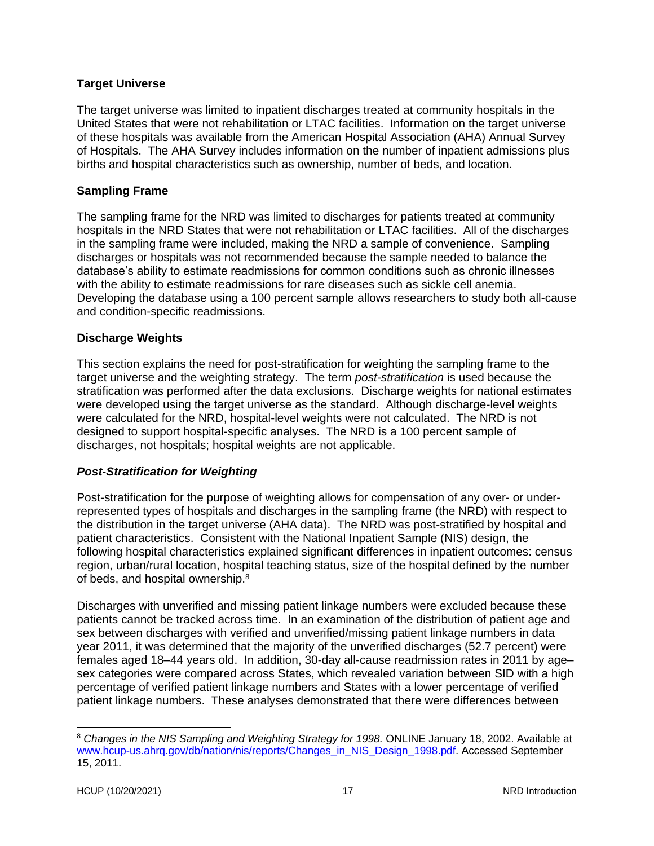#### <span id="page-20-0"></span>**Target Universe**

The target universe was limited to inpatient discharges treated at community hospitals in the United States that were not rehabilitation or LTAC facilities. Information on the target universe of these hospitals was available from the American Hospital Association (AHA) Annual Survey of Hospitals. The AHA Survey includes information on the number of inpatient admissions plus births and hospital characteristics such as ownership, number of beds, and location.

#### <span id="page-20-1"></span>**Sampling Frame**

The sampling frame for the NRD was limited to discharges for patients treated at community hospitals in the NRD States that were not rehabilitation or LTAC facilities. All of the discharges in the sampling frame were included, making the NRD a sample of convenience. Sampling discharges or hospitals was not recommended because the sample needed to balance the database's ability to estimate readmissions for common conditions such as chronic illnesses with the ability to estimate readmissions for rare diseases such as sickle cell anemia. Developing the database using a 100 percent sample allows researchers to study both all-cause and condition-specific readmissions.

## <span id="page-20-2"></span>**Discharge Weights**

This section explains the need for post-stratification for weighting the sampling frame to the target universe and the weighting strategy. The term *post-stratification* is used because the stratification was performed after the data exclusions. Discharge weights for national estimates were developed using the target universe as the standard. Although discharge-level weights were calculated for the NRD, hospital-level weights were not calculated. The NRD is not designed to support hospital-specific analyses. The NRD is a 100 percent sample of discharges, not hospitals; hospital weights are not applicable.

## <span id="page-20-3"></span>*Post-Stratification for Weighting*

Post-stratification for the purpose of weighting allows for compensation of any over- or underrepresented types of hospitals and discharges in the sampling frame (the NRD) with respect to the distribution in the target universe (AHA data). The NRD was post-stratified by hospital and patient characteristics. Consistent with the National Inpatient Sample (NIS) design, the following hospital characteristics explained significant differences in inpatient outcomes: census region, urban/rural location, hospital teaching status, size of the hospital defined by the number of beds, and hospital ownership.<sup>8</sup>

Discharges with unverified and missing patient linkage numbers were excluded because these patients cannot be tracked across time. In an examination of the distribution of patient age and sex between discharges with verified and unverified/missing patient linkage numbers in data year 2011, it was determined that the majority of the unverified discharges (52.7 percent) were females aged 18–44 years old. In addition, 30-day all-cause readmission rates in 2011 by age– sex categories were compared across States, which revealed variation between SID with a high percentage of verified patient linkage numbers and States with a lower percentage of verified patient linkage numbers. These analyses demonstrated that there were differences between

<sup>&</sup>lt;sup>8</sup> Changes in the NIS Sampling and Weighting Strategy for 1998. ONLINE January 18, 2002. Available at [www.hcup-us.ahrq.gov/db/nation/nis/reports/Changes\\_in\\_NIS\\_Design\\_1998.pdf.](http://www.hcup-us.ahrq.gov/db/nation/nis/reports/Changes_in_NIS_Design_1998.pdf) Accessed September 15, 2011.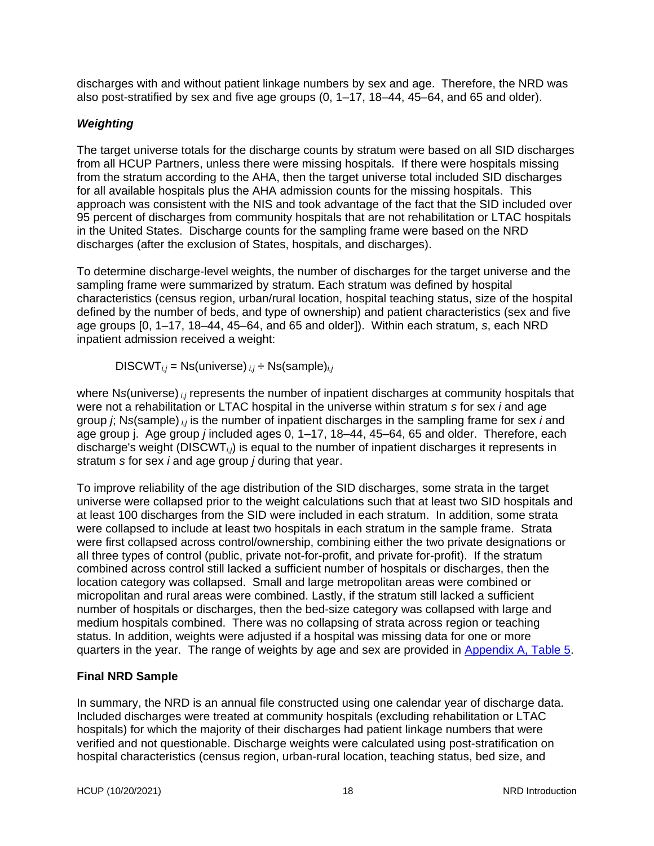discharges with and without patient linkage numbers by sex and age. Therefore, the NRD was also post-stratified by sex and five age groups (0, 1–17, 18–44, 45–64, and 65 and older).

## <span id="page-21-0"></span>*Weighting*

The target universe totals for the discharge counts by stratum were based on all SID discharges from all HCUP Partners, unless there were missing hospitals. If there were hospitals missing from the stratum according to the AHA, then the target universe total included SID discharges for all available hospitals plus the AHA admission counts for the missing hospitals. This approach was consistent with the NIS and took advantage of the fact that the SID included over 95 percent of discharges from community hospitals that are not rehabilitation or LTAC hospitals in the United States. Discharge counts for the sampling frame were based on the NRD discharges (after the exclusion of States, hospitals, and discharges).

To determine discharge-level weights, the number of discharges for the target universe and the sampling frame were summarized by stratum. Each stratum was defined by hospital characteristics (census region, urban/rural location, hospital teaching status, size of the hospital defined by the number of beds, and type of ownership) and patient characteristics (sex and five age groups [0, 1–17, 18–44, 45–64, and 65 and older]). Within each stratum, *s*, each NRD inpatient admission received a weight:

DISCWT*i,j* = Ns(universe) *i,j* ÷ Ns(sample)*i,j*

where N*s*(universe) *i,j* represents the number of inpatient discharges at community hospitals that were not a rehabilitation or LTAC hospital in the universe within stratum *s* for sex *i* and age group *j*; N*s*(sample) *i,j* is the number of inpatient discharges in the sampling frame for sex *i* and age group j. Age group *j* included ages 0, 1–17, 18–44, 45–64, 65 and older. Therefore, each discharge's weight (DISCWT*i,j*) is equal to the number of inpatient discharges it represents in stratum *s* for sex *i* and age group *j* during that year.

To improve reliability of the age distribution of the SID discharges, some strata in the target universe were collapsed prior to the weight calculations such that at least two SID hospitals and at least 100 discharges from the SID were included in each stratum. In addition, some strata were collapsed to include at least two hospitals in each stratum in the sample frame. Strata were first collapsed across control/ownership, combining either the two private designations or all three types of control (public, private not-for-profit, and private for-profit). If the stratum combined across control still lacked a sufficient number of hospitals or discharges, then the location category was collapsed. Small and large metropolitan areas were combined or micropolitan and rural areas were combined. Lastly, if the stratum still lacked a sufficient number of hospitals or discharges, then the bed-size category was collapsed with large and medium hospitals combined. There was no collapsing of strata across region or teaching status. In addition, weights were adjusted if a hospital was missing data for one or more quarters in the year. The range of weights by age and sex are provided in [Appendix A, Table 5.](#page-40-0)

## <span id="page-21-1"></span>**Final NRD Sample**

In summary, the NRD is an annual file constructed using one calendar year of discharge data. Included discharges were treated at community hospitals (excluding rehabilitation or LTAC hospitals) for which the majority of their discharges had patient linkage numbers that were verified and not questionable. Discharge weights were calculated using post-stratification on hospital characteristics (census region, urban-rural location, teaching status, bed size, and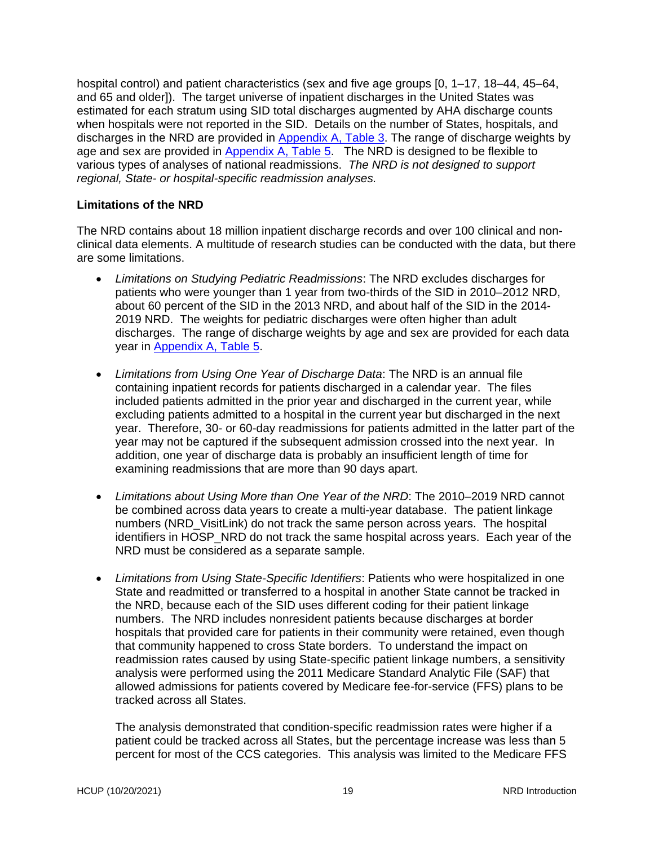hospital control) and patient characteristics (sex and five age groups  $[0, 1-17, 18-44, 45-64,$ and 65 and older]). The target universe of inpatient discharges in the United States was estimated for each stratum using SID total discharges augmented by AHA discharge counts when hospitals were not reported in the SID. Details on the number of States, hospitals, and discharges in the NRD are provided in [Appendix A, Table 3.](#page-34-1) The range of discharge weights by age and sex are provided in [Appendix A, Table 5.](#page-40-0) The NRD is designed to be flexible to various types of analyses of national readmissions. *The NRD is not designed to support regional, State- or hospital-specific readmission analyses.* 

#### <span id="page-22-0"></span>**Limitations of the NRD**

The NRD contains about 18 million inpatient discharge records and over 100 clinical and nonclinical data elements. A multitude of research studies can be conducted with the data, but there are some limitations.

- *Limitations on Studying Pediatric Readmissions*: The NRD excludes discharges for patients who were younger than 1 year from two-thirds of the SID in 2010–2012 NRD, about 60 percent of the SID in the 2013 NRD, and about half of the SID in the 2014- 2019 NRD. The weights for pediatric discharges were often higher than adult discharges. The range of discharge weights by age and sex are provided for each data year in [Appendix A, Table 5.](#page-40-0)
- *Limitations from Using One Year of Discharge Data*: The NRD is an annual file containing inpatient records for patients discharged in a calendar year. The files included patients admitted in the prior year and discharged in the current year, while excluding patients admitted to a hospital in the current year but discharged in the next year. Therefore, 30- or 60-day readmissions for patients admitted in the latter part of the year may not be captured if the subsequent admission crossed into the next year. In addition, one year of discharge data is probably an insufficient length of time for examining readmissions that are more than 90 days apart.
- *Limitations about Using More than One Year of the NRD*: The 2010–2019 NRD cannot be combined across data years to create a multi-year database. The patient linkage numbers (NRD\_VisitLink) do not track the same person across years. The hospital identifiers in HOSP\_NRD do not track the same hospital across years. Each year of the NRD must be considered as a separate sample.
- *Limitations from Using State-Specific Identifiers*: Patients who were hospitalized in one State and readmitted or transferred to a hospital in another State cannot be tracked in the NRD, because each of the SID uses different coding for their patient linkage numbers. The NRD includes nonresident patients because discharges at border hospitals that provided care for patients in their community were retained, even though that community happened to cross State borders. To understand the impact on readmission rates caused by using State-specific patient linkage numbers, a sensitivity analysis were performed using the 2011 Medicare Standard Analytic File (SAF) that allowed admissions for patients covered by Medicare fee-for-service (FFS) plans to be tracked across all States.

The analysis demonstrated that condition-specific readmission rates were higher if a patient could be tracked across all States, but the percentage increase was less than 5 percent for most of the CCS categories. This analysis was limited to the Medicare FFS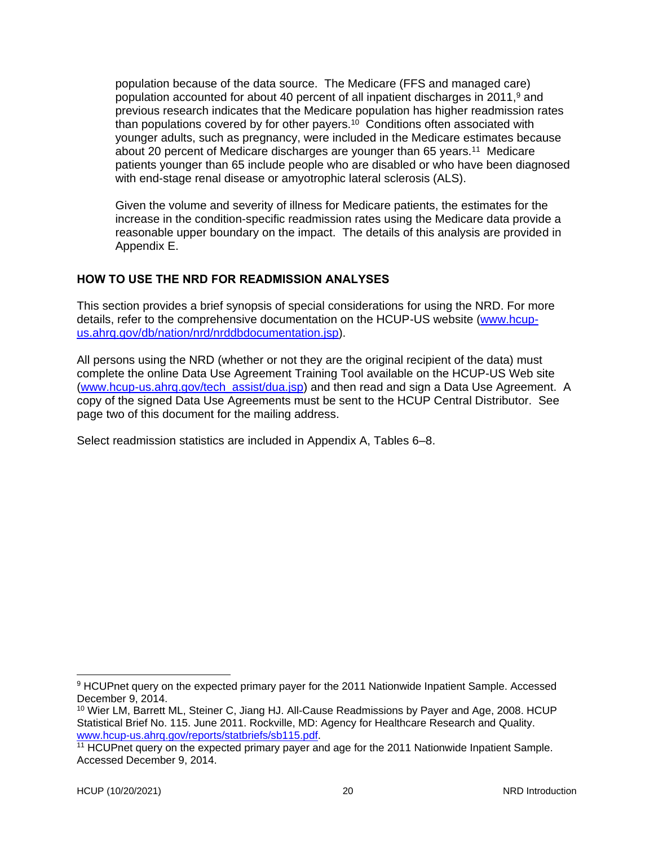population because of the data source. The Medicare (FFS and managed care) population accounted for about 40 percent of all inpatient discharges in 2011, $9$  and previous research indicates that the Medicare population has higher readmission rates than populations covered by for other payers.<sup>10</sup> Conditions often associated with younger adults, such as pregnancy, were included in the Medicare estimates because about 20 percent of Medicare discharges are younger than 65 years.<sup>11</sup> Medicare patients younger than 65 include people who are disabled or who have been diagnosed with end-stage renal disease or amyotrophic lateral sclerosis (ALS).

Given the volume and severity of illness for Medicare patients, the estimates for the increase in the condition-specific readmission rates using the Medicare data provide a reasonable upper boundary on the impact. The details of this analysis are provided in Appendix E.

## <span id="page-23-0"></span>**HOW TO USE THE NRD FOR READMISSION ANALYSES**

This section provides a brief synopsis of special considerations for using the NRD. For more details, refer to the comprehensive documentation on the HCUP-US website [\(www.hcup](http://www.hcup-us.ahrq.gov/db/nation/nrd/nrddbdocumentation.jsp)[us.ahrq.gov/db/nation/nrd/nrddbdocumentation.jsp\)](http://www.hcup-us.ahrq.gov/db/nation/nrd/nrddbdocumentation.jsp).

All persons using the NRD (whether or not they are the original recipient of the data) must complete the online Data Use Agreement Training Tool available on the HCUP-US Web site (www.hcup-us.ahrg.gov/tech\_assist/dua.jsp) and then read and sign a Data Use Agreement. A copy of the signed Data Use Agreements must be sent to the HCUP Central Distributor. See page two of this document for the mailing address.

Select readmission statistics are included in Appendix A, Tables 6–8.

<sup>9</sup> HCUPnet query on the expected primary payer for the 2011 Nationwide Inpatient Sample. Accessed December 9, 2014.

<sup>&</sup>lt;sup>10</sup> Wier LM, Barrett ML, Steiner C, Jiang HJ. All-Cause Readmissions by Payer and Age, 2008. HCUP Statistical Brief No. 115. June 2011. Rockville, MD: Agency for Healthcare Research and Quality. [www.hcup-us.ahrq.gov/reports/statbriefs/sb115.pdf.](http://www.hcup-us.ahrq.gov/reports/statbriefs/sb115.pdf)

<sup>&</sup>lt;sup>11</sup> HCUPnet query on the expected primary payer and age for the 2011 Nationwide Inpatient Sample. Accessed December 9, 2014.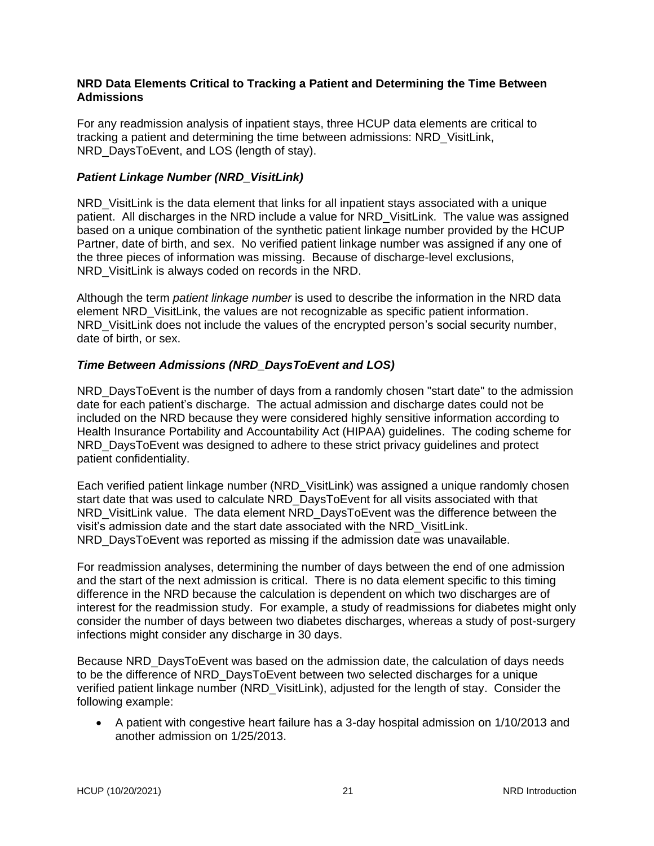#### <span id="page-24-0"></span>**NRD Data Elements Critical to Tracking a Patient and Determining the Time Between Admissions**

For any readmission analysis of inpatient stays, three HCUP data elements are critical to tracking a patient and determining the time between admissions: NRD\_VisitLink, NRD DaysToEvent, and LOS (length of stay).

#### <span id="page-24-1"></span>*Patient Linkage Number (NRD\_VisitLink)*

NRD VisitLink is the data element that links for all inpatient stays associated with a unique patient. All discharges in the NRD include a value for NRD\_VisitLink. The value was assigned based on a unique combination of the synthetic patient linkage number provided by the HCUP Partner, date of birth, and sex. No verified patient linkage number was assigned if any one of the three pieces of information was missing. Because of discharge-level exclusions, NRD\_VisitLink is always coded on records in the NRD.

Although the term *patient linkage number* is used to describe the information in the NRD data element NRD\_VisitLink, the values are not recognizable as specific patient information. NRD\_VisitLink does not include the values of the encrypted person's social security number, date of birth, or sex.

## <span id="page-24-2"></span>*Time Between Admissions (NRD\_DaysToEvent and LOS)*

NRD DaysToEvent is the number of days from a randomly chosen "start date" to the admission date for each patient's discharge. The actual admission and discharge dates could not be included on the NRD because they were considered highly sensitive information according to Health Insurance Portability and Accountability Act (HIPAA) guidelines. The coding scheme for NRD DaysToEvent was designed to adhere to these strict privacy guidelines and protect patient confidentiality.

Each verified patient linkage number (NRD\_VisitLink) was assigned a unique randomly chosen start date that was used to calculate NRD\_DaysToEvent for all visits associated with that NRD VisitLink value. The data element NRD\_DaysToEvent was the difference between the visit's admission date and the start date associated with the NRD\_VisitLink. NRD DaysToEvent was reported as missing if the admission date was unavailable.

For readmission analyses, determining the number of days between the end of one admission and the start of the next admission is critical. There is no data element specific to this timing difference in the NRD because the calculation is dependent on which two discharges are of interest for the readmission study. For example, a study of readmissions for diabetes might only consider the number of days between two diabetes discharges, whereas a study of post-surgery infections might consider any discharge in 30 days.

Because NRD\_DaysToEvent was based on the admission date, the calculation of days needs to be the difference of NRD\_DaysToEvent between two selected discharges for a unique verified patient linkage number (NRD\_VisitLink), adjusted for the length of stay. Consider the following example:

• A patient with congestive heart failure has a 3-day hospital admission on 1/10/2013 and another admission on 1/25/2013.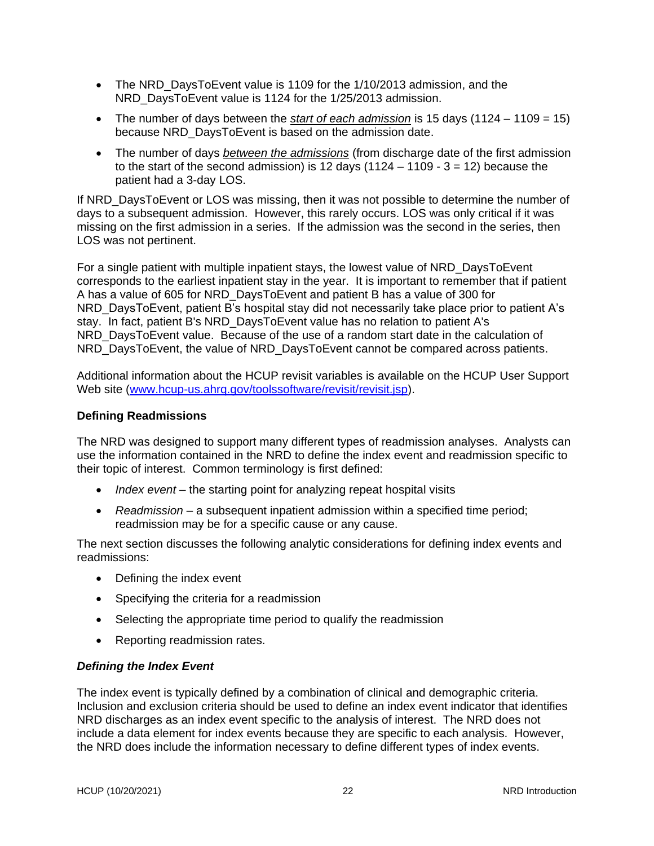- The NRD\_DaysToEvent value is 1109 for the 1/10/2013 admission, and the NRD DaysToEvent value is 1124 for the 1/25/2013 admission.
- The number of days between the *start of each admission* is 15 days (1124 1109 = 15) because NRD\_DaysToEvent is based on the admission date.
- The number of days *between the admissions* (from discharge date of the first admission to the start of the second admission) is 12 days  $(1124 - 1109 - 3 = 12)$  because the patient had a 3-day LOS.

If NRD DaysToEvent or LOS was missing, then it was not possible to determine the number of days to a subsequent admission. However, this rarely occurs. LOS was only critical if it was missing on the first admission in a series. If the admission was the second in the series, then LOS was not pertinent.

For a single patient with multiple inpatient stays, the lowest value of NRD\_DaysToEvent corresponds to the earliest inpatient stay in the year. It is important to remember that if patient A has a value of 605 for NRD\_DaysToEvent and patient B has a value of 300 for NRD\_DaysToEvent, patient B's hospital stay did not necessarily take place prior to patient A's stay. In fact, patient B's NRD\_DaysToEvent value has no relation to patient A's NRD DaysToEvent value. Because of the use of a random start date in the calculation of NRD DaysToEvent, the value of NRD DaysToEvent cannot be compared across patients.

Additional information about the HCUP revisit variables is available on the HCUP User Support Web site (www.hcup-us.ahrg.gov/toolssoftware/revisit/revisit.jsp).

#### <span id="page-25-0"></span>**Defining Readmissions**

The NRD was designed to support many different types of readmission analyses. Analysts can use the information contained in the NRD to define the index event and readmission specific to their topic of interest. Common terminology is first defined:

- *Index event* the starting point for analyzing repeat hospital visits
- *Readmission* a subsequent inpatient admission within a specified time period; readmission may be for a specific cause or any cause.

The next section discusses the following analytic considerations for defining index events and readmissions:

- Defining the index event
- Specifying the criteria for a readmission
- Selecting the appropriate time period to qualify the readmission
- Reporting readmission rates.

#### <span id="page-25-1"></span>*Defining the Index Event*

The index event is typically defined by a combination of clinical and demographic criteria. Inclusion and exclusion criteria should be used to define an index event indicator that identifies NRD discharges as an index event specific to the analysis of interest. The NRD does not include a data element for index events because they are specific to each analysis. However, the NRD does include the information necessary to define different types of index events.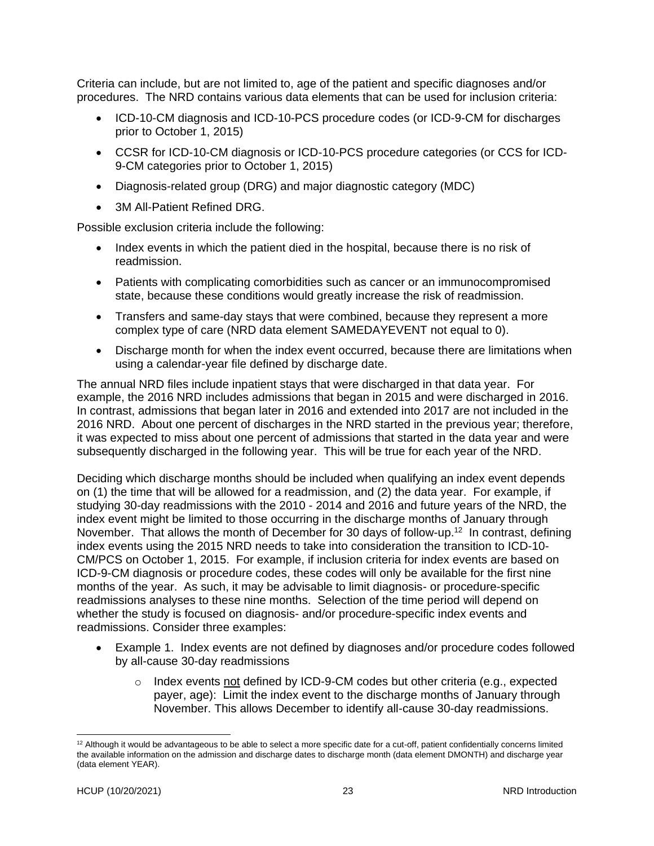Criteria can include, but are not limited to, age of the patient and specific diagnoses and/or procedures. The NRD contains various data elements that can be used for inclusion criteria:

- ICD-10-CM diagnosis and ICD-10-PCS procedure codes (or ICD-9-CM for discharges prior to October 1, 2015)
- CCSR for ICD-10-CM diagnosis or ICD-10-PCS procedure categories (or CCS for ICD-9-CM categories prior to October 1, 2015)
- Diagnosis-related group (DRG) and major diagnostic category (MDC)
- 3M All-Patient Refined DRG.

Possible exclusion criteria include the following:

- Index events in which the patient died in the hospital, because there is no risk of readmission.
- Patients with complicating comorbidities such as cancer or an immunocompromised state, because these conditions would greatly increase the risk of readmission.
- Transfers and same-day stays that were combined, because they represent a more complex type of care (NRD data element SAMEDAYEVENT not equal to 0).
- Discharge month for when the index event occurred, because there are limitations when using a calendar-year file defined by discharge date.

The annual NRD files include inpatient stays that were discharged in that data year. For example, the 2016 NRD includes admissions that began in 2015 and were discharged in 2016. In contrast, admissions that began later in 2016 and extended into 2017 are not included in the 2016 NRD. About one percent of discharges in the NRD started in the previous year; therefore, it was expected to miss about one percent of admissions that started in the data year and were subsequently discharged in the following year. This will be true for each year of the NRD.

Deciding which discharge months should be included when qualifying an index event depends on (1) the time that will be allowed for a readmission, and (2) the data year. For example, if studying 30-day readmissions with the 2010 - 2014 and 2016 and future years of the NRD, the index event might be limited to those occurring in the discharge months of January through November. That allows the month of December for 30 days of follow-up.<sup>12</sup> In contrast, defining index events using the 2015 NRD needs to take into consideration the transition to ICD-10- CM/PCS on October 1, 2015. For example, if inclusion criteria for index events are based on ICD-9-CM diagnosis or procedure codes, these codes will only be available for the first nine months of the year. As such, it may be advisable to limit diagnosis- or procedure-specific readmissions analyses to these nine months. Selection of the time period will depend on whether the study is focused on diagnosis- and/or procedure-specific index events and readmissions. Consider three examples:

- Example 1. Index events are not defined by diagnoses and/or procedure codes followed by all-cause 30-day readmissions
	- o Index events not defined by ICD-9-CM codes but other criteria (e.g., expected payer, age): Limit the index event to the discharge months of January through November. This allows December to identify all-cause 30-day readmissions.

 $12$  Although it would be advantageous to be able to select a more specific date for a cut-off, patient confidentially concerns limited the available information on the admission and discharge dates to discharge month (data element DMONTH) and discharge year (data element YEAR).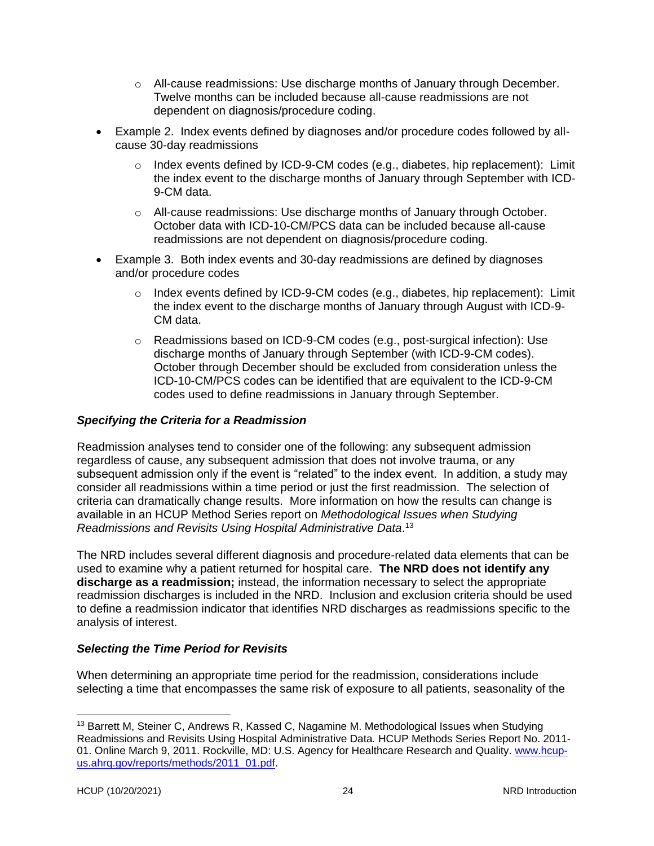- o All-cause readmissions: Use discharge months of January through December. Twelve months can be included because all-cause readmissions are not dependent on diagnosis/procedure coding.
- Example 2. Index events defined by diagnoses and/or procedure codes followed by allcause 30-day readmissions
	- o Index events defined by ICD-9-CM codes (e.g., diabetes, hip replacement): Limit the index event to the discharge months of January through September with ICD-9-CM data.
	- $\circ$  All-cause readmissions: Use discharge months of January through October. October data with ICD-10-CM/PCS data can be included because all-cause readmissions are not dependent on diagnosis/procedure coding.
- Example 3. Both index events and 30-day readmissions are defined by diagnoses and/or procedure codes
	- o Index events defined by ICD-9-CM codes (e.g., diabetes, hip replacement): Limit the index event to the discharge months of January through August with ICD-9- CM data.
	- o Readmissions based on ICD-9-CM codes (e.g., post-surgical infection): Use discharge months of January through September (with ICD-9-CM codes). October through December should be excluded from consideration unless the ICD-10-CM/PCS codes can be identified that are equivalent to the ICD-9-CM codes used to define readmissions in January through September.

## <span id="page-27-0"></span>*Specifying the Criteria for a Readmission*

Readmission analyses tend to consider one of the following: any subsequent admission regardless of cause, any subsequent admission that does not involve trauma, or any subsequent admission only if the event is "related" to the index event. In addition, a study may consider all readmissions within a time period or just the first readmission. The selection of criteria can dramatically change results. More information on how the results can change is available in an HCUP Method Series report on *Methodological Issues when Studying Readmissions and Revisits Using Hospital Administrative Data*. 13

The NRD includes several different diagnosis and procedure-related data elements that can be used to examine why a patient returned for hospital care. **The NRD does not identify any discharge as a readmission;** instead, the information necessary to select the appropriate readmission discharges is included in the NRD. Inclusion and exclusion criteria should be used to define a readmission indicator that identifies NRD discharges as readmissions specific to the analysis of interest.

## <span id="page-27-1"></span>*Selecting the Time Period for Revisits*

When determining an appropriate time period for the readmission, considerations include selecting a time that encompasses the same risk of exposure to all patients, seasonality of the

<sup>&</sup>lt;sup>13</sup> Barrett M, Steiner C, Andrews R, Kassed C, Nagamine M. Methodological Issues when Studying Readmissions and Revisits Using Hospital Administrative Data*.* HCUP Methods Series Report No. 2011 01. Online March 9, 2011. Rockville, MD: U.S. Agency for Healthcare Research and Quality. [www.hcup](http://www.hcup-us.ahrq.gov/reports/methods/2011_01.pdf)[us.ahrq.gov/reports/methods/2011\\_01.pdf.](http://www.hcup-us.ahrq.gov/reports/methods/2011_01.pdf)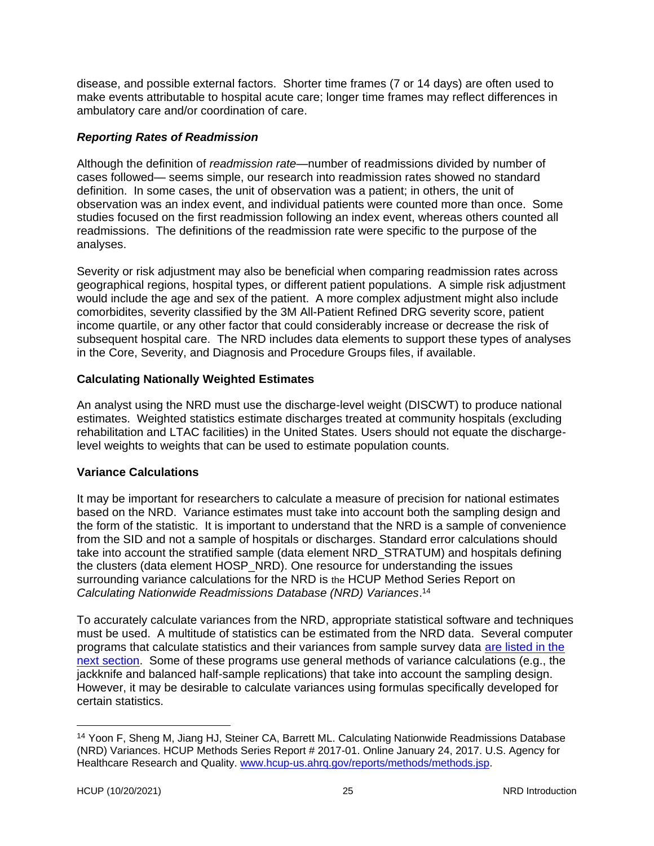disease, and possible external factors. Shorter time frames (7 or 14 days) are often used to make events attributable to hospital acute care; longer time frames may reflect differences in ambulatory care and/or coordination of care.

#### <span id="page-28-0"></span>*Reporting Rates of Readmission*

Although the definition of *readmission rate*—number of readmissions divided by number of cases followed— seems simple, our research into readmission rates showed no standard definition. In some cases, the unit of observation was a patient; in others, the unit of observation was an index event, and individual patients were counted more than once. Some studies focused on the first readmission following an index event, whereas others counted all readmissions. The definitions of the readmission rate were specific to the purpose of the analyses.

Severity or risk adjustment may also be beneficial when comparing readmission rates across geographical regions, hospital types, or different patient populations. A simple risk adjustment would include the age and sex of the patient. A more complex adjustment might also include comorbidites, severity classified by the 3M All-Patient Refined DRG severity score, patient income quartile, or any other factor that could considerably increase or decrease the risk of subsequent hospital care. The NRD includes data elements to support these types of analyses in the Core, Severity, and Diagnosis and Procedure Groups files, if available.

## <span id="page-28-1"></span>**Calculating Nationally Weighted Estimates**

An analyst using the NRD must use the discharge-level weight (DISCWT) to produce national estimates. Weighted statistics estimate discharges treated at community hospitals (excluding rehabilitation and LTAC facilities) in the United States. Users should not equate the dischargelevel weights to weights that can be used to estimate population counts.

## <span id="page-28-2"></span>**Variance Calculations**

It may be important for researchers to calculate a measure of precision for national estimates based on the NRD. Variance estimates must take into account both the sampling design and the form of the statistic. It is important to understand that the NRD is a sample of convenience from the SID and not a sample of hospitals or discharges. Standard error calculations should take into account the stratified sample (data element NRD\_STRATUM) and hospitals defining the clusters (data element HOSP\_NRD). One resource for understanding the issues surrounding variance calculations for the NRD is the HCUP Method Series Report on *Calculating Nationwide Readmissions Database (NRD) Variances*. 14

To accurately calculate variances from the NRD, appropriate statistical software and techniques must be used. A multitude of statistics can be estimated from the NRD data. Several computer programs that calculate statistics and their variances from sample survey data [are listed in the](#page-29-0)  [next section.](#page-29-0) Some of these programs use general methods of variance calculations (e.g., the jackknife and balanced half-sample replications) that take into account the sampling design. However, it may be desirable to calculate variances using formulas specifically developed for certain statistics.

<sup>&</sup>lt;sup>14</sup> Yoon F, Sheng M, Jiang HJ, Steiner CA, Barrett ML. Calculating Nationwide Readmissions Database (NRD) Variances. HCUP Methods Series Report # 2017-01. Online January 24, 2017. U.S. Agency for Healthcare Research and Quality. [www.hcup-us.ahrq.gov/reports/methods/methods.jsp.](http://www.hcup-us.ahrq.gov/reports/methods/methods.jsp)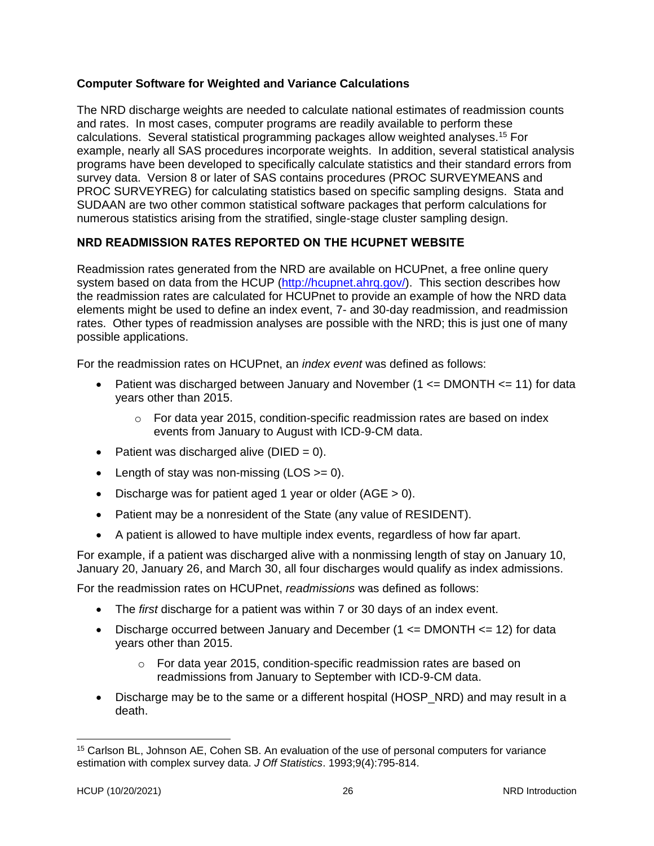## <span id="page-29-0"></span>**Computer Software for Weighted and Variance Calculations**

The NRD discharge weights are needed to calculate national estimates of readmission counts and rates. In most cases, computer programs are readily available to perform these calculations. Several statistical programming packages allow weighted analyses.<sup>15</sup> For example, nearly all SAS procedures incorporate weights. In addition, several statistical analysis programs have been developed to specifically calculate statistics and their standard errors from survey data. Version 8 or later of SAS contains procedures (PROC SURVEYMEANS and PROC SURVEYREG) for calculating statistics based on specific sampling designs. Stata and SUDAAN are two other common statistical software packages that perform calculations for numerous statistics arising from the stratified, single-stage cluster sampling design.

## <span id="page-29-1"></span>**NRD READMISSION RATES REPORTED ON THE HCUPNET WEBSITE**

Readmission rates generated from the NRD are available on HCUPnet, a free online query system based on data from the HCUP [\(http://hcupnet.ahrq.gov/\)](http://hcupnet.ahrq.gov/). This section describes how the readmission rates are calculated for HCUPnet to provide an example of how the NRD data elements might be used to define an index event, 7- and 30-day readmission, and readmission rates. Other types of readmission analyses are possible with the NRD; this is just one of many possible applications.

For the readmission rates on HCUPnet, an *index event* was defined as follows:

- Patient was discharged between January and November ( $1 \leq DMONTH \leq 11$ ) for data years other than 2015.
	- $\circ$  For data year 2015, condition-specific readmission rates are based on index events from January to August with ICD-9-CM data.
- Patient was discharged alive ( $DIED = 0$ ).
- Length of stay was non-missing  $(LOS >= 0)$ .
- Discharge was for patient aged 1 year or older  $(AGE > 0)$ .
- Patient may be a nonresident of the State (any value of RESIDENT).
- A patient is allowed to have multiple index events, regardless of how far apart.

For example, if a patient was discharged alive with a nonmissing length of stay on January 10, January 20, January 26, and March 30, all four discharges would qualify as index admissions.

For the readmission rates on HCUPnet, *readmissions* was defined as follows:

- The *first* discharge for a patient was within 7 or 30 days of an index event.
- Discharge occurred between January and December  $(1 \leq DMONTH \leq 12)$  for data years other than 2015.
	- o For data year 2015, condition-specific readmission rates are based on readmissions from January to September with ICD-9-CM data.
- Discharge may be to the same or a different hospital (HOSP\_NRD) and may result in a death.

<sup>15</sup> Carlson BL, Johnson AE, Cohen SB. An evaluation of the use of personal computers for variance estimation with complex survey data. *J Off Statistics*. 1993;9(4):795-814.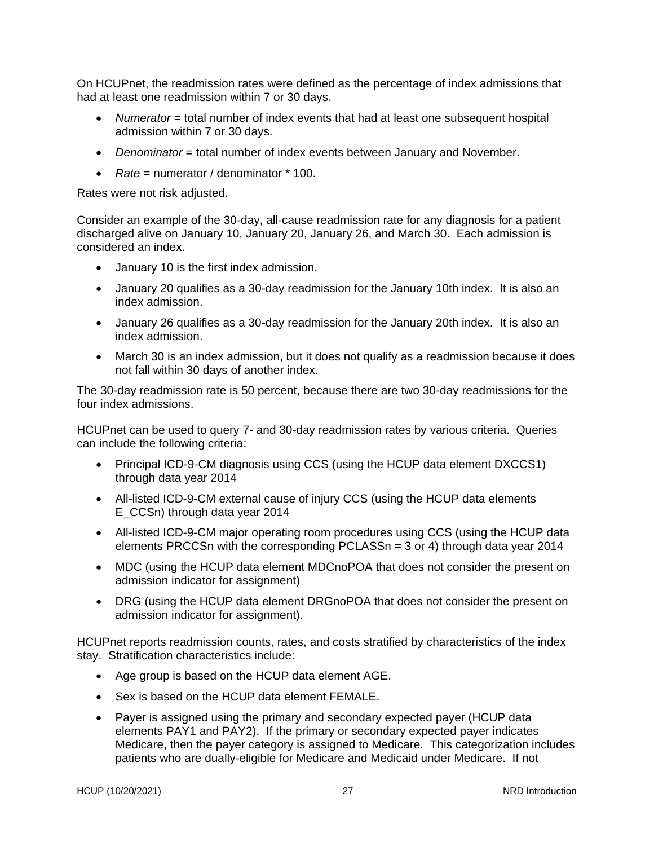On HCUPnet, the readmission rates were defined as the percentage of index admissions that had at least one readmission within 7 or 30 days.

- *Numerator* = total number of index events that had at least one subsequent hospital admission within 7 or 30 days.
- *Denominator* = total number of index events between January and November.
- *Rate* = numerator / denominator \* 100.

Rates were not risk adjusted.

Consider an example of the 30-day, all-cause readmission rate for any diagnosis for a patient discharged alive on January 10, January 20, January 26, and March 30. Each admission is considered an index.

- January 10 is the first index admission.
- January 20 qualifies as a 30-day readmission for the January 10th index. It is also an index admission.
- January 26 qualifies as a 30-day readmission for the January 20th index. It is also an index admission.
- March 30 is an index admission, but it does not qualify as a readmission because it does not fall within 30 days of another index.

The 30-day readmission rate is 50 percent, because there are two 30-day readmissions for the four index admissions.

HCUPnet can be used to query 7- and 30-day readmission rates by various criteria. Queries can include the following criteria:

- Principal ICD-9-CM diagnosis using CCS (using the HCUP data element DXCCS1) through data year 2014
- All-listed ICD-9-CM external cause of injury CCS (using the HCUP data elements E\_CCSn) through data year 2014
- All-listed ICD-9-CM major operating room procedures using CCS (using the HCUP data elements PRCCSn with the corresponding PCLASSn = 3 or 4) through data year 2014
- MDC (using the HCUP data element MDCnoPOA that does not consider the present on admission indicator for assignment)
- DRG (using the HCUP data element DRGnoPOA that does not consider the present on admission indicator for assignment).

HCUPnet reports readmission counts, rates, and costs stratified by characteristics of the index stay. Stratification characteristics include:

- Age group is based on the HCUP data element AGE.
- Sex is based on the HCUP data element FEMALE.
- Payer is assigned using the primary and secondary expected payer (HCUP data elements PAY1 and PAY2). If the primary or secondary expected payer indicates Medicare, then the payer category is assigned to Medicare. This categorization includes patients who are dually-eligible for Medicare and Medicaid under Medicare. If not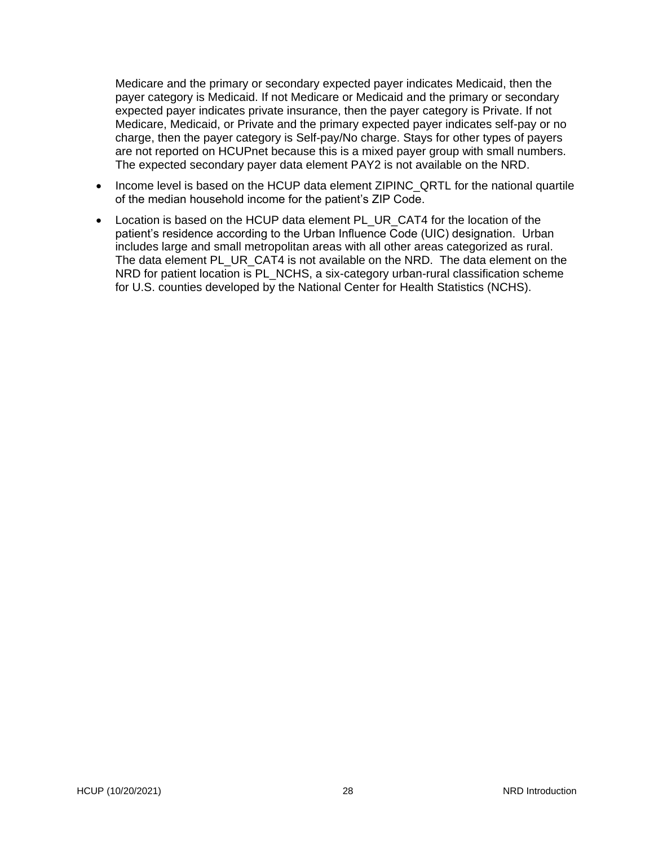Medicare and the primary or secondary expected payer indicates Medicaid, then the payer category is Medicaid. If not Medicare or Medicaid and the primary or secondary expected payer indicates private insurance, then the payer category is Private. If not Medicare, Medicaid, or Private and the primary expected payer indicates self-pay or no charge, then the payer category is Self-pay/No charge. Stays for other types of payers are not reported on HCUPnet because this is a mixed payer group with small numbers. The expected secondary payer data element PAY2 is not available on the NRD.

- Income level is based on the HCUP data element ZIPINC\_QRTL for the national quartile of the median household income for the patient's ZIP Code.
- Location is based on the HCUP data element PL\_UR\_CAT4 for the location of the patient's residence according to the Urban Influence Code (UIC) designation. Urban includes large and small metropolitan areas with all other areas categorized as rural. The data element PL\_UR\_CAT4 is not available on the NRD. The data element on the NRD for patient location is PL\_NCHS, a six-category urban-rural classification scheme for U.S. counties developed by the National Center for Health Statistics (NCHS).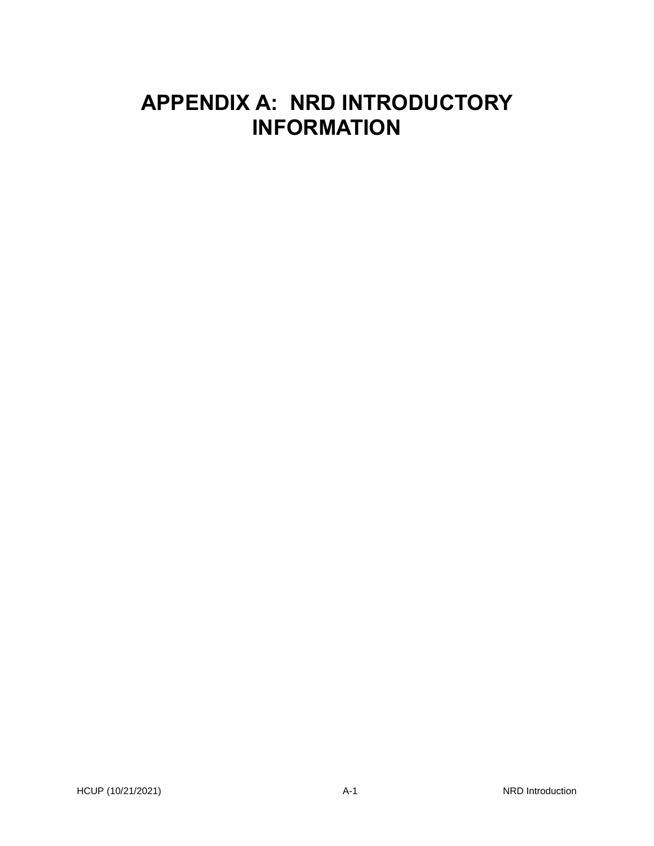# <span id="page-32-0"></span>**APPENDIX A: NRD INTRODUCTORY INFORMATION**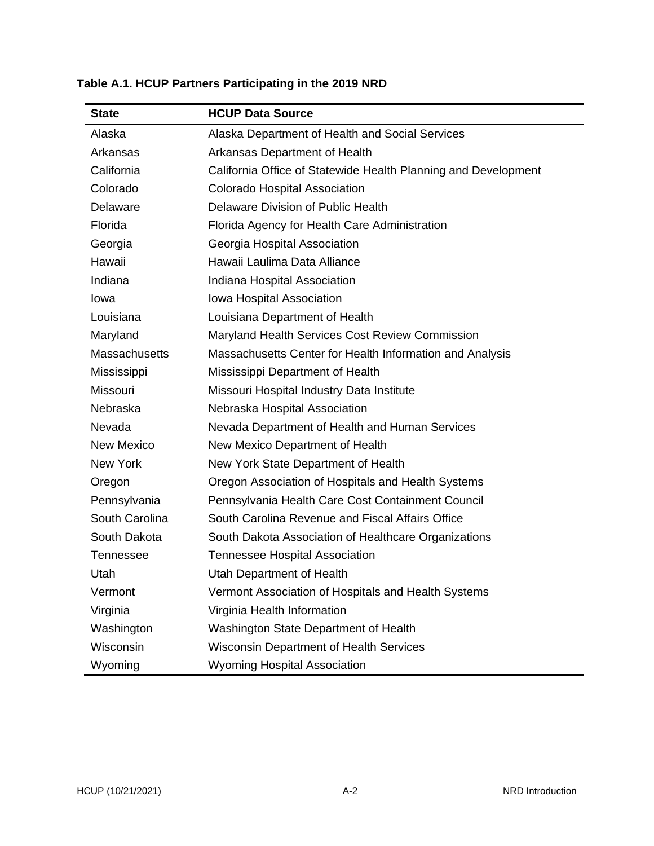| <b>State</b>         | <b>HCUP Data Source</b>                                        |
|----------------------|----------------------------------------------------------------|
| Alaska               | Alaska Department of Health and Social Services                |
| Arkansas             | Arkansas Department of Health                                  |
| California           | California Office of Statewide Health Planning and Development |
| Colorado             | Colorado Hospital Association                                  |
| Delaware             | Delaware Division of Public Health                             |
| Florida              | Florida Agency for Health Care Administration                  |
| Georgia              | Georgia Hospital Association                                   |
| Hawaii               | Hawaii Laulima Data Alliance                                   |
| Indiana              | Indiana Hospital Association                                   |
| lowa                 | Iowa Hospital Association                                      |
| Louisiana            | Louisiana Department of Health                                 |
| Maryland             | Maryland Health Services Cost Review Commission                |
| <b>Massachusetts</b> | Massachusetts Center for Health Information and Analysis       |
| Mississippi          | Mississippi Department of Health                               |
| Missouri             | Missouri Hospital Industry Data Institute                      |
| Nebraska             | Nebraska Hospital Association                                  |
| Nevada               | Nevada Department of Health and Human Services                 |
| <b>New Mexico</b>    | New Mexico Department of Health                                |
| New York             | New York State Department of Health                            |
| Oregon               | Oregon Association of Hospitals and Health Systems             |
| Pennsylvania         | Pennsylvania Health Care Cost Containment Council              |
| South Carolina       | South Carolina Revenue and Fiscal Affairs Office               |
| South Dakota         | South Dakota Association of Healthcare Organizations           |
| Tennessee            | <b>Tennessee Hospital Association</b>                          |
| Utah                 | Utah Department of Health                                      |
| Vermont              | Vermont Association of Hospitals and Health Systems            |
| Virginia             | Virginia Health Information                                    |
| Washington           | Washington State Department of Health                          |
| Wisconsin            | <b>Wisconsin Department of Health Services</b>                 |
| Wyoming              | <b>Wyoming Hospital Association</b>                            |

# <span id="page-33-0"></span>**Table A.1. HCUP Partners Participating in the 2019 NRD**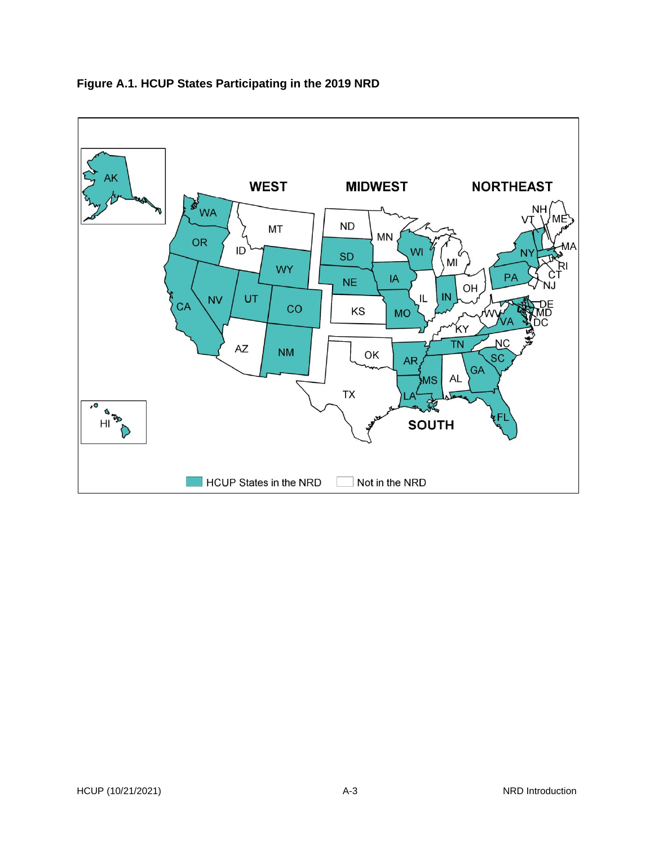<span id="page-34-1"></span>

## <span id="page-34-0"></span>**Figure A.1. HCUP States Participating in the 2019 NRD**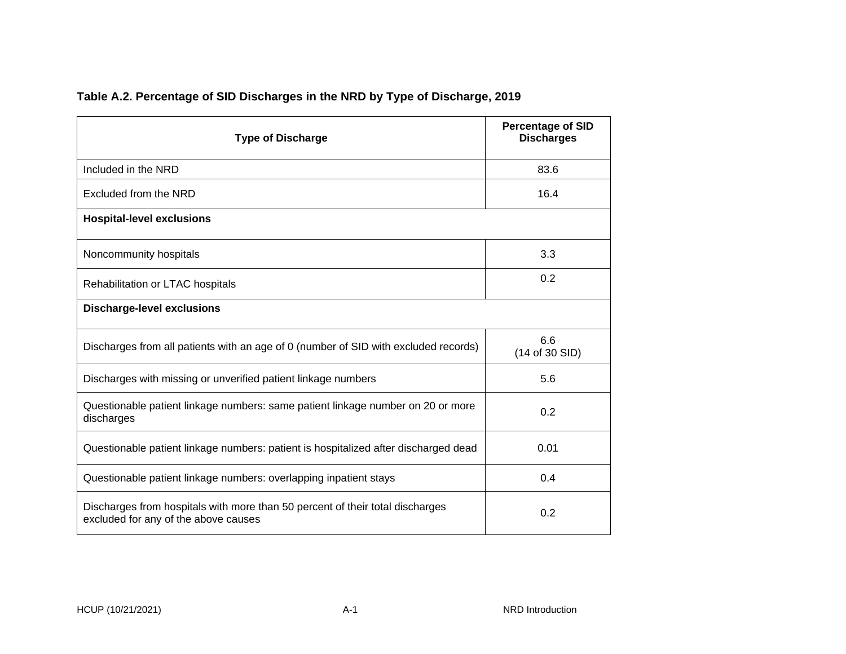<span id="page-35-1"></span><span id="page-35-0"></span>

| <b>Type of Discharge</b>                                                                                              | <b>Percentage of SID</b><br><b>Discharges</b> |
|-----------------------------------------------------------------------------------------------------------------------|-----------------------------------------------|
| Included in the NRD                                                                                                   | 83.6                                          |
| Excluded from the NRD                                                                                                 | 16.4                                          |
| <b>Hospital-level exclusions</b>                                                                                      |                                               |
| Noncommunity hospitals                                                                                                | 3.3                                           |
| Rehabilitation or LTAC hospitals                                                                                      | 0.2                                           |
| <b>Discharge-level exclusions</b>                                                                                     |                                               |
| Discharges from all patients with an age of 0 (number of SID with excluded records)                                   | 6.6<br>(14 of 30 SID)                         |
| Discharges with missing or unverified patient linkage numbers                                                         | 5.6                                           |
| Questionable patient linkage numbers: same patient linkage number on 20 or more<br>discharges                         | 0.2                                           |
| Questionable patient linkage numbers: patient is hospitalized after discharged dead                                   | 0.01                                          |
| Questionable patient linkage numbers: overlapping inpatient stays                                                     | 0.4                                           |
| Discharges from hospitals with more than 50 percent of their total discharges<br>excluded for any of the above causes | 0.2                                           |

# **Table A.2. Percentage of SID Discharges in the NRD by Type of Discharge, 2019**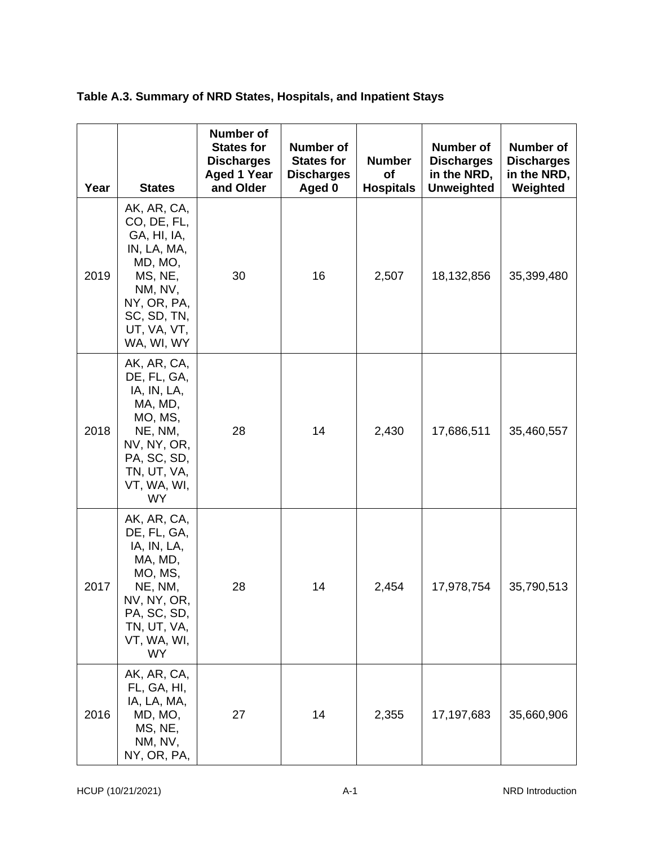| Table A.3. Summary of NRD States, Hospitals, and Inpatient Stays |  |  |  |
|------------------------------------------------------------------|--|--|--|
|                                                                  |  |  |  |

| Year | <b>States</b>                                                                                                                                        | <b>Number of</b><br><b>States for</b><br><b>Discharges</b><br><b>Aged 1 Year</b><br>and Older | <b>Number of</b><br><b>States for</b><br><b>Discharges</b><br>Aged 0 | <b>Number</b><br>of<br><b>Hospitals</b> | <b>Number of</b><br><b>Discharges</b><br>in the NRD,<br><b>Unweighted</b> | Number of<br><b>Discharges</b><br>in the NRD,<br>Weighted |
|------|------------------------------------------------------------------------------------------------------------------------------------------------------|-----------------------------------------------------------------------------------------------|----------------------------------------------------------------------|-----------------------------------------|---------------------------------------------------------------------------|-----------------------------------------------------------|
| 2019 | AK, AR, CA,<br>CO, DE, FL,<br>GA, HI, IA,<br>IN, LA, MA,<br>MD, MO,<br>MS, NE,<br>NM, NV,<br>NY, OR, PA,<br>SC, SD, TN,<br>UT, VA, VT,<br>WA, WI, WY | 30                                                                                            | 16                                                                   | 2,507                                   | 18,132,856                                                                | 35,399,480                                                |
| 2018 | AK, AR, CA,<br>DE, FL, GA,<br>IA, IN, LA,<br>MA, MD,<br>MO, MS,<br>NE, NM,<br>NV, NY, OR,<br>PA, SC, SD,<br>TN, UT, VA,<br>VT, WA, WI,<br><b>WY</b>  | 28                                                                                            | 14                                                                   | 2,430                                   | 17,686,511                                                                | 35,460,557                                                |
| 2017 | AK, AR, CA,<br>DE, FL, GA,<br>IA, IN, LA,<br>MA, MD,<br>MO, MS,<br>NE, NM,<br>NV, NY, OR,<br>PA, SC, SD,<br>TN, UT, VA,<br>VT, WA, WI,<br><b>WY</b>  | 28                                                                                            | 14                                                                   | 2,454                                   | 17,978,754                                                                | 35,790,513                                                |
| 2016 | AK, AR, CA,<br>FL, GA, HI,<br>IA, LA, MA,<br>MD, MO,<br>MS, NE,<br>NM, NV,<br>NY, OR, PA,                                                            | 27                                                                                            | 14                                                                   | 2,355                                   | 17,197,683                                                                | 35,660,906                                                |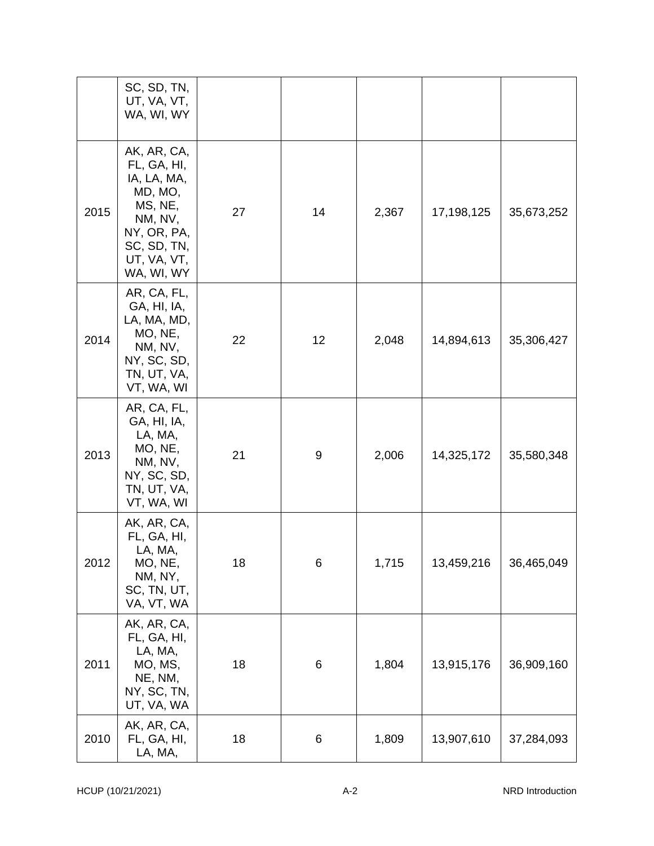|      | SC, SD, TN,<br>UT, VA, VT,<br>WA, WI, WY                                                                                              |    |    |       |            |            |
|------|---------------------------------------------------------------------------------------------------------------------------------------|----|----|-------|------------|------------|
| 2015 | AK, AR, CA,<br>FL, GA, HI,<br>IA, LA, MA,<br>MD, MO,<br>MS, NE,<br>NM, NV,<br>NY, OR, PA,<br>SC, SD, TN,<br>UT, VA, VT,<br>WA, WI, WY | 27 | 14 | 2,367 | 17,198,125 | 35,673,252 |
| 2014 | AR, CA, FL,<br>GA, HI, IA,<br>LA, MA, MD,<br>MO, NE,<br>NM, NV,<br>NY, SC, SD,<br>TN, UT, VA,<br>VT, WA, WI                           | 22 | 12 | 2,048 | 14,894,613 | 35,306,427 |
| 2013 | AR, CA, FL,<br>GA, HI, IA,<br>LA, MA,<br>MO, NE,<br>NM, NV,<br>NY, SC, SD,<br>TN, UT, VA,<br>VT, WA, WI                               | 21 | 9  | 2,006 | 14,325,172 | 35,580,348 |
| 2012 | AK, AR, CA,<br>FL, GA, HI,<br>LA, MA,<br>MO, NE,<br>NM, NY,<br>SC, TN, UT,<br>VA, VT, WA                                              | 18 | 6  | 1,715 | 13,459,216 | 36,465,049 |
| 2011 | AK, AR, CA,<br>FL, GA, HI,<br>LA, MA,<br>MO, MS,<br>NE, NM,<br>NY, SC, TN,<br>UT, VA, WA                                              | 18 | 6  | 1,804 | 13,915,176 | 36,909,160 |
| 2010 | AK, AR, CA,<br>FL, GA, HI,<br>LA, MA,                                                                                                 | 18 | 6  | 1,809 | 13,907,610 | 37,284,093 |

A -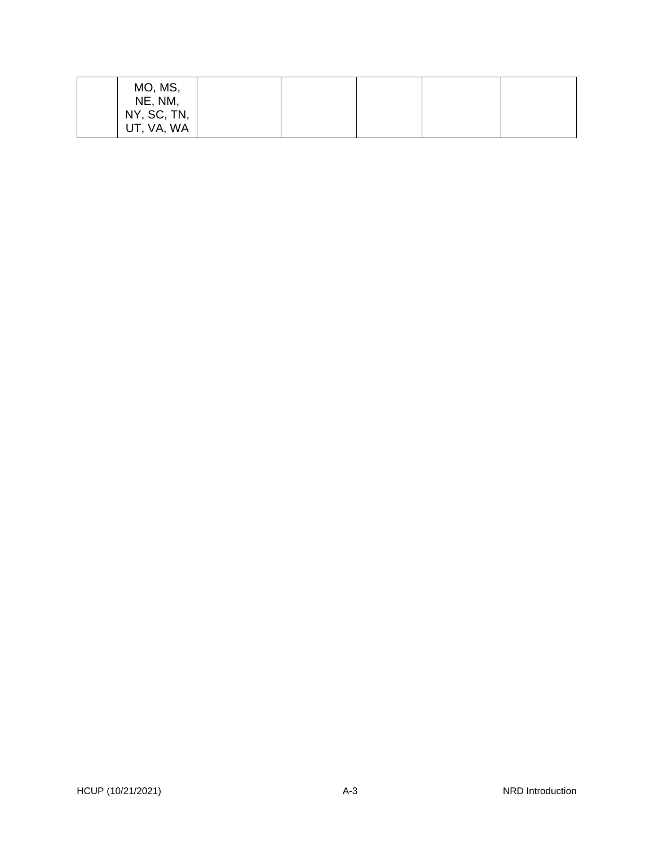| MO, MS,<br>NE, NM,        |  |  |  |
|---------------------------|--|--|--|
| NY, SC, TN,<br>UT, VA, WA |  |  |  |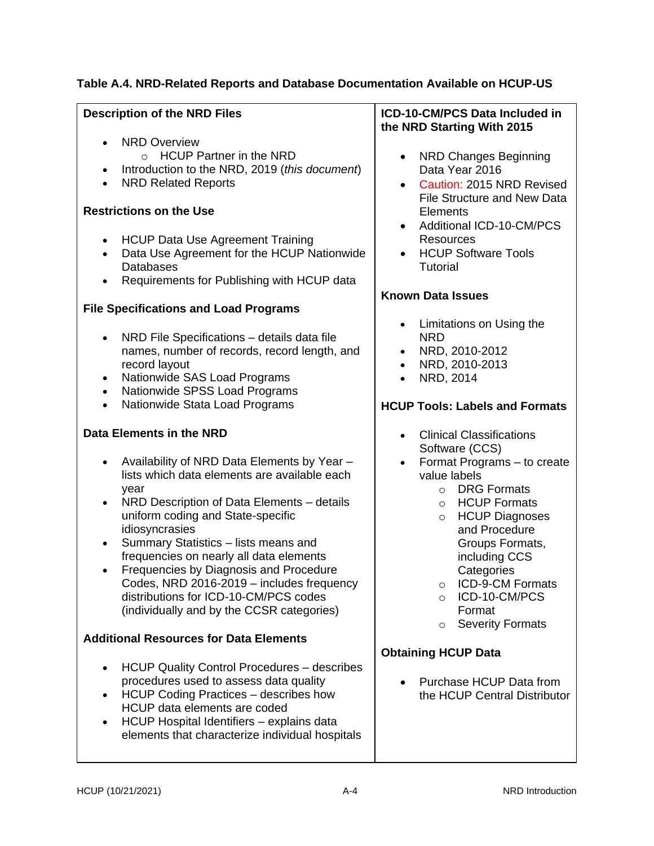### **Table A.4. NRD-Related Reports and Database Documentation Available on HCUP-US**

| <b>Description of the NRD Files</b>                                                                                                                                                                                                                                                                                                                                                                                                                                                                                                                      | ICD-10-CM/PCS Data Included in<br>the NRD Starting With 2015                                                                                                                                                                                                                                                                                       |
|----------------------------------------------------------------------------------------------------------------------------------------------------------------------------------------------------------------------------------------------------------------------------------------------------------------------------------------------------------------------------------------------------------------------------------------------------------------------------------------------------------------------------------------------------------|----------------------------------------------------------------------------------------------------------------------------------------------------------------------------------------------------------------------------------------------------------------------------------------------------------------------------------------------------|
| <b>NRD Overview</b><br>$\circ$ HCUP Partner in the NRD<br>Introduction to the NRD, 2019 (this document)<br>$\bullet$<br><b>NRD Related Reports</b><br>$\bullet$<br><b>Restrictions on the Use</b><br><b>HCUP Data Use Agreement Training</b><br>$\bullet$<br>Data Use Agreement for the HCUP Nationwide<br>$\bullet$<br><b>Databases</b><br>Requirements for Publishing with HCUP data<br>$\bullet$<br><b>File Specifications and Load Programs</b>                                                                                                      | <b>NRD Changes Beginning</b><br>$\bullet$<br>Data Year 2016<br>Caution: 2015 NRD Revised<br><b>File Structure and New Data</b><br>Elements<br>Additional ICD-10-CM/PCS<br>Resources<br><b>HCUP Software Tools</b><br>$\bullet$<br><b>Tutorial</b><br><b>Known Data Issues</b>                                                                      |
| NRD File Specifications - details data file<br>$\bullet$<br>names, number of records, record length, and<br>record layout<br>Nationwide SAS Load Programs<br>$\bullet$<br>Nationwide SPSS Load Programs<br>$\bullet$<br>Nationwide Stata Load Programs<br>$\bullet$                                                                                                                                                                                                                                                                                      | Limitations on Using the<br><b>NRD</b><br>NRD, 2010-2012<br>NRD, 2010-2013<br>$\bullet$<br>NRD, 2014<br>$\bullet$<br><b>HCUP Tools: Labels and Formats</b>                                                                                                                                                                                         |
| Data Elements in the NRD                                                                                                                                                                                                                                                                                                                                                                                                                                                                                                                                 | <b>Clinical Classifications</b><br>$\bullet$                                                                                                                                                                                                                                                                                                       |
| Availability of NRD Data Elements by Year -<br>lists which data elements are available each<br>year<br>NRD Description of Data Elements - details<br>$\bullet$<br>uniform coding and State-specific<br>idiosyncrasies<br>Summary Statistics - lists means and<br>$\bullet$<br>frequencies on nearly all data elements<br>Frequencies by Diagnosis and Procedure<br>٠<br>Codes, NRD 2016-2019 - includes frequency<br>distributions for ICD-10-CM/PCS codes<br>(individually and by the CCSR categories)<br><b>Additional Resources for Data Elements</b> | Software (CCS)<br>Format Programs - to create<br>value labels<br><b>DRG Formats</b><br>$\circ$<br><b>HCUP Formats</b><br>$\circ$<br><b>HCUP Diagnoses</b><br>$\circ$<br>and Procedure<br>Groups Formats,<br>including CCS<br>Categories<br>ICD-9-CM Formats<br>$\circ$<br>ICD-10-CM/PCS<br>$\circ$<br>Format<br><b>Severity Formats</b><br>$\circ$ |
|                                                                                                                                                                                                                                                                                                                                                                                                                                                                                                                                                          | <b>Obtaining HCUP Data</b>                                                                                                                                                                                                                                                                                                                         |
| <b>HCUP Quality Control Procedures - describes</b><br>$\bullet$<br>procedures used to assess data quality<br>HCUP Coding Practices - describes how<br>$\bullet$<br>HCUP data elements are coded<br>HCUP Hospital Identifiers - explains data<br>$\bullet$<br>elements that characterize individual hospitals                                                                                                                                                                                                                                             | Purchase HCUP Data from<br>the HCUP Central Distributor                                                                                                                                                                                                                                                                                            |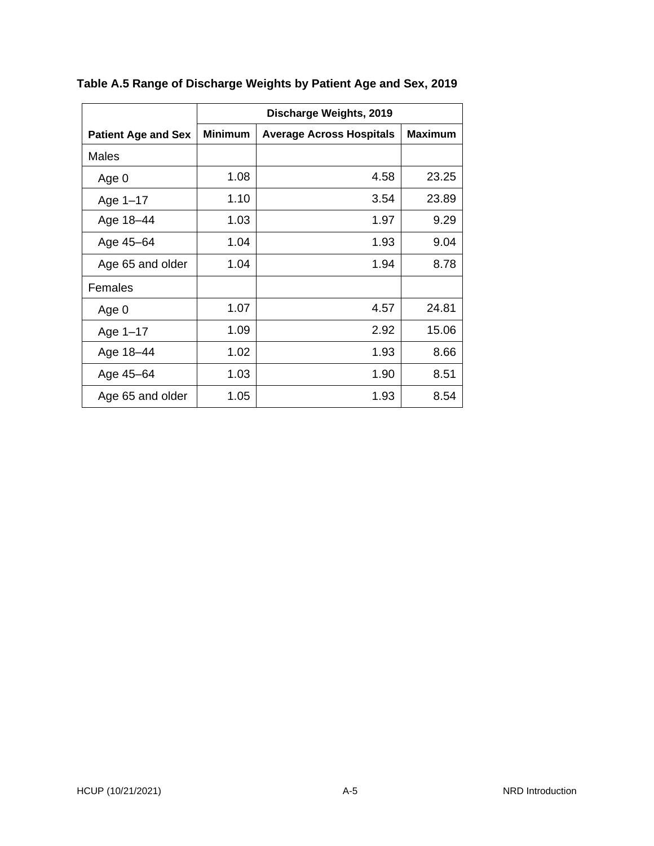|                            | Discharge Weights, 2019 |                                 |                |  |
|----------------------------|-------------------------|---------------------------------|----------------|--|
| <b>Patient Age and Sex</b> | <b>Minimum</b>          | <b>Average Across Hospitals</b> | <b>Maximum</b> |  |
| Males                      |                         |                                 |                |  |
| Age 0                      | 1.08                    | 4.58                            | 23.25          |  |
| Age 1-17                   | 1.10                    | 3.54                            | 23.89          |  |
| Age 18-44                  | 1.03                    | 1.97                            | 9.29           |  |
| Age 45-64                  | 1.04                    | 1.93                            | 9.04           |  |
| Age 65 and older           | 1.04                    | 1.94                            | 8.78           |  |
| Females                    |                         |                                 |                |  |
| Age 0                      | 1.07                    | 4.57                            | 24.81          |  |
| Age 1-17                   | 1.09                    | 2.92                            | 15.06          |  |
| Age 18-44                  | 1.02                    | 1.93                            | 8.66           |  |
| Age 45-64                  | 1.03                    | 1.90                            | 8.51           |  |
| Age 65 and older           | 1.05                    | 1.93                            | 8.54           |  |

**Table A.5 Range of Discharge Weights by Patient Age and Sex, 2019**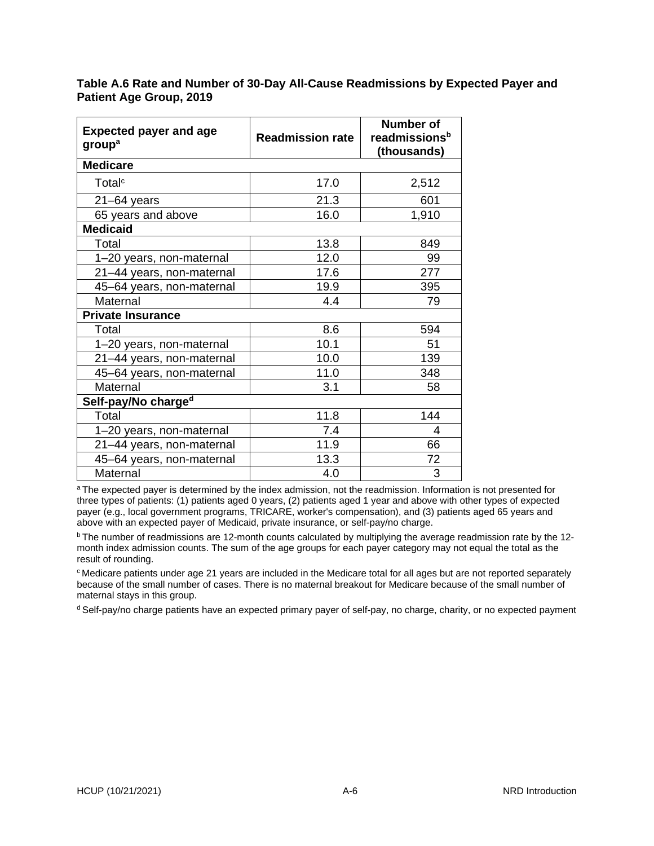| <b>Expected payer and age</b><br>group <sup>a</sup> | <b>Readmission rate</b> | Number of<br>readmissions <sup>b</sup><br>(thousands) |  |  |
|-----------------------------------------------------|-------------------------|-------------------------------------------------------|--|--|
| <b>Medicare</b>                                     |                         |                                                       |  |  |
| Total <sup>c</sup>                                  | 17.0                    | 2,512                                                 |  |  |
| $21 - 64$ years                                     | 21.3                    | 601                                                   |  |  |
| 65 years and above                                  | 16.0                    | 1,910                                                 |  |  |
| <b>Medicaid</b>                                     |                         |                                                       |  |  |
| Total                                               | 13.8                    | 849                                                   |  |  |
| 1-20 years, non-maternal                            | 12.0                    | 99                                                    |  |  |
| 21-44 years, non-maternal                           | 17.6                    | 277                                                   |  |  |
| 45-64 years, non-maternal                           | 19.9                    | 395                                                   |  |  |
| Maternal                                            | 4.4                     | 79                                                    |  |  |
| <b>Private Insurance</b>                            |                         |                                                       |  |  |
| Total                                               | 8.6                     | 594                                                   |  |  |
| 1-20 years, non-maternal                            | 10.1                    | 51                                                    |  |  |
| 21-44 years, non-maternal                           | 10.0                    | 139                                                   |  |  |
| 45-64 years, non-maternal                           | 11.0                    | 348                                                   |  |  |
| Maternal                                            | 3.1                     | 58                                                    |  |  |
| Self-pay/No charge <sup>d</sup>                     |                         |                                                       |  |  |
| Total                                               | 11.8                    | 144                                                   |  |  |
| 1-20 years, non-maternal                            | 7.4                     | 4                                                     |  |  |
| 21-44 years, non-maternal                           | 11.9                    | 66                                                    |  |  |
| 45-64 years, non-maternal                           | 13.3                    | 72                                                    |  |  |
| Maternal                                            | 4.0                     | 3                                                     |  |  |

**Table A.6 Rate and Number of 30-Day All-Cause Readmissions by Expected Payer and Patient Age Group, 2019**

<sup>a</sup>The expected payer is determined by the index admission, not the readmission. Information is not presented for three types of patients: (1) patients aged 0 years, (2) patients aged 1 year and above with other types of expected payer (e.g., local government programs, TRICARE, worker's compensation), and (3) patients aged 65 years and above with an expected payer of Medicaid, private insurance, or self-pay/no charge.

 $b$  The number of readmissions are 12-month counts calculated by multiplying the average readmission rate by the 12month index admission counts. The sum of the age groups for each payer category may not equal the total as the result of rounding.

 $c$ Medicare patients under age 21 years are included in the Medicare total for all ages but are not reported separately because of the small number of cases. There is no maternal breakout for Medicare because of the small number of maternal stays in this group.

d Self-pay/no charge patients have an expected primary payer of self-pay, no charge, charity, or no expected payment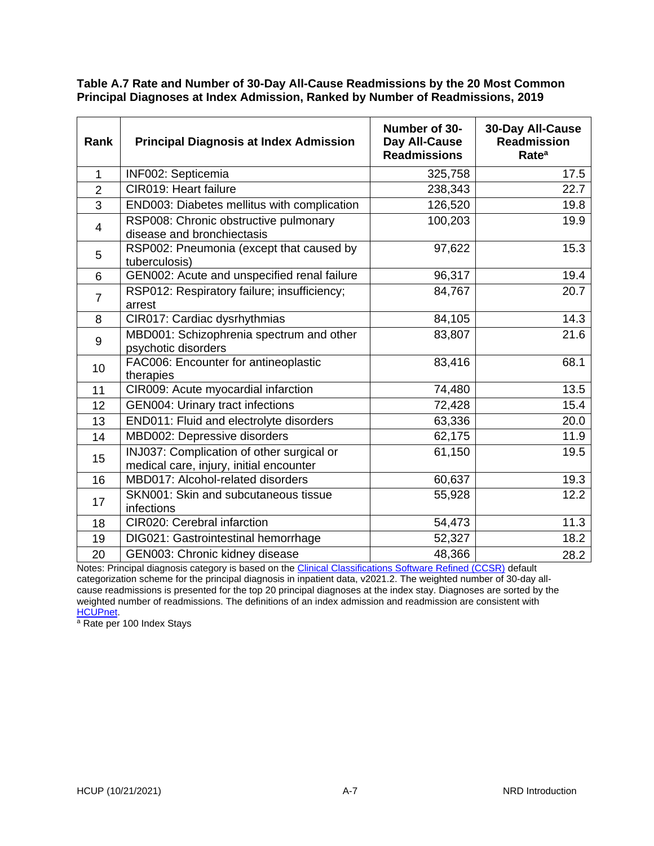**Table A.7 Rate and Number of 30-Day All-Cause Readmissions by the 20 Most Common Principal Diagnoses at Index Admission, Ranked by Number of Readmissions, 2019**

| Rank           | <b>Principal Diagnosis at Index Admission</b>                                        | Number of 30-<br>Day All-Cause<br><b>Readmissions</b> | 30-Day All-Cause<br><b>Readmission</b><br>Rate <sup>a</sup> |
|----------------|--------------------------------------------------------------------------------------|-------------------------------------------------------|-------------------------------------------------------------|
| $\mathbf{1}$   | INF002: Septicemia                                                                   | 325,758                                               | 17.5                                                        |
| $\overline{2}$ | CIR019: Heart failure                                                                | 238,343                                               | 22.7                                                        |
| 3              | END003: Diabetes mellitus with complication                                          | 126,520                                               | 19.8                                                        |
| 4              | RSP008: Chronic obstructive pulmonary<br>disease and bronchiectasis                  | 100,203                                               | 19.9                                                        |
| 5              | RSP002: Pneumonia (except that caused by<br>tuberculosis)                            | 97,622                                                | 15.3                                                        |
| 6              | GEN002: Acute and unspecified renal failure                                          | 96,317                                                | 19.4                                                        |
| $\overline{7}$ | RSP012: Respiratory failure; insufficiency;<br>arrest                                | 84,767                                                | 20.7                                                        |
| 8              | CIR017: Cardiac dysrhythmias                                                         | 84,105                                                | 14.3                                                        |
| 9              | MBD001: Schizophrenia spectrum and other<br>psychotic disorders                      | 83,807                                                | 21.6                                                        |
| 10             | FAC006: Encounter for antineoplastic<br>therapies                                    | 83,416                                                | 68.1                                                        |
| 11             | CIR009: Acute myocardial infarction                                                  | 74,480                                                | 13.5                                                        |
| 12             | <b>GEN004: Urinary tract infections</b>                                              | 72,428                                                | 15.4                                                        |
| 13             | END011: Fluid and electrolyte disorders                                              | 63,336                                                | 20.0                                                        |
| 14             | MBD002: Depressive disorders                                                         | 62,175                                                | 11.9                                                        |
| 15             | INJ037: Complication of other surgical or<br>medical care, injury, initial encounter | 61,150                                                | 19.5                                                        |
| 16             | MBD017: Alcohol-related disorders                                                    | 60,637                                                | 19.3                                                        |
| 17             | SKN001: Skin and subcutaneous tissue<br>infections                                   | 55,928                                                | 12.2                                                        |
| 18             | CIR020: Cerebral infarction                                                          | 54,473                                                | 11.3                                                        |
| 19             | DIG021: Gastrointestinal hemorrhage                                                  | 52,327                                                | 18.2                                                        |
| 20             | GEN003: Chronic kidney disease                                                       | 48,366                                                | 28.2                                                        |

Notes: Principal diagnosis category is based on th[e Clinical Classifications Software Refined \(CCSR\)](https://www.hcup-us.ahrq.gov/toolssoftware/ccsr/ccs_refined.jsp) default categorization scheme for the principal diagnosis in inpatient data, v2021.2. The weighted number of 30-day allcause readmissions is presented for the top 20 principal diagnoses at the index stay. Diagnoses are sorted by the weighted number of readmissions. The definitions of an index admission and readmission are consistent with [HCUPnet.](#page-29-0)

<sup>a</sup> Rate per 100 Index Stays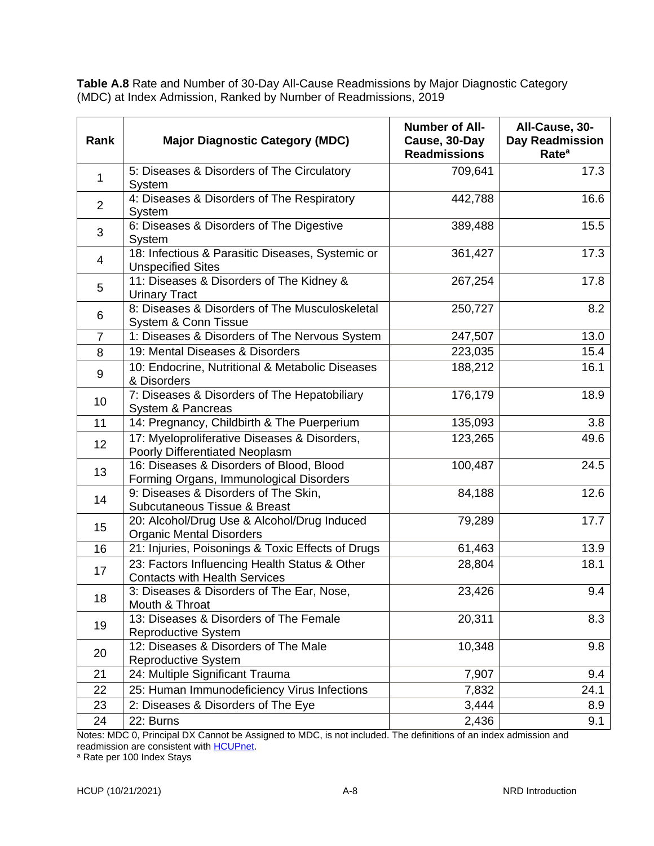**Table A.8** Rate and Number of 30-Day All-Cause Readmissions by Major Diagnostic Category (MDC) at Index Admission, Ranked by Number of Readmissions, 2019

| Rank           | <b>Major Diagnostic Category (MDC)</b>                                                | <b>Number of All-</b><br>Cause, 30-Day<br><b>Readmissions</b> | All-Cause, 30-<br><b>Day Readmission</b><br>Rate <sup>a</sup> |
|----------------|---------------------------------------------------------------------------------------|---------------------------------------------------------------|---------------------------------------------------------------|
| $\mathbf{1}$   | 5: Diseases & Disorders of The Circulatory<br>System                                  | 709,641                                                       | 17.3                                                          |
| $\overline{2}$ | 4: Diseases & Disorders of The Respiratory<br>System                                  | 442,788                                                       | 16.6                                                          |
| 3              | 6: Diseases & Disorders of The Digestive<br>System                                    | 389,488                                                       | 15.5                                                          |
| 4              | 18: Infectious & Parasitic Diseases, Systemic or<br><b>Unspecified Sites</b>          | 361,427                                                       | 17.3                                                          |
| 5              | 11: Diseases & Disorders of The Kidney &<br><b>Urinary Tract</b>                      | 267,254                                                       | 17.8                                                          |
| 6              | 8: Diseases & Disorders of The Musculoskeletal<br>System & Conn Tissue                | 250,727                                                       | 8.2                                                           |
| $\overline{7}$ | 1: Diseases & Disorders of The Nervous System                                         | 247,507                                                       | 13.0                                                          |
| 8              | 19: Mental Diseases & Disorders                                                       | 223,035                                                       | 15.4                                                          |
| 9              | 10: Endocrine, Nutritional & Metabolic Diseases<br>& Disorders                        | 188,212                                                       | 16.1                                                          |
| 10             | 7: Diseases & Disorders of The Hepatobiliary<br>System & Pancreas                     | 176,179                                                       | 18.9                                                          |
| 11             | 14: Pregnancy, Childbirth & The Puerperium                                            | 135,093                                                       | $\overline{3.8}$                                              |
| 12             | 17: Myeloproliferative Diseases & Disorders,<br>Poorly Differentiated Neoplasm        | 123,265                                                       | 49.6                                                          |
| 13             | 16: Diseases & Disorders of Blood, Blood<br>Forming Organs, Immunological Disorders   | 100,487                                                       | 24.5                                                          |
| 14             | 9: Diseases & Disorders of The Skin,<br>Subcutaneous Tissue & Breast                  | 84,188                                                        | 12.6                                                          |
| 15             | 20: Alcohol/Drug Use & Alcohol/Drug Induced<br><b>Organic Mental Disorders</b>        | 79,289                                                        | 17.7                                                          |
| 16             | 21: Injuries, Poisonings & Toxic Effects of Drugs                                     | 61,463                                                        | 13.9                                                          |
| 17             | 23: Factors Influencing Health Status & Other<br><b>Contacts with Health Services</b> | 28,804                                                        | 18.1                                                          |
| 18             | 3: Diseases & Disorders of The Ear, Nose,<br>Mouth & Throat                           | 23,426                                                        | 9.4                                                           |
| 19             | 13: Diseases & Disorders of The Female<br><b>Reproductive System</b>                  | 20,311                                                        | 8.3                                                           |
| 20             | 12: Diseases & Disorders of The Male<br>Reproductive System                           | 10,348                                                        | 9.8                                                           |
| 21             | 24: Multiple Significant Trauma                                                       | 7,907                                                         | 9.4                                                           |
| 22             | 25: Human Immunodeficiency Virus Infections                                           | 7,832                                                         | 24.1                                                          |
| 23             | 2: Diseases & Disorders of The Eye                                                    | 3,444                                                         | 8.9                                                           |
| 24             | 22: Burns                                                                             | 2,436                                                         | 9.1                                                           |

Notes: MDC 0, Principal DX Cannot be Assigned to MDC, is not included. The definitions of an index admission and readmission are consistent with [HCUPnet.](#page-29-0)

<sup>a</sup> Rate per 100 Index Stays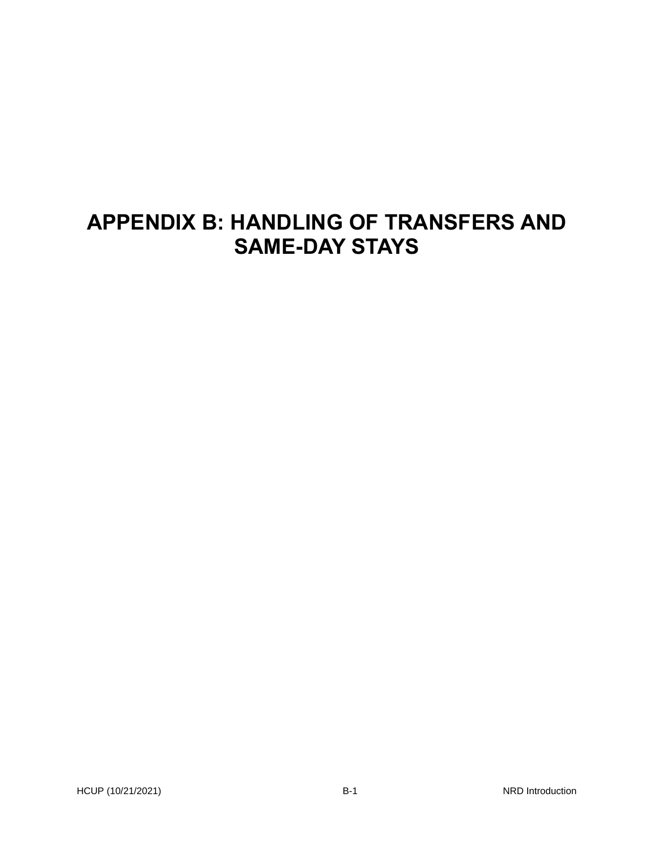## **APPENDIX B: HANDLING OF TRANSFERS AND SAME-DAY STAYS**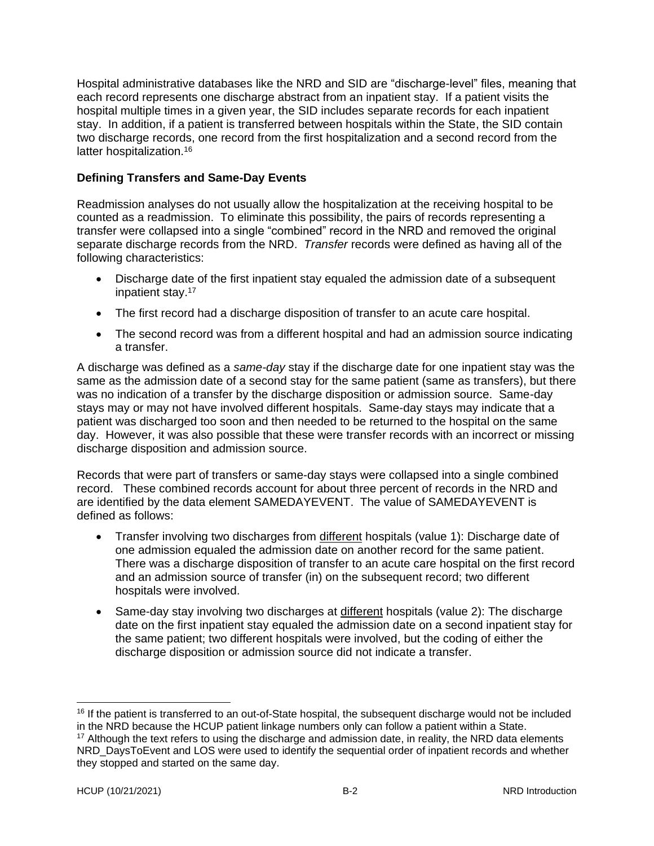Hospital administrative databases like the NRD and SID are "discharge-level" files, meaning that each record represents one discharge abstract from an inpatient stay. If a patient visits the hospital multiple times in a given year, the SID includes separate records for each inpatient stay. In addition, if a patient is transferred between hospitals within the State, the SID contain two discharge records, one record from the first hospitalization and a second record from the latter hospitalization.<sup>16</sup>

#### **Defining Transfers and Same-Day Events**

Readmission analyses do not usually allow the hospitalization at the receiving hospital to be counted as a readmission. To eliminate this possibility, the pairs of records representing a transfer were collapsed into a single "combined" record in the NRD and removed the original separate discharge records from the NRD. *Transfer* records were defined as having all of the following characteristics:

- Discharge date of the first inpatient stay equaled the admission date of a subsequent inpatient stay.<sup>17</sup>
- The first record had a discharge disposition of transfer to an acute care hospital.
- The second record was from a different hospital and had an admission source indicating a transfer.

A discharge was defined as a *same-day* stay if the discharge date for one inpatient stay was the same as the admission date of a second stay for the same patient (same as transfers), but there was no indication of a transfer by the discharge disposition or admission source. Same-day stays may or may not have involved different hospitals. Same-day stays may indicate that a patient was discharged too soon and then needed to be returned to the hospital on the same day. However, it was also possible that these were transfer records with an incorrect or missing discharge disposition and admission source.

Records that were part of transfers or same-day stays were collapsed into a single combined record. These combined records account for about three percent of records in the NRD and are identified by the data element SAMEDAYEVENT. The value of SAMEDAYEVENT is defined as follows:

- Transfer involving two discharges from different hospitals (value 1): Discharge date of one admission equaled the admission date on another record for the same patient. There was a discharge disposition of transfer to an acute care hospital on the first record and an admission source of transfer (in) on the subsequent record; two different hospitals were involved.
- Same-day stay involving two discharges at different hospitals (value 2): The discharge date on the first inpatient stay equaled the admission date on a second inpatient stay for the same patient; two different hospitals were involved, but the coding of either the discharge disposition or admission source did not indicate a transfer.

<sup>&</sup>lt;sup>16</sup> If the patient is transferred to an out-of-State hospital, the subsequent discharge would not be included in the NRD because the HCUP patient linkage numbers only can follow a patient within a State.

 $17$  Although the text refers to using the discharge and admission date, in reality, the NRD data elements NRD\_DaysToEvent and LOS were used to identify the sequential order of inpatient records and whether they stopped and started on the same day.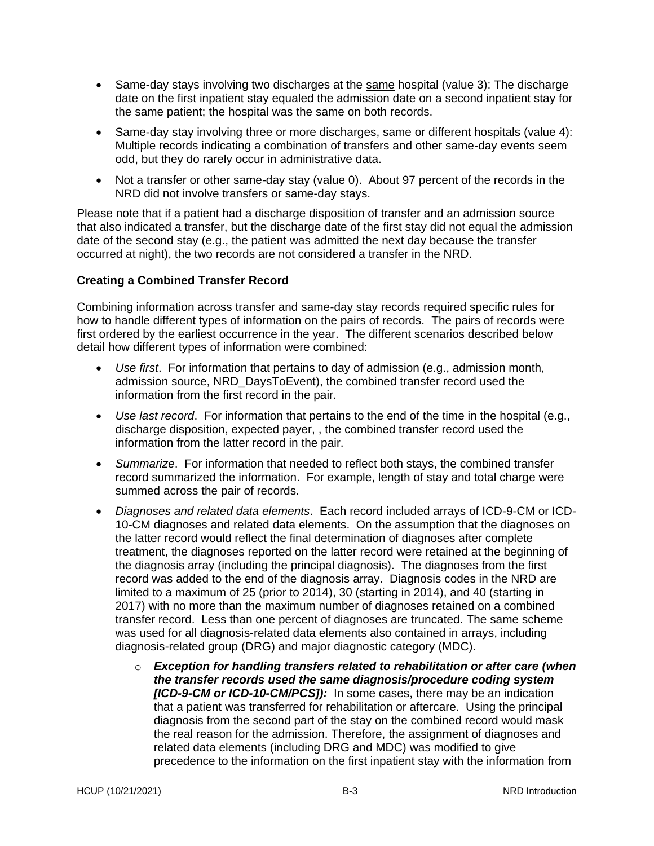- Same-day stays involving two discharges at the same hospital (value 3): The discharge date on the first inpatient stay equaled the admission date on a second inpatient stay for the same patient; the hospital was the same on both records.
- Same-day stay involving three or more discharges, same or different hospitals (value 4): Multiple records indicating a combination of transfers and other same-day events seem odd, but they do rarely occur in administrative data.
- Not a transfer or other same-day stay (value 0). About 97 percent of the records in the NRD did not involve transfers or same-day stays.

Please note that if a patient had a discharge disposition of transfer and an admission source that also indicated a transfer, but the discharge date of the first stay did not equal the admission date of the second stay (e.g., the patient was admitted the next day because the transfer occurred at night), the two records are not considered a transfer in the NRD.

#### **Creating a Combined Transfer Record**

Combining information across transfer and same-day stay records required specific rules for how to handle different types of information on the pairs of records. The pairs of records were first ordered by the earliest occurrence in the year. The different scenarios described below detail how different types of information were combined:

- *Use first*. For information that pertains to day of admission (e.g., admission month, admission source, NRD\_DaysToEvent), the combined transfer record used the information from the first record in the pair.
- *Use last record*. For information that pertains to the end of the time in the hospital (e.g., discharge disposition, expected payer, , the combined transfer record used the information from the latter record in the pair.
- *Summarize*. For information that needed to reflect both stays, the combined transfer record summarized the information. For example, length of stay and total charge were summed across the pair of records.
- *Diagnoses and related data elements*. Each record included arrays of ICD-9-CM or ICD-10-CM diagnoses and related data elements. On the assumption that the diagnoses on the latter record would reflect the final determination of diagnoses after complete treatment, the diagnoses reported on the latter record were retained at the beginning of the diagnosis array (including the principal diagnosis). The diagnoses from the first record was added to the end of the diagnosis array. Diagnosis codes in the NRD are limited to a maximum of 25 (prior to 2014), 30 (starting in 2014), and 40 (starting in 2017) with no more than the maximum number of diagnoses retained on a combined transfer record. Less than one percent of diagnoses are truncated. The same scheme was used for all diagnosis-related data elements also contained in arrays, including diagnosis-related group (DRG) and major diagnostic category (MDC).
	- o *Exception for handling transfers related to rehabilitation or after care (when the transfer records used the same diagnosis/procedure coding system [ICD-9-CM or ICD-10-CM/PCS]):* In some cases, there may be an indication that a patient was transferred for rehabilitation or aftercare. Using the principal diagnosis from the second part of the stay on the combined record would mask the real reason for the admission. Therefore, the assignment of diagnoses and related data elements (including DRG and MDC) was modified to give precedence to the information on the first inpatient stay with the information from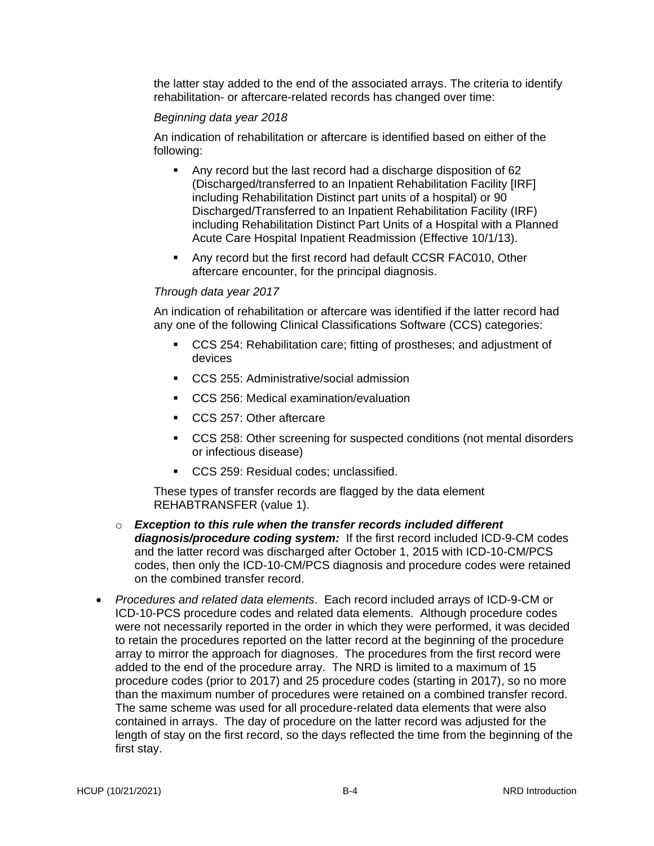the latter stay added to the end of the associated arrays. The criteria to identify rehabilitation- or aftercare-related records has changed over time:

#### *Beginning data year 2018*

An indication of rehabilitation or aftercare is identified based on either of the following:

- Any record but the last record had a discharge disposition of 62 (Discharged/transferred to an Inpatient Rehabilitation Facility [IRF] including Rehabilitation Distinct part units of a hospital) or 90 Discharged/Transferred to an Inpatient Rehabilitation Facility (IRF) including Rehabilitation Distinct Part Units of a Hospital with a Planned Acute Care Hospital Inpatient Readmission (Effective 10/1/13).
- Any record but the first record had default CCSR FAC010, Other aftercare encounter, for the principal diagnosis.

#### *Through data year 2017*

An indication of rehabilitation or aftercare was identified if the latter record had any one of the following Clinical Classifications Software (CCS) categories:

- CCS 254: Rehabilitation care; fitting of prostheses; and adjustment of devices
- CCS 255: Administrative/social admission
- CCS 256: Medical examination/evaluation
- CCS 257: Other aftercare
- CCS 258: Other screening for suspected conditions (not mental disorders or infectious disease)
- CCS 259: Residual codes; unclassified.

These types of transfer records are flagged by the data element REHABTRANSFER (value 1).

- o *Exception to this rule when the transfer records included different diagnosis/procedure coding system:* If the first record included ICD-9-CM codes and the latter record was discharged after October 1, 2015 with ICD-10-CM/PCS codes, then only the ICD-10-CM/PCS diagnosis and procedure codes were retained on the combined transfer record.
- *Procedures and related data elements*. Each record included arrays of ICD-9-CM or ICD-10-PCS procedure codes and related data elements. Although procedure codes were not necessarily reported in the order in which they were performed, it was decided to retain the procedures reported on the latter record at the beginning of the procedure array to mirror the approach for diagnoses. The procedures from the first record were added to the end of the procedure array. The NRD is limited to a maximum of 15 procedure codes (prior to 2017) and 25 procedure codes (starting in 2017), so no more than the maximum number of procedures were retained on a combined transfer record. The same scheme was used for all procedure-related data elements that were also contained in arrays. The day of procedure on the latter record was adjusted for the length of stay on the first record, so the days reflected the time from the beginning of the first stay.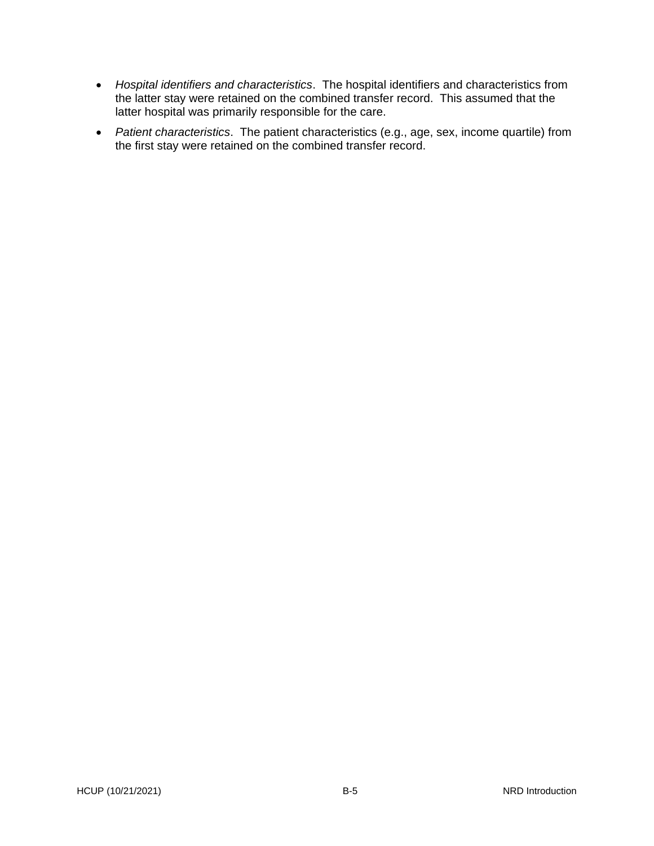- *Hospital identifiers and characteristics*. The hospital identifiers and characteristics from the latter stay were retained on the combined transfer record. This assumed that the latter hospital was primarily responsible for the care.
- *Patient characteristics*. The patient characteristics (e.g., age, sex, income quartile) from the first stay were retained on the combined transfer record.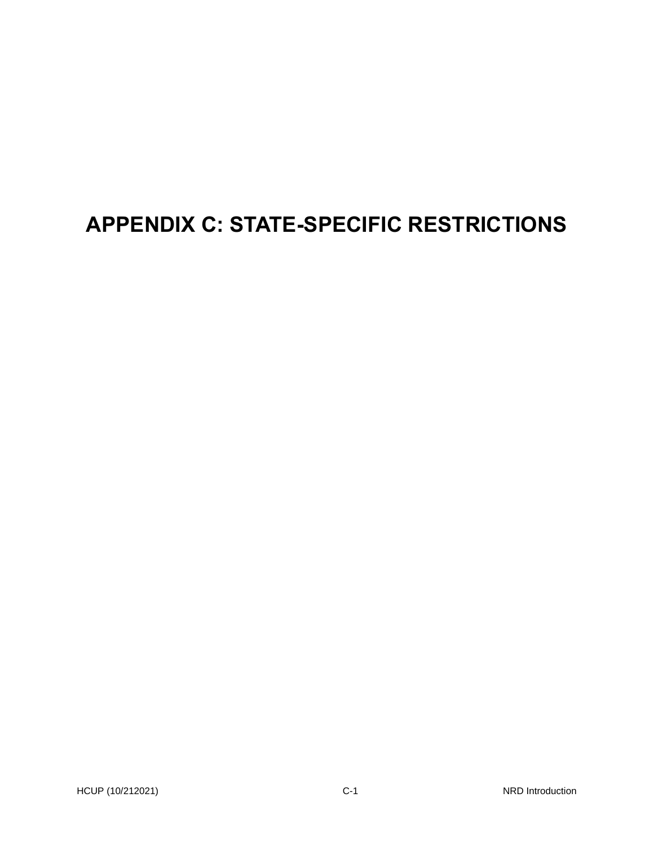# **APPENDIX C: STATE-SPECIFIC RESTRICTIONS**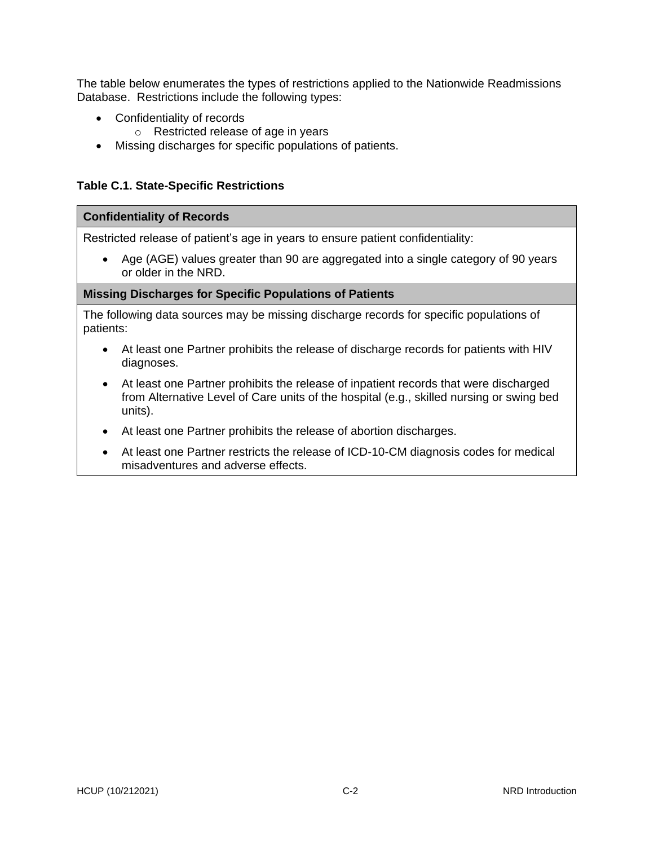The table below enumerates the types of restrictions applied to the Nationwide Readmissions Database. Restrictions include the following types:

- Confidentiality of records
	- o Restricted release of age in years
- Missing discharges for specific populations of patients.

#### **Table C.1. State-Specific Restrictions**

#### **Confidentiality of Records**

Restricted release of patient's age in years to ensure patient confidentiality:

• Age (AGE) values greater than 90 are aggregated into a single category of 90 years or older in the NRD.

#### **Missing Discharges for Specific Populations of Patients**

The following data sources may be missing discharge records for specific populations of patients:

- At least one Partner prohibits the release of discharge records for patients with HIV diagnoses.
- At least one Partner prohibits the release of inpatient records that were discharged from Alternative Level of Care units of the hospital (e.g., skilled nursing or swing bed units).
- At least one Partner prohibits the release of abortion discharges.
- At least one Partner restricts the release of ICD-10-CM diagnosis codes for medical misadventures and adverse effects.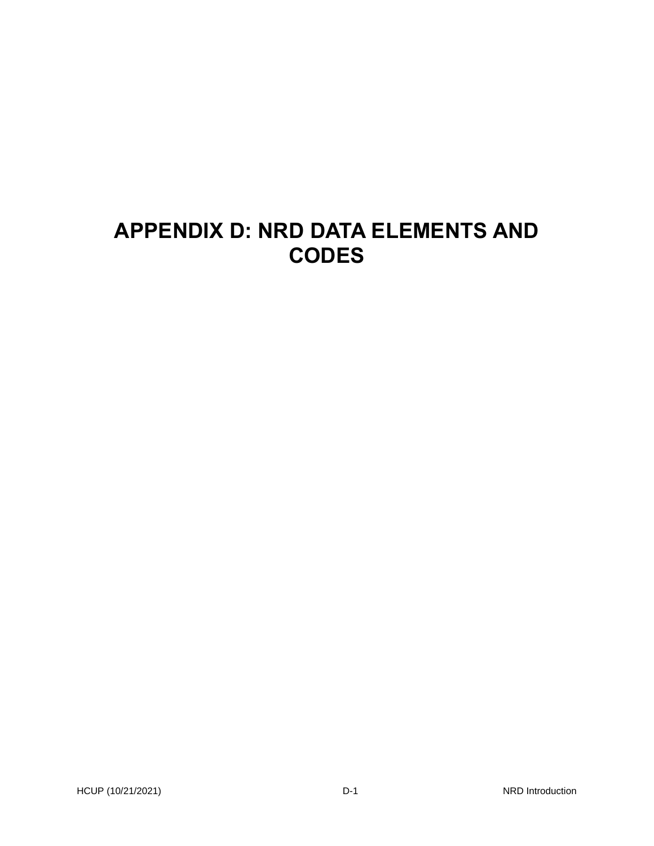# **APPENDIX D: NRD DATA ELEMENTS AND CODES**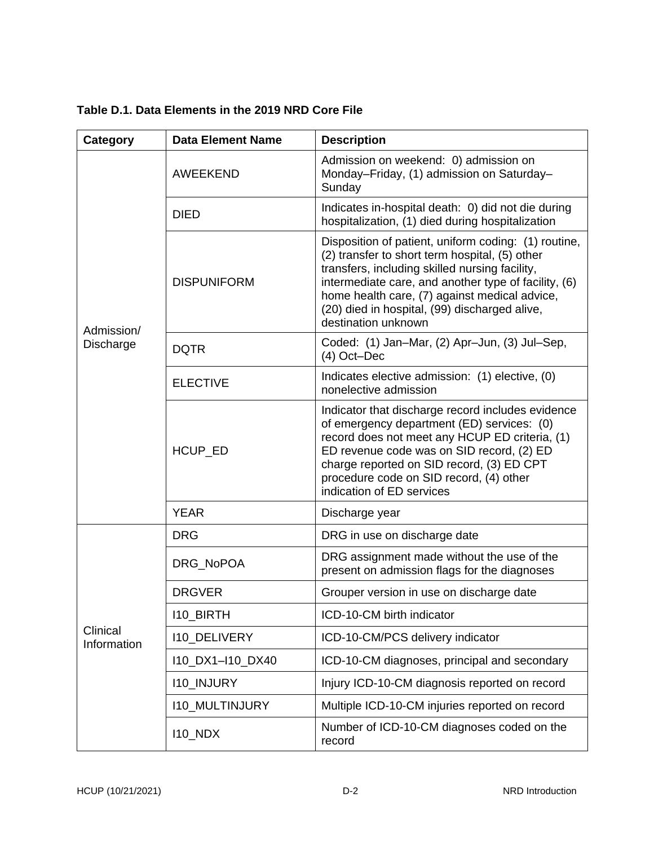| Category                | <b>Data Element Name</b> | <b>Description</b>                                                                                                                                                                                                                                                                                                                        |
|-------------------------|--------------------------|-------------------------------------------------------------------------------------------------------------------------------------------------------------------------------------------------------------------------------------------------------------------------------------------------------------------------------------------|
|                         | AWEEKEND                 | Admission on weekend: 0) admission on<br>Monday-Friday, (1) admission on Saturday-<br>Sunday                                                                                                                                                                                                                                              |
|                         | <b>DIED</b>              | Indicates in-hospital death: 0) did not die during<br>hospitalization, (1) died during hospitalization                                                                                                                                                                                                                                    |
|                         | <b>DISPUNIFORM</b>       | Disposition of patient, uniform coding: (1) routine,<br>(2) transfer to short term hospital, (5) other<br>transfers, including skilled nursing facility,<br>intermediate care, and another type of facility, (6)<br>home health care, (7) against medical advice,<br>(20) died in hospital, (99) discharged alive,<br>destination unknown |
| Admission/<br>Discharge | <b>DQTR</b>              | Coded: (1) Jan-Mar, (2) Apr-Jun, (3) Jul-Sep,<br>$(4)$ Oct-Dec                                                                                                                                                                                                                                                                            |
|                         | <b>ELECTIVE</b>          | Indicates elective admission: (1) elective, (0)<br>nonelective admission                                                                                                                                                                                                                                                                  |
|                         | HCUP_ED                  | Indicator that discharge record includes evidence<br>of emergency department (ED) services: (0)<br>record does not meet any HCUP ED criteria, (1)<br>ED revenue code was on SID record, (2) ED<br>charge reported on SID record, (3) ED CPT<br>procedure code on SID record, (4) other<br>indication of ED services                       |
|                         | <b>YEAR</b>              | Discharge year                                                                                                                                                                                                                                                                                                                            |
|                         | <b>DRG</b>               | DRG in use on discharge date                                                                                                                                                                                                                                                                                                              |
|                         | DRG_NoPOA                | DRG assignment made without the use of the<br>present on admission flags for the diagnoses                                                                                                                                                                                                                                                |
|                         | <b>DRGVER</b>            | Grouper version in use on discharge date                                                                                                                                                                                                                                                                                                  |
|                         | <b>I10 BIRTH</b>         | ICD-10-CM birth indicator                                                                                                                                                                                                                                                                                                                 |
| Clinical<br>Information | <b>I10 DELIVERY</b>      | ICD-10-CM/PCS delivery indicator                                                                                                                                                                                                                                                                                                          |
|                         | 110_DX1-110_DX40         | ICD-10-CM diagnoses, principal and secondary                                                                                                                                                                                                                                                                                              |
|                         | <b>I10_INJURY</b>        | Injury ICD-10-CM diagnosis reported on record                                                                                                                                                                                                                                                                                             |
|                         | <b>I10_MULTINJURY</b>    | Multiple ICD-10-CM injuries reported on record                                                                                                                                                                                                                                                                                            |
|                         | <b>I10_NDX</b>           | Number of ICD-10-CM diagnoses coded on the<br>record                                                                                                                                                                                                                                                                                      |

**Table D.1. Data Elements in the 2019 NRD Core File**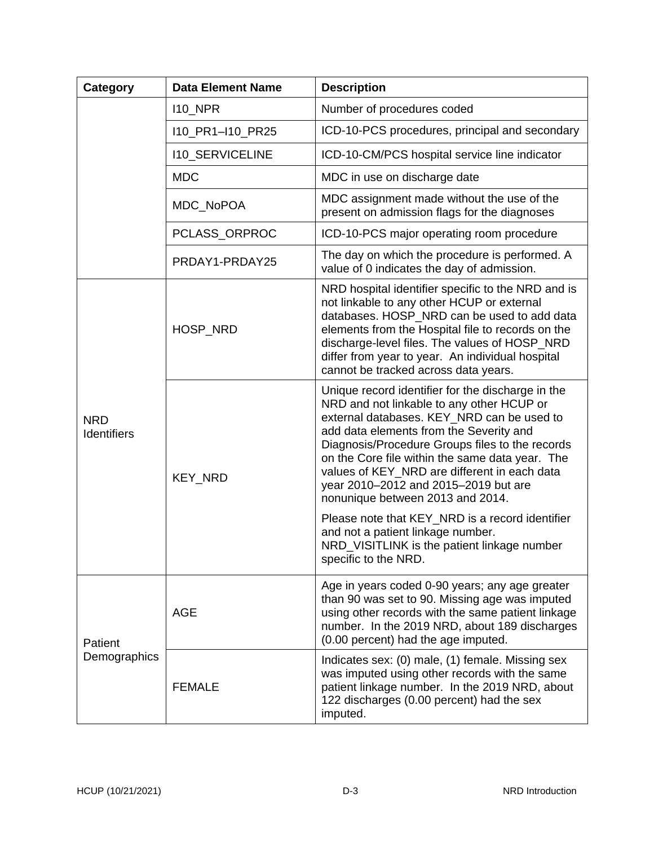| Category                         | <b>Data Element Name</b> | <b>Description</b>                                                                                                                                                                                                                                                                                                                                                                                                                                                                                                                                                                       |
|----------------------------------|--------------------------|------------------------------------------------------------------------------------------------------------------------------------------------------------------------------------------------------------------------------------------------------------------------------------------------------------------------------------------------------------------------------------------------------------------------------------------------------------------------------------------------------------------------------------------------------------------------------------------|
|                                  | <b>110 NPR</b>           | Number of procedures coded                                                                                                                                                                                                                                                                                                                                                                                                                                                                                                                                                               |
|                                  | I10_PR1-I10_PR25         | ICD-10-PCS procedures, principal and secondary                                                                                                                                                                                                                                                                                                                                                                                                                                                                                                                                           |
|                                  | <b>I10_SERVICELINE</b>   | ICD-10-CM/PCS hospital service line indicator                                                                                                                                                                                                                                                                                                                                                                                                                                                                                                                                            |
|                                  | <b>MDC</b>               | MDC in use on discharge date                                                                                                                                                                                                                                                                                                                                                                                                                                                                                                                                                             |
|                                  | MDC_NoPOA                | MDC assignment made without the use of the<br>present on admission flags for the diagnoses                                                                                                                                                                                                                                                                                                                                                                                                                                                                                               |
|                                  | PCLASS_ORPROC            | ICD-10-PCS major operating room procedure                                                                                                                                                                                                                                                                                                                                                                                                                                                                                                                                                |
|                                  | PRDAY1-PRDAY25           | The day on which the procedure is performed. A<br>value of 0 indicates the day of admission.                                                                                                                                                                                                                                                                                                                                                                                                                                                                                             |
| <b>NRD</b><br><b>Identifiers</b> | HOSP_NRD                 | NRD hospital identifier specific to the NRD and is<br>not linkable to any other HCUP or external<br>databases. HOSP NRD can be used to add data<br>elements from the Hospital file to records on the<br>discharge-level files. The values of HOSP_NRD<br>differ from year to year. An individual hospital<br>cannot be tracked across data years.                                                                                                                                                                                                                                        |
|                                  | <b>KEY_NRD</b>           | Unique record identifier for the discharge in the<br>NRD and not linkable to any other HCUP or<br>external databases. KEY_NRD can be used to<br>add data elements from the Severity and<br>Diagnosis/Procedure Groups files to the records<br>on the Core file within the same data year. The<br>values of KEY_NRD are different in each data<br>year 2010-2012 and 2015-2019 but are<br>nonunique between 2013 and 2014.<br>Please note that KEY_NRD is a record identifier<br>and not a patient linkage number.<br>NRD_VISITLINK is the patient linkage number<br>specific to the NRD. |
| Patient<br>Demographics          | <b>AGE</b>               | Age in years coded 0-90 years; any age greater<br>than 90 was set to 90. Missing age was imputed<br>using other records with the same patient linkage<br>number. In the 2019 NRD, about 189 discharges<br>(0.00 percent) had the age imputed.                                                                                                                                                                                                                                                                                                                                            |
|                                  | <b>FEMALE</b>            | Indicates sex: (0) male, (1) female. Missing sex<br>was imputed using other records with the same<br>patient linkage number. In the 2019 NRD, about<br>122 discharges (0.00 percent) had the sex<br>imputed.                                                                                                                                                                                                                                                                                                                                                                             |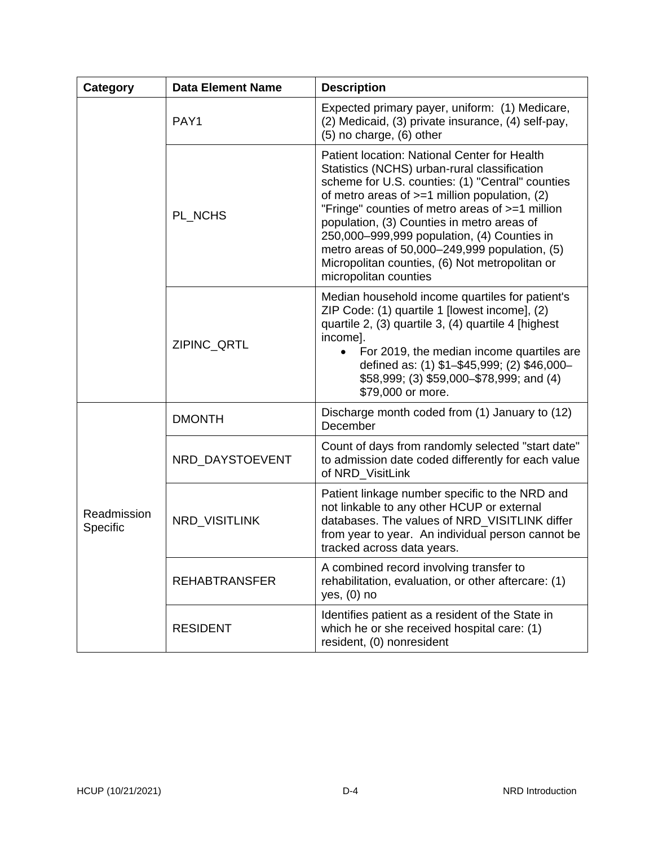| Category                | <b>Data Element Name</b> | <b>Description</b>                                                                                                                                                                                                                                                                                                                                                                                                                                                              |
|-------------------------|--------------------------|---------------------------------------------------------------------------------------------------------------------------------------------------------------------------------------------------------------------------------------------------------------------------------------------------------------------------------------------------------------------------------------------------------------------------------------------------------------------------------|
|                         | PAY1                     | Expected primary payer, uniform: (1) Medicare,<br>(2) Medicaid, (3) private insurance, (4) self-pay,<br>$(5)$ no charge, $(6)$ other                                                                                                                                                                                                                                                                                                                                            |
|                         | PL_NCHS                  | Patient location: National Center for Health<br>Statistics (NCHS) urban-rural classification<br>scheme for U.S. counties: (1) "Central" counties<br>of metro areas of $>=1$ million population, (2)<br>"Fringe" counties of metro areas of >=1 million<br>population, (3) Counties in metro areas of<br>250,000-999,999 population, (4) Counties in<br>metro areas of 50,000–249,999 population, (5)<br>Micropolitan counties, (6) Not metropolitan or<br>micropolitan counties |
|                         | ZIPINC_QRTL              | Median household income quartiles for patient's<br>ZIP Code: (1) quartile 1 [lowest income], (2)<br>quartile 2, (3) quartile 3, (4) quartile 4 [highest<br>income].<br>For 2019, the median income quartiles are<br>defined as: (1) \$1-\$45,999; (2) \$46,000-<br>\$58,999; (3) \$59,000-\$78,999; and (4)<br>\$79,000 or more.                                                                                                                                                |
| Readmission<br>Specific | <b>DMONTH</b>            | Discharge month coded from (1) January to (12)<br>December                                                                                                                                                                                                                                                                                                                                                                                                                      |
|                         | NRD_DAYSTOEVENT          | Count of days from randomly selected "start date"<br>to admission date coded differently for each value<br>of NRD_VisitLink                                                                                                                                                                                                                                                                                                                                                     |
|                         | <b>NRD VISITLINK</b>     | Patient linkage number specific to the NRD and<br>not linkable to any other HCUP or external<br>databases. The values of NRD_VISITLINK differ<br>from year to year. An individual person cannot be<br>tracked across data years.                                                                                                                                                                                                                                                |
|                         | <b>REHABTRANSFER</b>     | A combined record involving transfer to<br>rehabilitation, evaluation, or other aftercare: (1)<br>yes, $(0)$ no                                                                                                                                                                                                                                                                                                                                                                 |
|                         | <b>RESIDENT</b>          | Identifies patient as a resident of the State in<br>which he or she received hospital care: (1)<br>resident, (0) nonresident                                                                                                                                                                                                                                                                                                                                                    |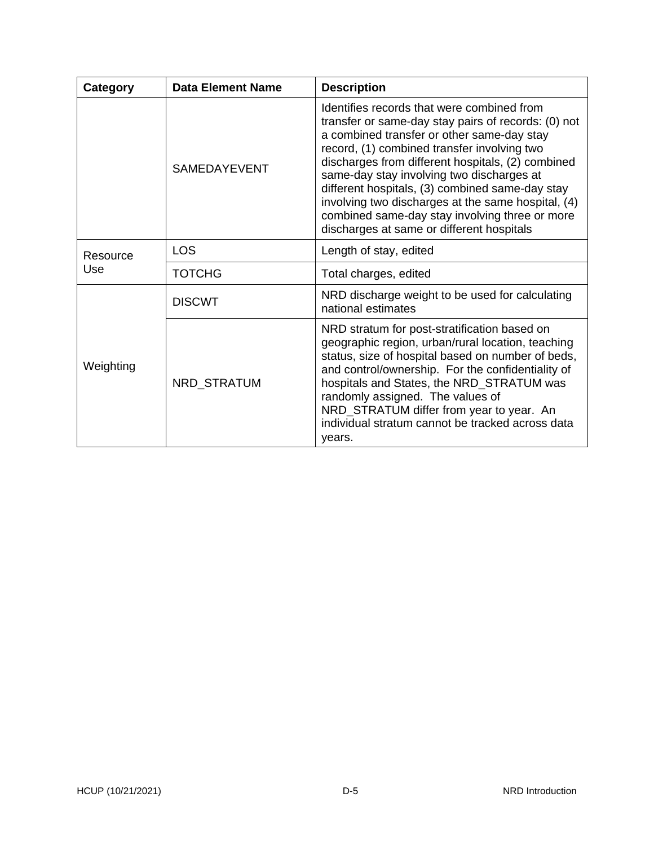| Category        | <b>Data Element Name</b> | <b>Description</b>                                                                                                                                                                                                                                                                                                                                                                                                                                                                                       |
|-----------------|--------------------------|----------------------------------------------------------------------------------------------------------------------------------------------------------------------------------------------------------------------------------------------------------------------------------------------------------------------------------------------------------------------------------------------------------------------------------------------------------------------------------------------------------|
|                 | <b>SAMEDAYEVENT</b>      | Identifies records that were combined from<br>transfer or same-day stay pairs of records: (0) not<br>a combined transfer or other same-day stay<br>record, (1) combined transfer involving two<br>discharges from different hospitals, (2) combined<br>same-day stay involving two discharges at<br>different hospitals, (3) combined same-day stay<br>involving two discharges at the same hospital, (4)<br>combined same-day stay involving three or more<br>discharges at same or different hospitals |
| Resource<br>Use | <b>LOS</b>               | Length of stay, edited                                                                                                                                                                                                                                                                                                                                                                                                                                                                                   |
|                 | <b>TOTCHG</b>            | Total charges, edited                                                                                                                                                                                                                                                                                                                                                                                                                                                                                    |
|                 | <b>DISCWT</b>            | NRD discharge weight to be used for calculating<br>national estimates                                                                                                                                                                                                                                                                                                                                                                                                                                    |
| Weighting       | NRD_STRATUM              | NRD stratum for post-stratification based on<br>geographic region, urban/rural location, teaching<br>status, size of hospital based on number of beds,<br>and control/ownership. For the confidentiality of<br>hospitals and States, the NRD_STRATUM was<br>randomly assigned. The values of<br>NRD_STRATUM differ from year to year. An<br>individual stratum cannot be tracked across data<br>years.                                                                                                   |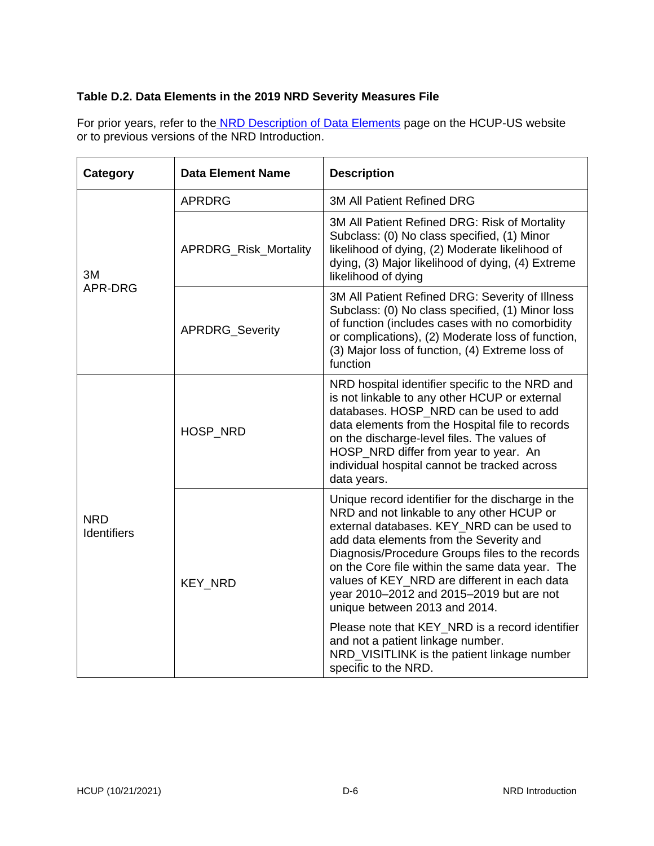### **Table D.2. Data Elements in the 2019 NRD Severity Measures File**

For prior years, refer to the NRD [Description of Data Elements](https://www.hcup-us.ahrq.gov/db/nation/nrd/nrddde.jsp) page on the HCUP-US website or to previous versions of the NRD Introduction.

| Category                         | <b>Data Element Name</b>     | <b>Description</b>                                                                                                                                                                                                                                                                                                                                                                                                         |
|----------------------------------|------------------------------|----------------------------------------------------------------------------------------------------------------------------------------------------------------------------------------------------------------------------------------------------------------------------------------------------------------------------------------------------------------------------------------------------------------------------|
|                                  | <b>APRDRG</b>                | <b>3M All Patient Refined DRG</b>                                                                                                                                                                                                                                                                                                                                                                                          |
| 3M                               | <b>APRDRG_Risk_Mortality</b> | 3M All Patient Refined DRG: Risk of Mortality<br>Subclass: (0) No class specified, (1) Minor<br>likelihood of dying, (2) Moderate likelihood of<br>dying, (3) Major likelihood of dying, (4) Extreme<br>likelihood of dying                                                                                                                                                                                                |
| APR-DRG                          | <b>APRDRG_Severity</b>       | 3M All Patient Refined DRG: Severity of Illness<br>Subclass: (0) No class specified, (1) Minor loss<br>of function (includes cases with no comorbidity<br>or complications), (2) Moderate loss of function,<br>(3) Major loss of function, (4) Extreme loss of<br>function                                                                                                                                                 |
|                                  | HOSP NRD                     | NRD hospital identifier specific to the NRD and<br>is not linkable to any other HCUP or external<br>databases. HOSP_NRD can be used to add<br>data elements from the Hospital file to records<br>on the discharge-level files. The values of<br>HOSP_NRD differ from year to year. An<br>individual hospital cannot be tracked across<br>data years.                                                                       |
| <b>NRD</b><br><b>Identifiers</b> | <b>KEY NRD</b>               | Unique record identifier for the discharge in the<br>NRD and not linkable to any other HCUP or<br>external databases. KEY NRD can be used to<br>add data elements from the Severity and<br>Diagnosis/Procedure Groups files to the records<br>on the Core file within the same data year. The<br>values of KEY_NRD are different in each data<br>year 2010-2012 and 2015-2019 but are not<br>unique between 2013 and 2014. |
|                                  |                              | Please note that KEY_NRD is a record identifier<br>and not a patient linkage number.<br>NRD_VISITLINK is the patient linkage number<br>specific to the NRD.                                                                                                                                                                                                                                                                |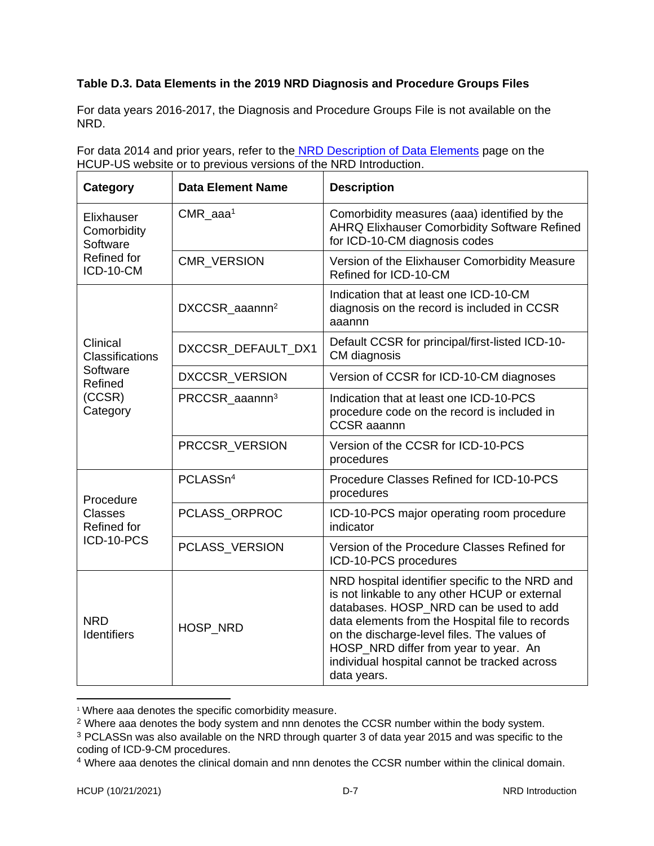### **Table D.3. Data Elements in the 2019 NRD Diagnosis and Procedure Groups Files**

For data years 2016-2017, the Diagnosis and Procedure Groups File is not available on the NRD.

For data 2014 and prior years, refer to the NRD [Description of Data Elements](https://www.hcup-us.ahrq.gov/db/nation/nrd/nrddde.jsp) page on the HCUP-US website or to previous versions of the NRD Introduction.

| Category                              | <b>Data Element Name</b>   | <b>Description</b>                                                                                                                                                                                                                                                                                                                                   |
|---------------------------------------|----------------------------|------------------------------------------------------------------------------------------------------------------------------------------------------------------------------------------------------------------------------------------------------------------------------------------------------------------------------------------------------|
| Elixhauser<br>Comorbidity<br>Software | $CMR$ aaa <sup>1</sup>     | Comorbidity measures (aaa) identified by the<br><b>AHRQ Elixhauser Comorbidity Software Refined</b><br>for ICD-10-CM diagnosis codes                                                                                                                                                                                                                 |
| Refined for<br>ICD-10-CM              | CMR_VERSION                | Version of the Elixhauser Comorbidity Measure<br>Refined for ICD-10-CM                                                                                                                                                                                                                                                                               |
|                                       | DXCCSR aaannn <sup>2</sup> | Indication that at least one ICD-10-CM<br>diagnosis on the record is included in CCSR<br>aaannn                                                                                                                                                                                                                                                      |
| Clinical<br>Classifications           | DXCCSR_DEFAULT_DX1         | Default CCSR for principal/first-listed ICD-10-<br>CM diagnosis                                                                                                                                                                                                                                                                                      |
| Software<br>Refined                   | DXCCSR_VERSION             | Version of CCSR for ICD-10-CM diagnoses                                                                                                                                                                                                                                                                                                              |
| (CCSR)<br>Category                    | PRCCSR_aaannn <sup>3</sup> | Indication that at least one ICD-10-PCS<br>procedure code on the record is included in<br><b>CCSR</b> aaannn                                                                                                                                                                                                                                         |
|                                       | PRCCSR_VERSION             | Version of the CCSR for ICD-10-PCS<br>procedures                                                                                                                                                                                                                                                                                                     |
| Procedure                             | PCLASSn <sup>4</sup>       | Procedure Classes Refined for ICD-10-PCS<br>procedures                                                                                                                                                                                                                                                                                               |
| <b>Classes</b><br><b>Refined for</b>  | PCLASS_ORPROC              | ICD-10-PCS major operating room procedure<br>indicator                                                                                                                                                                                                                                                                                               |
| ICD-10-PCS                            | PCLASS_VERSION             | Version of the Procedure Classes Refined for<br>ICD-10-PCS procedures                                                                                                                                                                                                                                                                                |
| <b>NRD</b><br>Identifiers             | HOSP_NRD                   | NRD hospital identifier specific to the NRD and<br>is not linkable to any other HCUP or external<br>databases. HOSP NRD can be used to add<br>data elements from the Hospital file to records<br>on the discharge-level files. The values of<br>HOSP_NRD differ from year to year. An<br>individual hospital cannot be tracked across<br>data years. |

<sup>1</sup> Where aaa denotes the specific comorbidity measure.

<sup>&</sup>lt;sup>2</sup> Where aaa denotes the body system and nnn denotes the CCSR number within the body system.

<sup>&</sup>lt;sup>3</sup> PCLASSn was also available on the NRD through quarter 3 of data year 2015 and was specific to the coding of ICD-9-CM procedures.

<sup>4</sup> Where aaa denotes the clinical domain and nnn denotes the CCSR number within the clinical domain.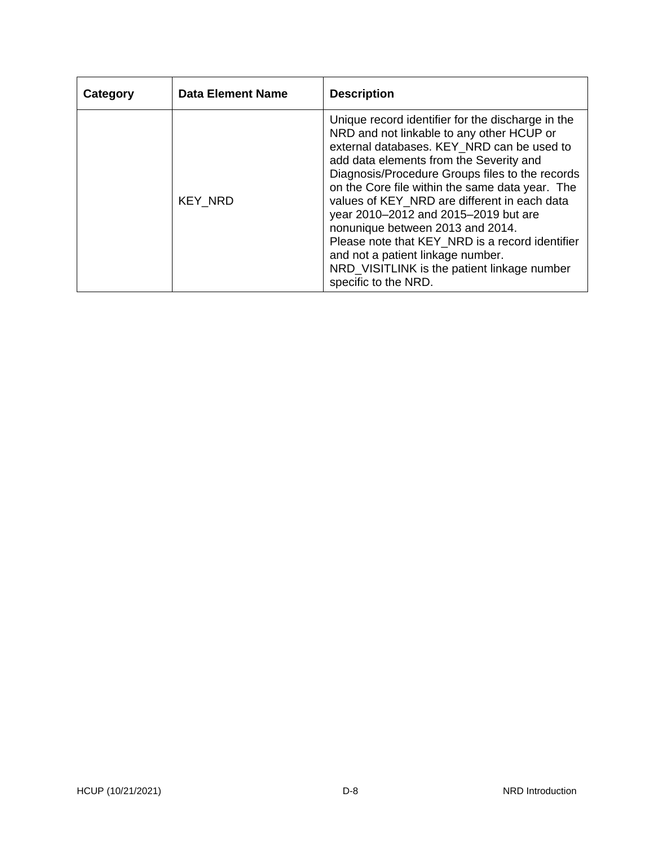| Category | <b>Data Element Name</b> | <b>Description</b>                                                                                                                                                                                                                                                                                                                                                                                                                                                                                                                                                                       |
|----------|--------------------------|------------------------------------------------------------------------------------------------------------------------------------------------------------------------------------------------------------------------------------------------------------------------------------------------------------------------------------------------------------------------------------------------------------------------------------------------------------------------------------------------------------------------------------------------------------------------------------------|
|          | <b>KEY NRD</b>           | Unique record identifier for the discharge in the<br>NRD and not linkable to any other HCUP or<br>external databases. KEY_NRD can be used to<br>add data elements from the Severity and<br>Diagnosis/Procedure Groups files to the records<br>on the Core file within the same data year. The<br>values of KEY NRD are different in each data<br>year 2010–2012 and 2015–2019 but are<br>nonunique between 2013 and 2014.<br>Please note that KEY_NRD is a record identifier<br>and not a patient linkage number.<br>NRD_VISITLINK is the patient linkage number<br>specific to the NRD. |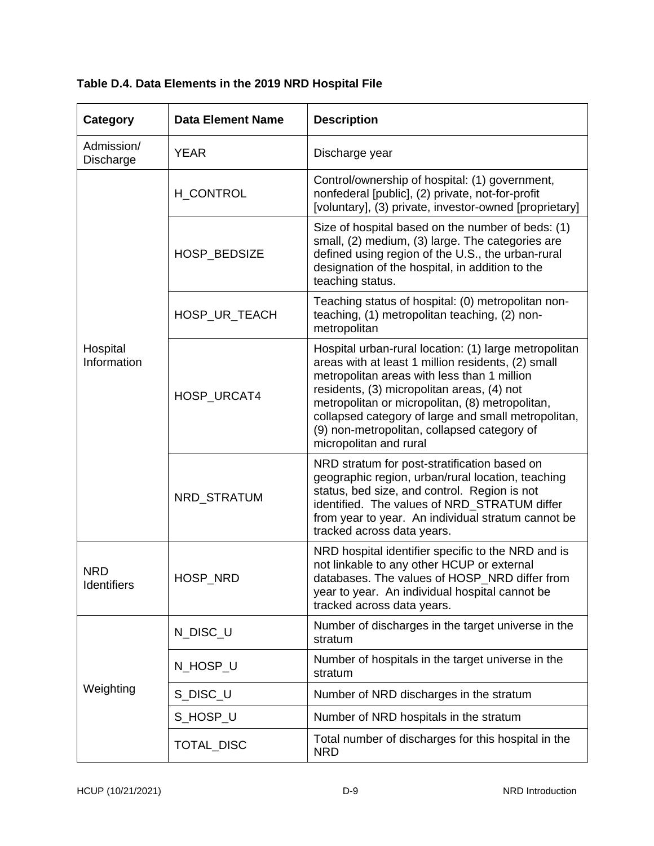| Category                         | <b>Data Element Name</b> | <b>Description</b>                                                                                                                                                                                                                                                                                                                                                                          |
|----------------------------------|--------------------------|---------------------------------------------------------------------------------------------------------------------------------------------------------------------------------------------------------------------------------------------------------------------------------------------------------------------------------------------------------------------------------------------|
| Admission/<br><b>Discharge</b>   | <b>YEAR</b>              | Discharge year                                                                                                                                                                                                                                                                                                                                                                              |
| Hospital<br>Information          | <b>H_CONTROL</b>         | Control/ownership of hospital: (1) government,<br>nonfederal [public], (2) private, not-for-profit<br>[voluntary], (3) private, investor-owned [proprietary]                                                                                                                                                                                                                                |
|                                  | HOSP BEDSIZE             | Size of hospital based on the number of beds: (1)<br>small, (2) medium, (3) large. The categories are<br>defined using region of the U.S., the urban-rural<br>designation of the hospital, in addition to the<br>teaching status.                                                                                                                                                           |
|                                  | HOSP_UR_TEACH            | Teaching status of hospital: (0) metropolitan non-<br>teaching, (1) metropolitan teaching, (2) non-<br>metropolitan                                                                                                                                                                                                                                                                         |
|                                  | HOSP_URCAT4              | Hospital urban-rural location: (1) large metropolitan<br>areas with at least 1 million residents, (2) small<br>metropolitan areas with less than 1 million<br>residents, (3) micropolitan areas, (4) not<br>metropolitan or micropolitan, (8) metropolitan,<br>collapsed category of large and small metropolitan,<br>(9) non-metropolitan, collapsed category of<br>micropolitan and rural |
|                                  | NRD_STRATUM              | NRD stratum for post-stratification based on<br>geographic region, urban/rural location, teaching<br>status, bed size, and control. Region is not<br>identified. The values of NRD_STRATUM differ<br>from year to year. An individual stratum cannot be<br>tracked across data years.                                                                                                       |
| <b>NRD</b><br><b>Identifiers</b> | HOSP_NRD                 | NRD hospital identifier specific to the NRD and is<br>not linkable to any other HCUP or external<br>databases. The values of HOSP NRD differ from<br>year to year. An individual hospital cannot be<br>tracked across data years.                                                                                                                                                           |
|                                  | N_DISC_U                 | Number of discharges in the target universe in the<br>stratum                                                                                                                                                                                                                                                                                                                               |
|                                  | N_HOSP_U                 | Number of hospitals in the target universe in the<br>stratum                                                                                                                                                                                                                                                                                                                                |
| Weighting                        | S_DISC_U                 | Number of NRD discharges in the stratum                                                                                                                                                                                                                                                                                                                                                     |
|                                  | S_HOSP_U                 | Number of NRD hospitals in the stratum                                                                                                                                                                                                                                                                                                                                                      |
|                                  | TOTAL_DISC               | Total number of discharges for this hospital in the<br><b>NRD</b>                                                                                                                                                                                                                                                                                                                           |

**Table D.4. Data Elements in the 2019 NRD Hospital File**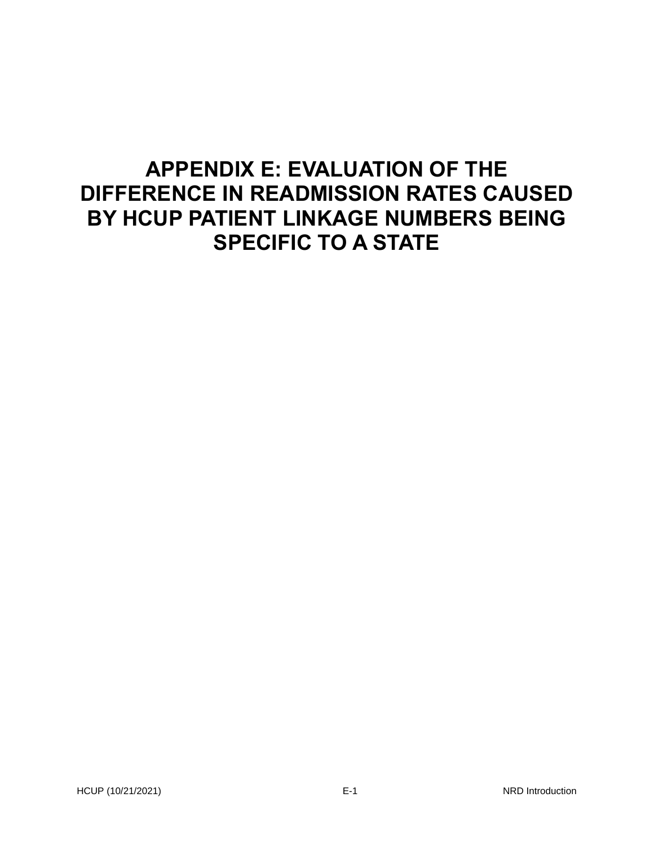# **APPENDIX E: EVALUATION OF THE DIFFERENCE IN READMISSION RATES CAUSED BY HCUP PATIENT LINKAGE NUMBERS BEING SPECIFIC TO A STATE**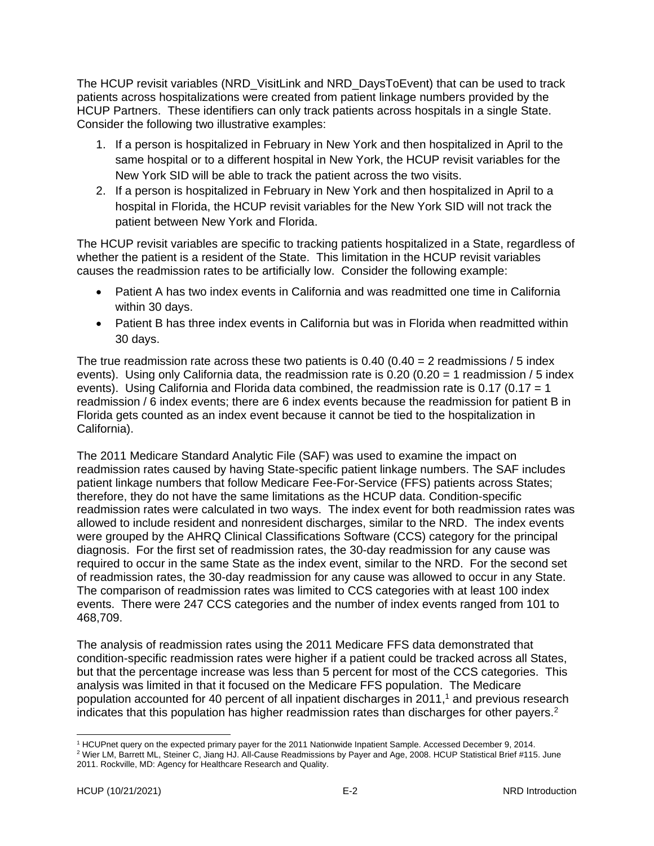The HCUP revisit variables (NRD\_VisitLink and NRD\_DaysToEvent) that can be used to track patients across hospitalizations were created from patient linkage numbers provided by the HCUP Partners. These identifiers can only track patients across hospitals in a single State. Consider the following two illustrative examples:

- 1. If a person is hospitalized in February in New York and then hospitalized in April to the same hospital or to a different hospital in New York, the HCUP revisit variables for the New York SID will be able to track the patient across the two visits.
- 2. If a person is hospitalized in February in New York and then hospitalized in April to a hospital in Florida, the HCUP revisit variables for the New York SID will not track the patient between New York and Florida.

The HCUP revisit variables are specific to tracking patients hospitalized in a State, regardless of whether the patient is a resident of the State. This limitation in the HCUP revisit variables causes the readmission rates to be artificially low. Consider the following example:

- Patient A has two index events in California and was readmitted one time in California within 30 days.
- Patient B has three index events in California but was in Florida when readmitted within 30 days.

The true readmission rate across these two patients is  $0.40 (0.40 = 2 \text{ readmissions} / 5 \text{ index})$ events). Using only California data, the readmission rate is  $0.20$  ( $0.20 = 1$  readmission / 5 index events). Using California and Florida data combined, the readmission rate is 0.17 (0.17 = 1 readmission / 6 index events; there are 6 index events because the readmission for patient B in Florida gets counted as an index event because it cannot be tied to the hospitalization in California).

The 2011 Medicare Standard Analytic File (SAF) was used to examine the impact on readmission rates caused by having State-specific patient linkage numbers. The SAF includes patient linkage numbers that follow Medicare Fee-For-Service (FFS) patients across States; therefore, they do not have the same limitations as the HCUP data. Condition-specific readmission rates were calculated in two ways. The index event for both readmission rates was allowed to include resident and nonresident discharges, similar to the NRD. The index events were grouped by the AHRQ Clinical Classifications Software (CCS) category for the principal diagnosis. For the first set of readmission rates, the 30-day readmission for any cause was required to occur in the same State as the index event, similar to the NRD. For the second set of readmission rates, the 30-day readmission for any cause was allowed to occur in any State. The comparison of readmission rates was limited to CCS categories with at least 100 index events. There were 247 CCS categories and the number of index events ranged from 101 to 468,709.

The analysis of readmission rates using the 2011 Medicare FFS data demonstrated that condition-specific readmission rates were higher if a patient could be tracked across all States, but that the percentage increase was less than 5 percent for most of the CCS categories. This analysis was limited in that it focused on the Medicare FFS population. The Medicare population accounted for 40 percent of all inpatient discharges in 2011,<sup>1</sup> and previous research indicates that this population has higher readmission rates than discharges for other payers.<sup>2</sup>

<sup>1</sup> HCUPnet query on the expected primary payer for the 2011 Nationwide Inpatient Sample. Accessed December 9, 2014. <sup>2</sup> Wier LM, Barrett ML, Steiner C, Jiang HJ. All-Cause Readmissions by Payer and Age, 2008. HCUP Statistical Brief #115. June 2011. Rockville, MD: Agency for Healthcare Research and Quality.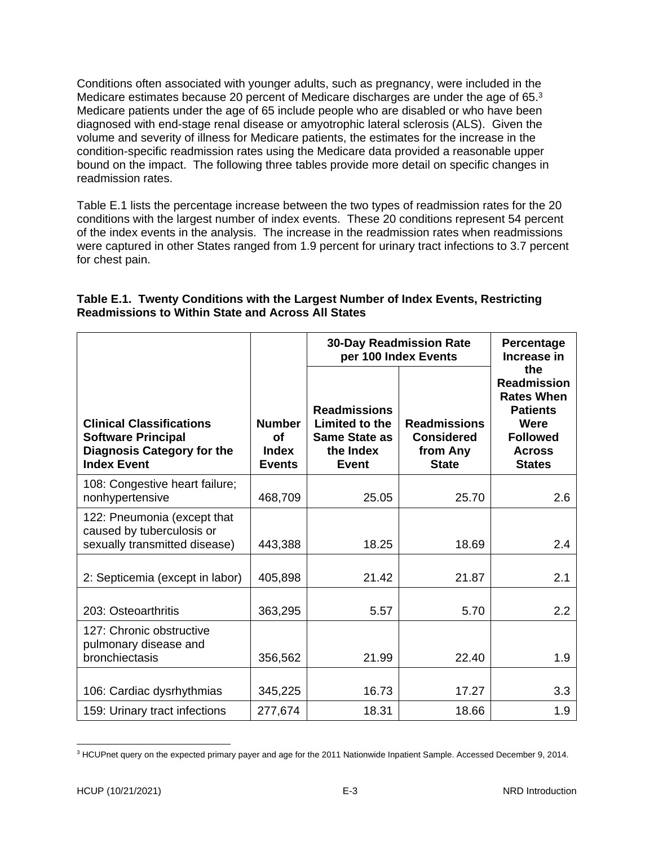Conditions often associated with younger adults, such as pregnancy, were included in the Medicare estimates because 20 percent of Medicare discharges are under the age of 65.<sup>3</sup> Medicare patients under the age of 65 include people who are disabled or who have been diagnosed with end-stage renal disease or amyotrophic lateral sclerosis (ALS). Given the volume and severity of illness for Medicare patients, the estimates for the increase in the condition-specific readmission rates using the Medicare data provided a reasonable upper bound on the impact. The following three tables provide more detail on specific changes in readmission rates.

Table E.1 lists the percentage increase between the two types of readmission rates for the 20 conditions with the largest number of index events. These 20 conditions represent 54 percent of the index events in the analysis. The increase in the readmission rates when readmissions were captured in other States ranged from 1.9 percent for urinary tract infections to 3.7 percent for chest pain.

#### **Table E.1. Twenty Conditions with the Largest Number of Index Events, Restricting Readmissions to Within State and Across All States**

|                                                                                                                         |                                               | <b>30-Day Readmission Rate</b><br>per 100 Index Events                                     | Percentage<br>Increase in                                            |                                                                                                                                |
|-------------------------------------------------------------------------------------------------------------------------|-----------------------------------------------|--------------------------------------------------------------------------------------------|----------------------------------------------------------------------|--------------------------------------------------------------------------------------------------------------------------------|
| <b>Clinical Classifications</b><br><b>Software Principal</b><br><b>Diagnosis Category for the</b><br><b>Index Event</b> | <b>Number</b><br>Οf<br>Index<br><b>Events</b> | <b>Readmissions</b><br>Limited to the<br><b>Same State as</b><br>the Index<br><b>Event</b> | <b>Readmissions</b><br><b>Considered</b><br>from Any<br><b>State</b> | the<br><b>Readmission</b><br><b>Rates When</b><br><b>Patients</b><br>Were<br><b>Followed</b><br><b>Across</b><br><b>States</b> |
| 108: Congestive heart failure;<br>nonhypertensive                                                                       | 468,709                                       | 25.05                                                                                      | 25.70                                                                | 2.6                                                                                                                            |
| 122: Pneumonia (except that<br>caused by tuberculosis or<br>sexually transmitted disease)                               | 443,388                                       | 18.25                                                                                      | 18.69                                                                | 2.4                                                                                                                            |
| 2: Septicemia (except in labor)                                                                                         | 405,898                                       | 21.42                                                                                      | 21.87                                                                | 2.1                                                                                                                            |
| 203: Osteoarthritis                                                                                                     | 363,295                                       | 5.57                                                                                       | 5.70                                                                 | 2.2                                                                                                                            |
| 127: Chronic obstructive<br>pulmonary disease and<br>bronchiectasis                                                     | 356,562                                       | 21.99                                                                                      | 22.40                                                                | 1.9                                                                                                                            |
| 106: Cardiac dysrhythmias                                                                                               | 345,225                                       | 16.73                                                                                      | 17.27                                                                | 3.3                                                                                                                            |
| 159: Urinary tract infections                                                                                           | 277,674                                       | 18.31                                                                                      | 18.66                                                                | 1.9                                                                                                                            |

<sup>3</sup> HCUPnet query on the expected primary payer and age for the 2011 Nationwide Inpatient Sample. Accessed December 9, 2014.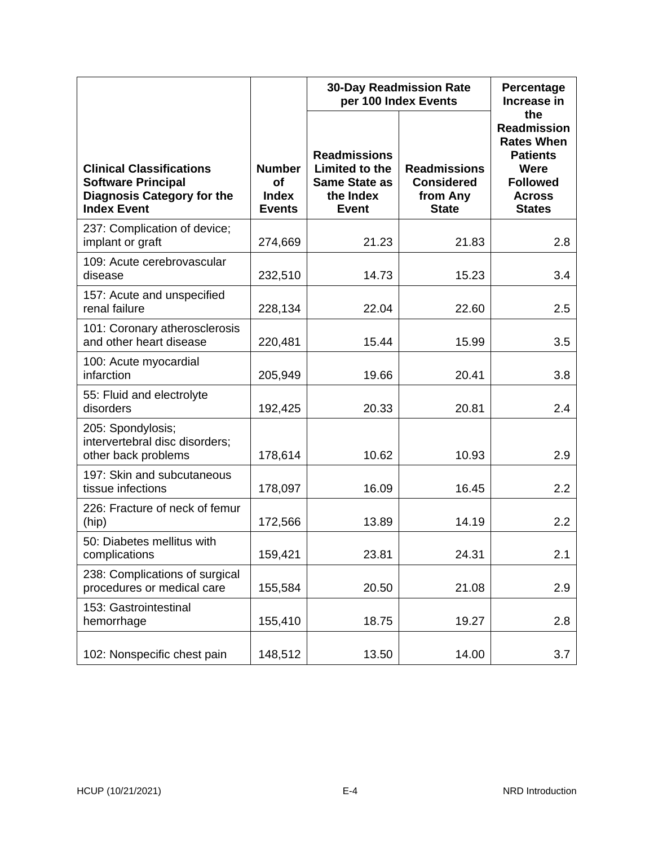|                                                                                                                         |                                                             | <b>30-Day Readmission Rate</b><br>per 100 Index Events                                     | Percentage<br>Increase in                                            |                                                                                                                                |
|-------------------------------------------------------------------------------------------------------------------------|-------------------------------------------------------------|--------------------------------------------------------------------------------------------|----------------------------------------------------------------------|--------------------------------------------------------------------------------------------------------------------------------|
| <b>Clinical Classifications</b><br><b>Software Principal</b><br><b>Diagnosis Category for the</b><br><b>Index Event</b> | <b>Number</b><br><b>of</b><br><b>Index</b><br><b>Events</b> | <b>Readmissions</b><br>Limited to the<br><b>Same State as</b><br>the Index<br><b>Event</b> | <b>Readmissions</b><br><b>Considered</b><br>from Any<br><b>State</b> | the<br><b>Readmission</b><br><b>Rates When</b><br><b>Patients</b><br>Were<br><b>Followed</b><br><b>Across</b><br><b>States</b> |
| 237: Complication of device;<br>implant or graft                                                                        | 274,669                                                     | 21.23                                                                                      | 21.83                                                                | 2.8                                                                                                                            |
| 109: Acute cerebrovascular<br>disease                                                                                   | 232,510                                                     | 14.73                                                                                      | 15.23                                                                | 3.4                                                                                                                            |
| 157: Acute and unspecified<br>renal failure                                                                             | 228,134                                                     | 22.04                                                                                      | 22.60                                                                | 2.5                                                                                                                            |
| 101: Coronary atherosclerosis<br>and other heart disease                                                                | 220,481                                                     | 15.44                                                                                      | 15.99                                                                | 3.5                                                                                                                            |
| 100: Acute myocardial<br>infarction                                                                                     | 205,949                                                     | 19.66                                                                                      | 20.41                                                                | 3.8                                                                                                                            |
| 55: Fluid and electrolyte<br>disorders                                                                                  | 192,425                                                     | 20.33                                                                                      | 20.81                                                                | 2.4                                                                                                                            |
| 205: Spondylosis;<br>intervertebral disc disorders;<br>other back problems                                              | 178,614                                                     | 10.62                                                                                      | 10.93                                                                | 2.9                                                                                                                            |
| 197: Skin and subcutaneous<br>tissue infections                                                                         | 178,097                                                     | 16.09                                                                                      | 16.45                                                                | 2.2                                                                                                                            |
| 226: Fracture of neck of femur<br>(hip)                                                                                 | 172,566                                                     | 13.89                                                                                      | 14.19                                                                | 2.2                                                                                                                            |
| 50: Diabetes mellitus with<br>complications                                                                             | 159,421                                                     | 23.81                                                                                      | 24.31                                                                | 2.1                                                                                                                            |
| 238: Complications of surgical<br>procedures or medical care                                                            | 155,584                                                     | 20.50                                                                                      | 21.08                                                                | 2.9                                                                                                                            |
| 153: Gastrointestinal<br>hemorrhage                                                                                     | 155,410                                                     | 18.75                                                                                      | 19.27                                                                | 2.8                                                                                                                            |
| 102: Nonspecific chest pain                                                                                             | 148,512                                                     | 13.50                                                                                      | 14.00                                                                | 3.7                                                                                                                            |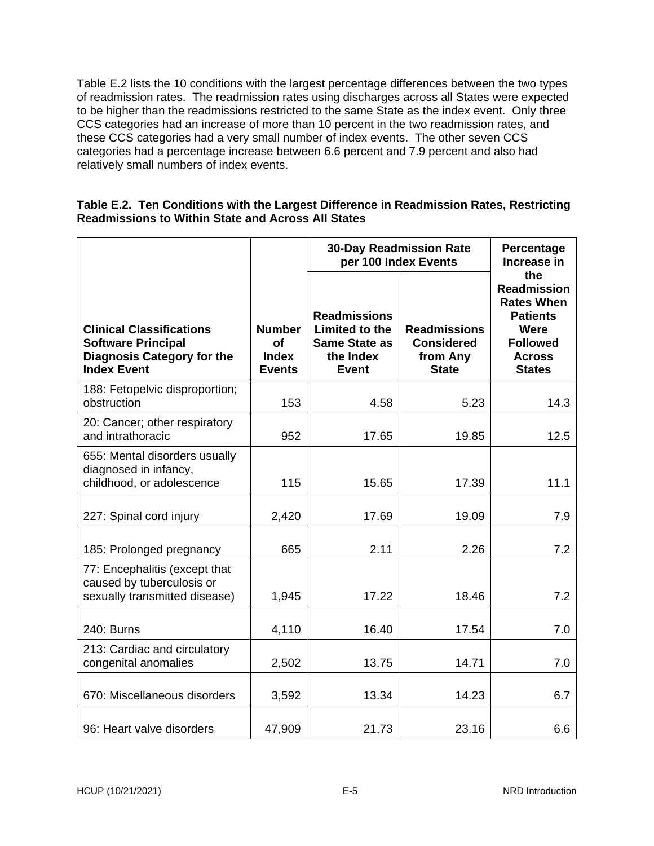Table E.2 lists the 10 conditions with the largest percentage differences between the two types of readmission rates. The readmission rates using discharges across all States were expected to be higher than the readmissions restricted to the same State as the index event. Only three CCS categories had an increase of more than 10 percent in the two readmission rates, and these CCS categories had a very small number of index events. The other seven CCS categories had a percentage increase between 6.6 percent and 7.9 percent and also had relatively small numbers of index events.

#### **Table E.2. Ten Conditions with the Largest Difference in Readmission Rates, Restricting Readmissions to Within State and Across All States**

|                                                                                                                         |                                                             | <b>30-Day Readmission Rate</b><br>per 100 Index Events                                            | Percentage<br>Increase in                                            |                                                                                                                                |
|-------------------------------------------------------------------------------------------------------------------------|-------------------------------------------------------------|---------------------------------------------------------------------------------------------------|----------------------------------------------------------------------|--------------------------------------------------------------------------------------------------------------------------------|
| <b>Clinical Classifications</b><br><b>Software Principal</b><br><b>Diagnosis Category for the</b><br><b>Index Event</b> | <b>Number</b><br><b>of</b><br><b>Index</b><br><b>Events</b> | <b>Readmissions</b><br><b>Limited to the</b><br><b>Same State as</b><br>the Index<br><b>Event</b> | <b>Readmissions</b><br><b>Considered</b><br>from Any<br><b>State</b> | the<br><b>Readmission</b><br><b>Rates When</b><br><b>Patients</b><br>Were<br><b>Followed</b><br><b>Across</b><br><b>States</b> |
| 188: Fetopelvic disproportion;<br>obstruction                                                                           | 153                                                         | 4.58                                                                                              | 5.23                                                                 | 14.3                                                                                                                           |
| 20: Cancer; other respiratory<br>and intrathoracic                                                                      | 952                                                         | 17.65                                                                                             | 19.85                                                                | 12.5                                                                                                                           |
| 655: Mental disorders usually<br>diagnosed in infancy,<br>childhood, or adolescence                                     | 115                                                         | 15.65                                                                                             | 17.39                                                                | 11.1                                                                                                                           |
| 227: Spinal cord injury                                                                                                 | 2,420                                                       | 17.69                                                                                             | 19.09                                                                | 7.9                                                                                                                            |
| 185: Prolonged pregnancy                                                                                                | 665                                                         | 2.11                                                                                              | 2.26                                                                 | 7.2                                                                                                                            |
| 77: Encephalitis (except that<br>caused by tuberculosis or<br>sexually transmitted disease)                             | 1,945                                                       | 17.22                                                                                             | 18.46                                                                | 7.2                                                                                                                            |
| 240: Burns                                                                                                              | 4,110                                                       | 16.40                                                                                             | 17.54                                                                | 7.0                                                                                                                            |
| 213: Cardiac and circulatory<br>congenital anomalies                                                                    | 2,502                                                       | 13.75                                                                                             | 14.71                                                                | 7.0                                                                                                                            |
| 670: Miscellaneous disorders                                                                                            | 3,592                                                       | 13.34                                                                                             | 14.23                                                                | 6.7                                                                                                                            |
| 96: Heart valve disorders                                                                                               | 47,909                                                      | 21.73                                                                                             | 23.16                                                                | 6.6                                                                                                                            |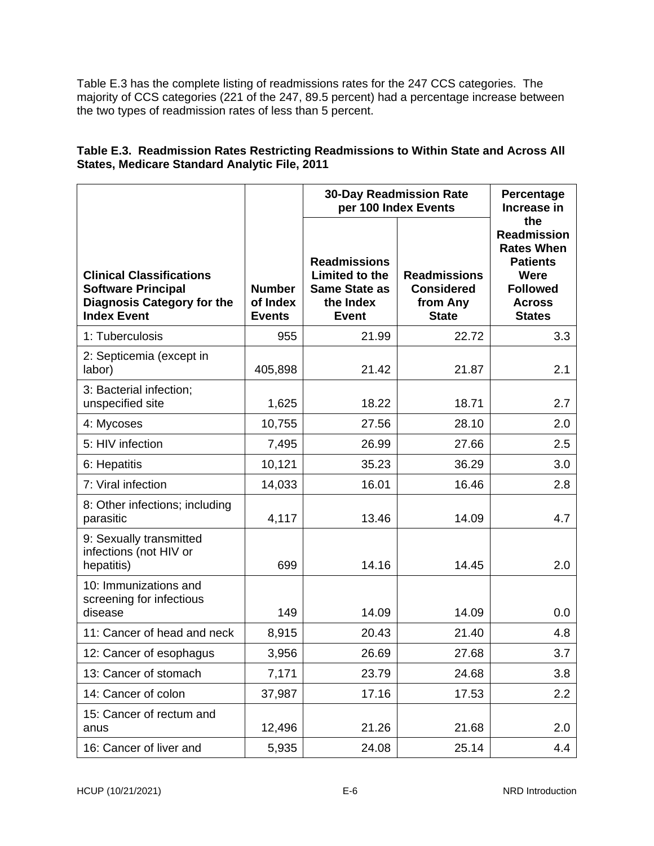Table E.3 has the complete listing of readmissions rates for the 247 CCS categories. The majority of CCS categories (221 of the 247, 89.5 percent) had a percentage increase between the two types of readmission rates of less than 5 percent.

#### **Table E.3. Readmission Rates Restricting Readmissions to Within State and Across All States, Medicare Standard Analytic File, 2011**

|                                                                                                                         |                                            | <b>30-Day Readmission Rate</b><br>per 100 Index Events                                     | Percentage<br>Increase in                                            |                                                                                                                                |
|-------------------------------------------------------------------------------------------------------------------------|--------------------------------------------|--------------------------------------------------------------------------------------------|----------------------------------------------------------------------|--------------------------------------------------------------------------------------------------------------------------------|
| <b>Clinical Classifications</b><br><b>Software Principal</b><br><b>Diagnosis Category for the</b><br><b>Index Event</b> | <b>Number</b><br>of Index<br><b>Events</b> | <b>Readmissions</b><br>Limited to the<br><b>Same State as</b><br>the Index<br><b>Event</b> | <b>Readmissions</b><br><b>Considered</b><br>from Any<br><b>State</b> | the<br><b>Readmission</b><br><b>Rates When</b><br><b>Patients</b><br>Were<br><b>Followed</b><br><b>Across</b><br><b>States</b> |
| 1: Tuberculosis                                                                                                         | 955                                        | 21.99                                                                                      | 22.72                                                                | 3.3                                                                                                                            |
| 2: Septicemia (except in<br>labor)                                                                                      | 405,898                                    | 21.42                                                                                      | 21.87                                                                | 2.1                                                                                                                            |
| 3: Bacterial infection;<br>unspecified site                                                                             | 1,625                                      | 18.22                                                                                      | 18.71                                                                | 2.7                                                                                                                            |
| 4: Mycoses                                                                                                              | 10,755                                     | 27.56                                                                                      | 28.10                                                                | 2.0                                                                                                                            |
| 5: HIV infection                                                                                                        | 7,495                                      | 26.99                                                                                      | 27.66                                                                | 2.5                                                                                                                            |
| 6: Hepatitis                                                                                                            | 10,121                                     | 35.23                                                                                      | 36.29                                                                | 3.0                                                                                                                            |
| 7: Viral infection                                                                                                      | 14,033                                     | 16.01                                                                                      | 16.46                                                                | 2.8                                                                                                                            |
| 8: Other infections; including<br>parasitic                                                                             | 4,117                                      | 13.46                                                                                      | 14.09                                                                | 4.7                                                                                                                            |
| 9: Sexually transmitted<br>infections (not HIV or<br>hepatitis)                                                         | 699                                        | 14.16                                                                                      | 14.45                                                                | 2.0                                                                                                                            |
| 10: Immunizations and<br>screening for infectious<br>disease                                                            | 149                                        | 14.09                                                                                      | 14.09                                                                | 0.0                                                                                                                            |
| 11: Cancer of head and neck                                                                                             | 8,915                                      | 20.43                                                                                      | 21.40                                                                | 4.8                                                                                                                            |
| 12: Cancer of esophagus                                                                                                 | 3,956                                      | 26.69                                                                                      | 27.68                                                                | 3.7                                                                                                                            |
| 13: Cancer of stomach                                                                                                   | 7,171                                      | 23.79                                                                                      | 24.68                                                                | 3.8                                                                                                                            |
| 14: Cancer of colon                                                                                                     | 37,987                                     | 17.16                                                                                      | 17.53                                                                | 2.2                                                                                                                            |
| 15: Cancer of rectum and<br>anus                                                                                        | 12,496                                     | 21.26                                                                                      | 21.68                                                                | 2.0                                                                                                                            |
| 16: Cancer of liver and                                                                                                 | 5,935                                      | 24.08                                                                                      | 25.14                                                                | 4.4                                                                                                                            |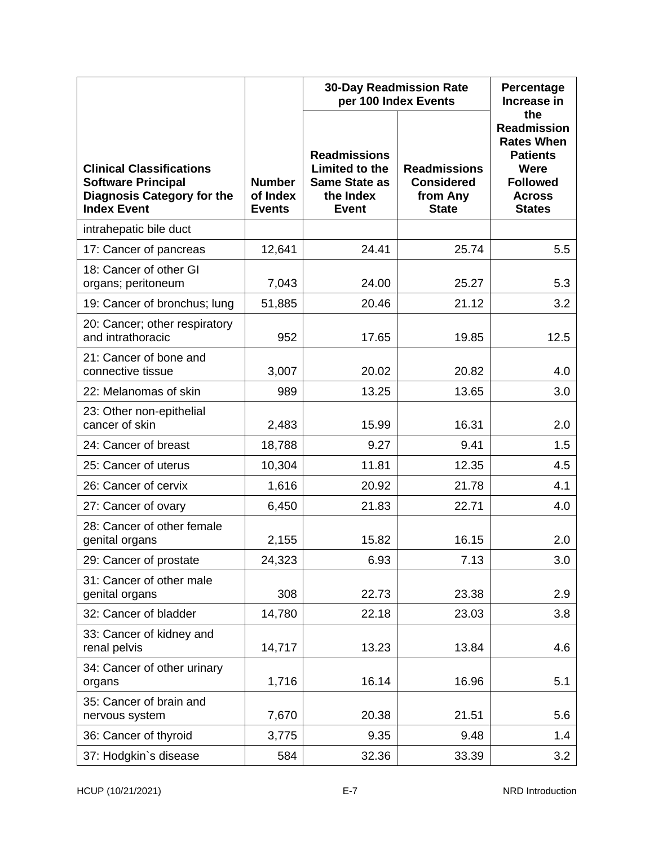|                                                                                                                         |                                            | <b>30-Day Readmission Rate</b><br>per 100 Index Events                                     | Percentage<br>Increase in                                            |                                                                                                                                |
|-------------------------------------------------------------------------------------------------------------------------|--------------------------------------------|--------------------------------------------------------------------------------------------|----------------------------------------------------------------------|--------------------------------------------------------------------------------------------------------------------------------|
| <b>Clinical Classifications</b><br><b>Software Principal</b><br><b>Diagnosis Category for the</b><br><b>Index Event</b> | <b>Number</b><br>of Index<br><b>Events</b> | <b>Readmissions</b><br>Limited to the<br><b>Same State as</b><br>the Index<br><b>Event</b> | <b>Readmissions</b><br><b>Considered</b><br>from Any<br><b>State</b> | the<br><b>Readmission</b><br><b>Rates When</b><br><b>Patients</b><br>Were<br><b>Followed</b><br><b>Across</b><br><b>States</b> |
| intrahepatic bile duct                                                                                                  |                                            |                                                                                            |                                                                      |                                                                                                                                |
| 17: Cancer of pancreas                                                                                                  | 12,641                                     | 24.41                                                                                      | 25.74                                                                | 5.5                                                                                                                            |
| 18: Cancer of other GI<br>organs; peritoneum                                                                            | 7,043                                      | 24.00                                                                                      | 25.27                                                                | 5.3                                                                                                                            |
| 19: Cancer of bronchus; lung                                                                                            | 51,885                                     | 20.46                                                                                      | 21.12                                                                | 3.2                                                                                                                            |
| 20: Cancer; other respiratory<br>and intrathoracic                                                                      | 952                                        | 17.65                                                                                      | 19.85                                                                | 12.5                                                                                                                           |
| 21: Cancer of bone and<br>connective tissue                                                                             | 3,007                                      | 20.02                                                                                      | 20.82                                                                | 4.0                                                                                                                            |
| 22: Melanomas of skin                                                                                                   | 989                                        | 13.25                                                                                      | 13.65                                                                | 3.0                                                                                                                            |
| 23: Other non-epithelial<br>cancer of skin                                                                              | 2,483                                      | 15.99                                                                                      | 16.31                                                                | 2.0                                                                                                                            |
| 24: Cancer of breast                                                                                                    | 18,788                                     | 9.27                                                                                       | 9.41                                                                 | 1.5                                                                                                                            |
| 25: Cancer of uterus                                                                                                    | 10,304                                     | 11.81                                                                                      | 12.35                                                                | 4.5                                                                                                                            |
| 26: Cancer of cervix                                                                                                    | 1,616                                      | 20.92                                                                                      | 21.78                                                                | 4.1                                                                                                                            |
| 27: Cancer of ovary                                                                                                     | 6,450                                      | 21.83                                                                                      | 22.71                                                                | 4.0                                                                                                                            |
| 28: Cancer of other female<br>genital organs                                                                            | 2,155                                      | 15.82                                                                                      | 16.15                                                                | 2.0                                                                                                                            |
| 29: Cancer of prostate                                                                                                  | 24,323                                     | 6.93                                                                                       | 7.13                                                                 | 3.0                                                                                                                            |
| 31: Cancer of other male<br>genital organs                                                                              | 308                                        | 22.73                                                                                      | 23.38                                                                | 2.9                                                                                                                            |
| 32: Cancer of bladder                                                                                                   | 14,780                                     | 22.18                                                                                      | 23.03                                                                | 3.8                                                                                                                            |
| 33: Cancer of kidney and<br>renal pelvis                                                                                | 14,717                                     | 13.23                                                                                      | 13.84                                                                | 4.6                                                                                                                            |
| 34: Cancer of other urinary<br>organs                                                                                   | 1,716                                      | 16.14                                                                                      | 16.96                                                                | 5.1                                                                                                                            |
| 35: Cancer of brain and<br>nervous system                                                                               | 7,670                                      | 20.38                                                                                      | 21.51                                                                | 5.6                                                                                                                            |
| 36: Cancer of thyroid                                                                                                   | 3,775                                      | 9.35                                                                                       | 9.48                                                                 | 1.4                                                                                                                            |
| 37: Hodgkin's disease                                                                                                   | 584                                        | 32.36                                                                                      | 33.39                                                                | 3.2                                                                                                                            |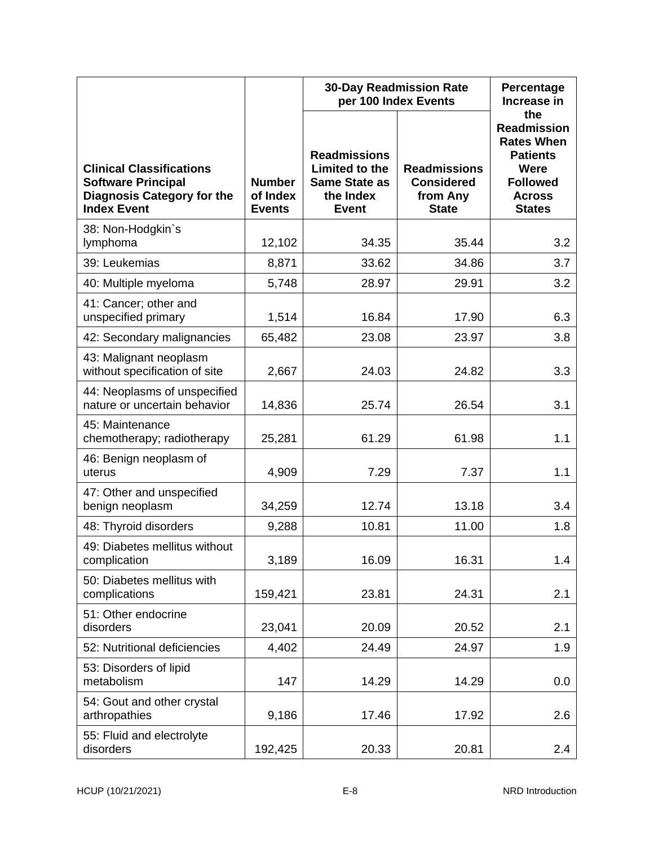|                                                                                                                         |                                            | <b>30-Day Readmission Rate</b><br>per 100 Index Events                                     | Percentage<br>Increase in                                            |                                                                                                                                |
|-------------------------------------------------------------------------------------------------------------------------|--------------------------------------------|--------------------------------------------------------------------------------------------|----------------------------------------------------------------------|--------------------------------------------------------------------------------------------------------------------------------|
| <b>Clinical Classifications</b><br><b>Software Principal</b><br><b>Diagnosis Category for the</b><br><b>Index Event</b> | <b>Number</b><br>of Index<br><b>Events</b> | <b>Readmissions</b><br>Limited to the<br><b>Same State as</b><br>the Index<br><b>Event</b> | <b>Readmissions</b><br><b>Considered</b><br>from Any<br><b>State</b> | the<br><b>Readmission</b><br><b>Rates When</b><br><b>Patients</b><br>Were<br><b>Followed</b><br><b>Across</b><br><b>States</b> |
| 38: Non-Hodgkin's<br>lymphoma                                                                                           | 12,102                                     | 34.35                                                                                      | 35.44                                                                | 3.2                                                                                                                            |
| 39: Leukemias                                                                                                           | 8,871                                      | 33.62                                                                                      | 34.86                                                                | 3.7                                                                                                                            |
| 40: Multiple myeloma                                                                                                    | 5,748                                      | 28.97                                                                                      | 29.91                                                                | 3.2                                                                                                                            |
| 41: Cancer; other and<br>unspecified primary                                                                            | 1,514                                      | 16.84                                                                                      | 17.90                                                                | 6.3                                                                                                                            |
| 42: Secondary malignancies                                                                                              | 65,482                                     | 23.08                                                                                      | 23.97                                                                | 3.8                                                                                                                            |
| 43: Malignant neoplasm<br>without specification of site                                                                 | 2,667                                      | 24.03                                                                                      | 24.82                                                                | 3.3                                                                                                                            |
| 44: Neoplasms of unspecified<br>nature or uncertain behavior                                                            | 14,836                                     | 25.74                                                                                      | 26.54                                                                | 3.1                                                                                                                            |
| 45: Maintenance<br>chemotherapy; radiotherapy                                                                           | 25,281                                     | 61.29                                                                                      | 61.98                                                                | 1.1                                                                                                                            |
| 46: Benign neoplasm of<br>uterus                                                                                        | 4,909                                      | 7.29                                                                                       | 7.37                                                                 | 1.1                                                                                                                            |
| 47: Other and unspecified<br>benign neoplasm                                                                            | 34,259                                     | 12.74                                                                                      | 13.18                                                                | 3.4                                                                                                                            |
| 48: Thyroid disorders                                                                                                   | 9,288                                      | 10.81                                                                                      | 11.00                                                                | 1.8                                                                                                                            |
| 49: Diabetes mellitus without<br>complication                                                                           | 3,189                                      | 16.09                                                                                      | 16.31                                                                | 1.4                                                                                                                            |
| 50: Diabetes mellitus with<br>complications                                                                             | 159,421                                    | 23.81                                                                                      | 24.31                                                                | 2.1                                                                                                                            |
| 51: Other endocrine<br>disorders                                                                                        | 23,041                                     | 20.09                                                                                      | 20.52                                                                | 2.1                                                                                                                            |
| 52: Nutritional deficiencies                                                                                            | 4,402                                      | 24.49                                                                                      | 24.97                                                                | 1.9                                                                                                                            |
| 53: Disorders of lipid<br>metabolism                                                                                    | 147                                        | 14.29                                                                                      | 14.29                                                                | 0.0                                                                                                                            |
| 54: Gout and other crystal<br>arthropathies                                                                             | 9,186                                      | 17.46                                                                                      | 17.92                                                                | 2.6                                                                                                                            |
| 55: Fluid and electrolyte<br>disorders                                                                                  | 192,425                                    | 20.33                                                                                      | 20.81                                                                | 2.4                                                                                                                            |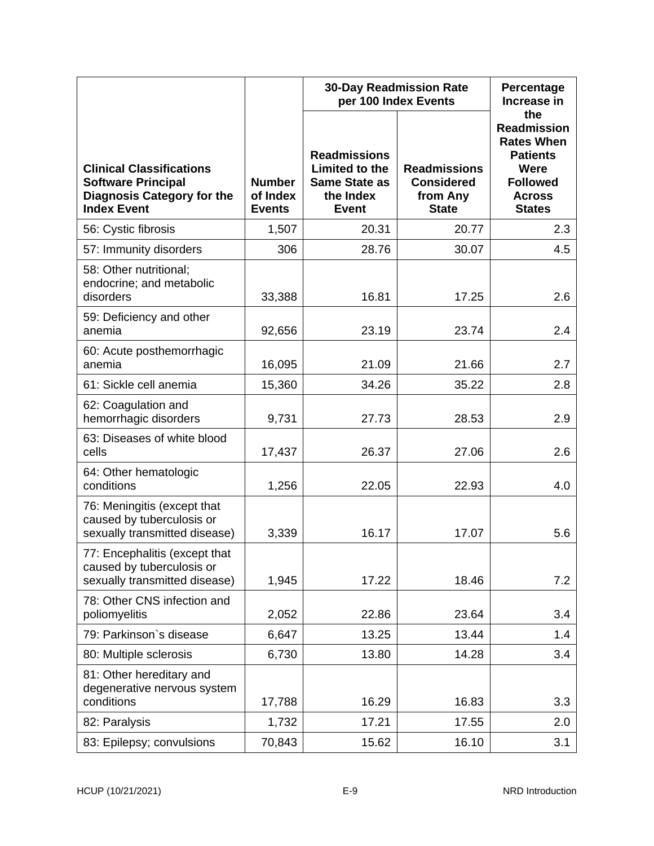|                                                                                                                         |                                            | <b>30-Day Readmission Rate</b><br>per 100 Index Events                                     | Percentage<br>Increase in                                            |                                                                                                                                |
|-------------------------------------------------------------------------------------------------------------------------|--------------------------------------------|--------------------------------------------------------------------------------------------|----------------------------------------------------------------------|--------------------------------------------------------------------------------------------------------------------------------|
| <b>Clinical Classifications</b><br><b>Software Principal</b><br><b>Diagnosis Category for the</b><br><b>Index Event</b> | <b>Number</b><br>of Index<br><b>Events</b> | <b>Readmissions</b><br>Limited to the<br><b>Same State as</b><br>the Index<br><b>Event</b> | <b>Readmissions</b><br><b>Considered</b><br>from Any<br><b>State</b> | the<br><b>Readmission</b><br><b>Rates When</b><br><b>Patients</b><br>Were<br><b>Followed</b><br><b>Across</b><br><b>States</b> |
| 56: Cystic fibrosis                                                                                                     | 1,507                                      | 20.31                                                                                      | 20.77                                                                | 2.3                                                                                                                            |
| 57: Immunity disorders                                                                                                  | 306                                        | 28.76                                                                                      | 30.07                                                                | 4.5                                                                                                                            |
| 58: Other nutritional;<br>endocrine; and metabolic<br>disorders                                                         | 33,388                                     | 16.81                                                                                      | 17.25                                                                | 2.6                                                                                                                            |
| 59: Deficiency and other<br>anemia                                                                                      | 92,656                                     | 23.19                                                                                      | 23.74                                                                | 2.4                                                                                                                            |
| 60: Acute posthemorrhagic<br>anemia                                                                                     | 16,095                                     | 21.09                                                                                      | 21.66                                                                | 2.7                                                                                                                            |
| 61: Sickle cell anemia                                                                                                  | 15,360                                     | 34.26                                                                                      | 35.22                                                                | 2.8                                                                                                                            |
| 62: Coagulation and<br>hemorrhagic disorders                                                                            | 9,731                                      | 27.73                                                                                      | 28.53                                                                | 2.9                                                                                                                            |
| 63: Diseases of white blood<br>cells                                                                                    | 17,437                                     | 26.37                                                                                      | 27.06                                                                | 2.6                                                                                                                            |
| 64: Other hematologic<br>conditions                                                                                     | 1,256                                      | 22.05                                                                                      | 22.93                                                                | 4.0                                                                                                                            |
| 76: Meningitis (except that<br>caused by tuberculosis or<br>sexually transmitted disease)                               | 3,339                                      | 16.17                                                                                      | 17.07                                                                | 5.6                                                                                                                            |
| 77: Encephalitis (except that<br>caused by tuberculosis or<br>sexually transmitted disease)                             | 1,945                                      | 17.22                                                                                      | 18.46                                                                | 7.2                                                                                                                            |
| 78: Other CNS infection and<br>poliomyelitis                                                                            | 2,052                                      | 22.86                                                                                      | 23.64                                                                | 3.4                                                                                                                            |
| 79: Parkinson's disease                                                                                                 | 6,647                                      | 13.25                                                                                      | 13.44                                                                | 1.4                                                                                                                            |
| 80: Multiple sclerosis                                                                                                  | 6,730                                      | 13.80                                                                                      | 14.28                                                                | 3.4                                                                                                                            |
| 81: Other hereditary and<br>degenerative nervous system<br>conditions                                                   | 17,788                                     | 16.29                                                                                      | 16.83                                                                | 3.3                                                                                                                            |
| 82: Paralysis                                                                                                           | 1,732                                      | 17.21                                                                                      | 17.55                                                                | 2.0                                                                                                                            |
| 83: Epilepsy; convulsions                                                                                               | 70,843                                     | 15.62                                                                                      | 16.10                                                                | 3.1                                                                                                                            |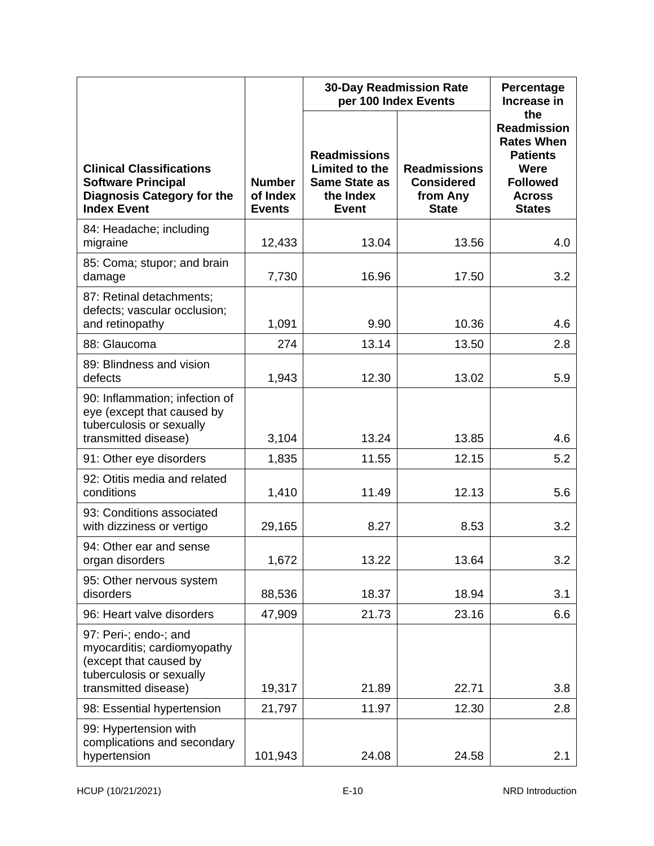|                                                                                                                                    |                                            | <b>30-Day Readmission Rate</b><br>per 100 Index Events                                     |                                                                      | Percentage<br>Increase in                                                                                                      |
|------------------------------------------------------------------------------------------------------------------------------------|--------------------------------------------|--------------------------------------------------------------------------------------------|----------------------------------------------------------------------|--------------------------------------------------------------------------------------------------------------------------------|
| <b>Clinical Classifications</b><br><b>Software Principal</b><br><b>Diagnosis Category for the</b><br><b>Index Event</b>            | <b>Number</b><br>of Index<br><b>Events</b> | <b>Readmissions</b><br>Limited to the<br><b>Same State as</b><br>the Index<br><b>Event</b> | <b>Readmissions</b><br><b>Considered</b><br>from Any<br><b>State</b> | the<br><b>Readmission</b><br><b>Rates When</b><br><b>Patients</b><br>Were<br><b>Followed</b><br><b>Across</b><br><b>States</b> |
| 84: Headache; including<br>migraine                                                                                                | 12,433                                     | 13.04                                                                                      | 13.56                                                                | 4.0                                                                                                                            |
| 85: Coma; stupor; and brain<br>damage                                                                                              | 7,730                                      | 16.96                                                                                      | 17.50                                                                | 3.2                                                                                                                            |
| 87: Retinal detachments;<br>defects; vascular occlusion;<br>and retinopathy                                                        | 1,091                                      | 9.90                                                                                       | 10.36                                                                | 4.6                                                                                                                            |
| 88: Glaucoma                                                                                                                       | 274                                        | 13.14                                                                                      | 13.50                                                                | 2.8                                                                                                                            |
| 89: Blindness and vision<br>defects                                                                                                | 1,943                                      | 12.30                                                                                      | 13.02                                                                | 5.9                                                                                                                            |
| 90: Inflammation; infection of<br>eye (except that caused by<br>tuberculosis or sexually<br>transmitted disease)                   | 3,104                                      | 13.24                                                                                      | 13.85                                                                | 4.6                                                                                                                            |
| 91: Other eye disorders                                                                                                            | 1,835                                      | 11.55                                                                                      | 12.15                                                                | 5.2                                                                                                                            |
| 92: Otitis media and related<br>conditions                                                                                         | 1,410                                      | 11.49                                                                                      | 12.13                                                                | 5.6                                                                                                                            |
| 93: Conditions associated<br>with dizziness or vertigo                                                                             | 29,165                                     | 8.27                                                                                       | 8.53                                                                 | 3.2                                                                                                                            |
| 94: Other ear and sense<br>organ disorders                                                                                         | 1,672                                      | 13.22                                                                                      | 13.64                                                                | 3.2                                                                                                                            |
| 95: Other nervous system<br>disorders                                                                                              | 88,536                                     | 18.37                                                                                      | 18.94                                                                | 3.1                                                                                                                            |
| 96: Heart valve disorders                                                                                                          | 47,909                                     | 21.73                                                                                      | 23.16                                                                | 6.6                                                                                                                            |
| 97: Peri-; endo-; and<br>myocarditis; cardiomyopathy<br>(except that caused by<br>tuberculosis or sexually<br>transmitted disease) | 19,317                                     | 21.89                                                                                      | 22.71                                                                | 3.8                                                                                                                            |
| 98: Essential hypertension                                                                                                         | 21,797                                     | 11.97                                                                                      | 12.30                                                                | 2.8                                                                                                                            |
| 99: Hypertension with<br>complications and secondary<br>hypertension                                                               | 101,943                                    | 24.08                                                                                      | 24.58                                                                | 2.1                                                                                                                            |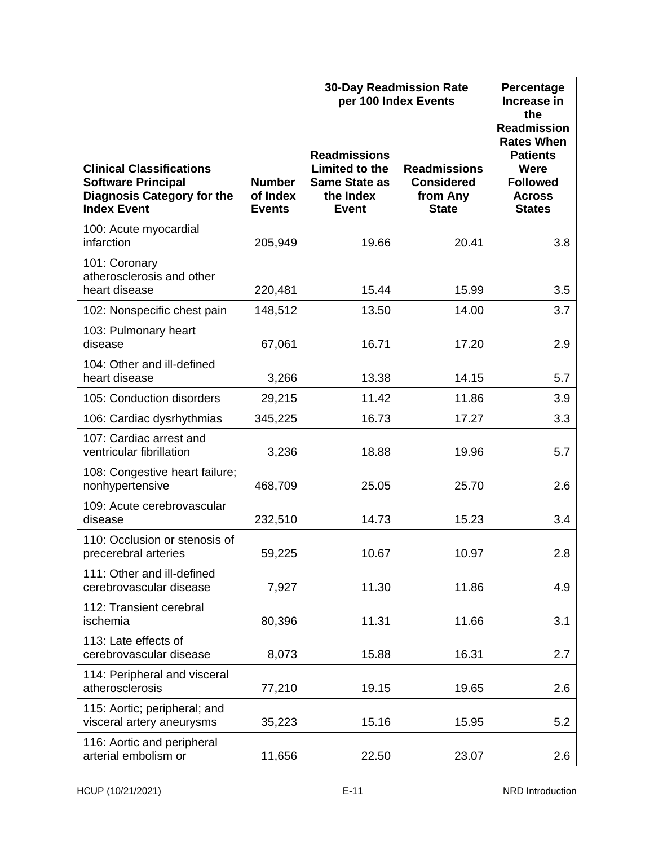|                                                                                                                         |                                            | <b>30-Day Readmission Rate</b><br>per 100 Index Events                                     |                                                                      | Percentage<br>Increase in                                                                                                      |
|-------------------------------------------------------------------------------------------------------------------------|--------------------------------------------|--------------------------------------------------------------------------------------------|----------------------------------------------------------------------|--------------------------------------------------------------------------------------------------------------------------------|
| <b>Clinical Classifications</b><br><b>Software Principal</b><br><b>Diagnosis Category for the</b><br><b>Index Event</b> | <b>Number</b><br>of Index<br><b>Events</b> | <b>Readmissions</b><br>Limited to the<br><b>Same State as</b><br>the Index<br><b>Event</b> | <b>Readmissions</b><br><b>Considered</b><br>from Any<br><b>State</b> | the<br><b>Readmission</b><br><b>Rates When</b><br><b>Patients</b><br>Were<br><b>Followed</b><br><b>Across</b><br><b>States</b> |
| 100: Acute myocardial<br>infarction                                                                                     | 205,949                                    | 19.66                                                                                      | 20.41                                                                | 3.8                                                                                                                            |
| 101: Coronary<br>atherosclerosis and other<br>heart disease                                                             | 220,481                                    | 15.44                                                                                      | 15.99                                                                | 3.5                                                                                                                            |
| 102: Nonspecific chest pain                                                                                             | 148,512                                    | 13.50                                                                                      | 14.00                                                                | 3.7                                                                                                                            |
| 103: Pulmonary heart<br>disease                                                                                         | 67,061                                     | 16.71                                                                                      | 17.20                                                                | 2.9                                                                                                                            |
| 104: Other and ill-defined<br>heart disease                                                                             | 3,266                                      | 13.38                                                                                      | 14.15                                                                | 5.7                                                                                                                            |
| 105: Conduction disorders                                                                                               | 29,215                                     | 11.42                                                                                      | 11.86                                                                | 3.9                                                                                                                            |
| 106: Cardiac dysrhythmias                                                                                               | 345,225                                    | 16.73                                                                                      | 17.27                                                                | 3.3                                                                                                                            |
| 107: Cardiac arrest and<br>ventricular fibrillation                                                                     | 3,236                                      | 18.88                                                                                      | 19.96                                                                | 5.7                                                                                                                            |
| 108: Congestive heart failure;<br>nonhypertensive                                                                       | 468,709                                    | 25.05                                                                                      | 25.70                                                                | 2.6                                                                                                                            |
| 109: Acute cerebrovascular<br>disease                                                                                   | 232,510                                    | 14.73                                                                                      | 15.23                                                                | 3.4                                                                                                                            |
| 110: Occlusion or stenosis of<br>precerebral arteries                                                                   | 59,225                                     | 10.67                                                                                      | 10.97                                                                | 2.8                                                                                                                            |
| 111: Other and ill-defined<br>cerebrovascular disease                                                                   | 7,927                                      | 11.30                                                                                      | 11.86                                                                | 4.9                                                                                                                            |
| 112: Transient cerebral<br>ischemia                                                                                     | 80,396                                     | 11.31                                                                                      | 11.66                                                                | 3.1                                                                                                                            |
| 113: Late effects of<br>cerebrovascular disease                                                                         | 8,073                                      | 15.88                                                                                      | 16.31                                                                | 2.7                                                                                                                            |
| 114: Peripheral and visceral<br>atherosclerosis                                                                         | 77,210                                     | 19.15                                                                                      | 19.65                                                                | 2.6                                                                                                                            |
| 115: Aortic; peripheral; and<br>visceral artery aneurysms                                                               | 35,223                                     | 15.16                                                                                      | 15.95                                                                | 5.2                                                                                                                            |
| 116: Aortic and peripheral<br>arterial embolism or                                                                      | 11,656                                     | 22.50                                                                                      | 23.07                                                                | 2.6                                                                                                                            |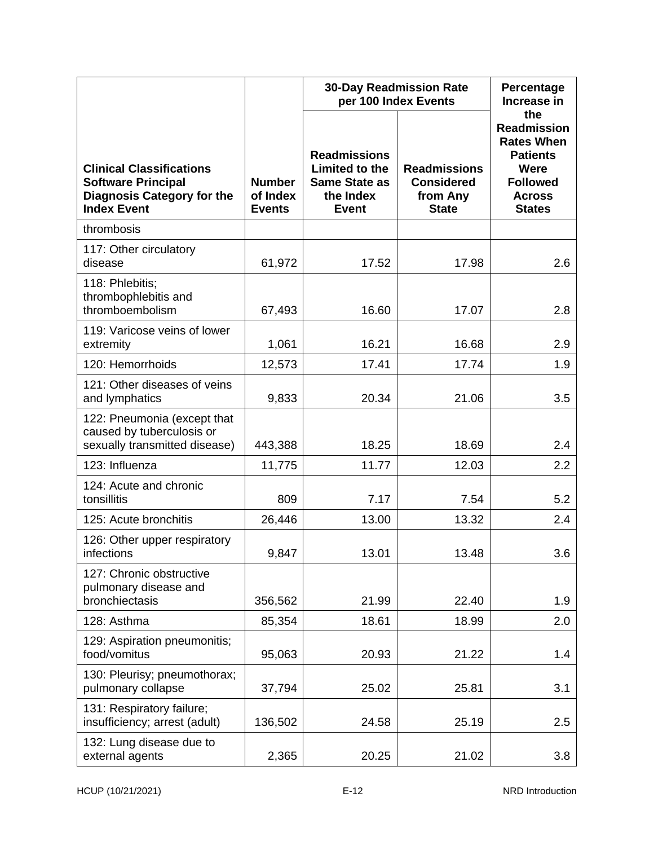|                                                                                                                         |                                            | <b>30-Day Readmission Rate</b><br>per 100 Index Events                                     | Percentage<br>Increase in                                            |                                                                                                                                |
|-------------------------------------------------------------------------------------------------------------------------|--------------------------------------------|--------------------------------------------------------------------------------------------|----------------------------------------------------------------------|--------------------------------------------------------------------------------------------------------------------------------|
| <b>Clinical Classifications</b><br><b>Software Principal</b><br><b>Diagnosis Category for the</b><br><b>Index Event</b> | <b>Number</b><br>of Index<br><b>Events</b> | <b>Readmissions</b><br>Limited to the<br><b>Same State as</b><br>the Index<br><b>Event</b> | <b>Readmissions</b><br><b>Considered</b><br>from Any<br><b>State</b> | the<br><b>Readmission</b><br><b>Rates When</b><br><b>Patients</b><br>Were<br><b>Followed</b><br><b>Across</b><br><b>States</b> |
| thrombosis                                                                                                              |                                            |                                                                                            |                                                                      |                                                                                                                                |
| 117: Other circulatory<br>disease                                                                                       | 61,972                                     | 17.52                                                                                      | 17.98                                                                | 2.6                                                                                                                            |
| 118: Phlebitis;<br>thrombophlebitis and<br>thromboembolism                                                              | 67,493                                     | 16.60                                                                                      | 17.07                                                                | 2.8                                                                                                                            |
| 119: Varicose veins of lower<br>extremity                                                                               | 1,061                                      | 16.21                                                                                      | 16.68                                                                | 2.9                                                                                                                            |
| 120: Hemorrhoids                                                                                                        | 12,573                                     | 17.41                                                                                      | 17.74                                                                | 1.9                                                                                                                            |
| 121: Other diseases of veins<br>and lymphatics                                                                          | 9,833                                      | 20.34                                                                                      | 21.06                                                                | 3.5                                                                                                                            |
| 122: Pneumonia (except that<br>caused by tuberculosis or<br>sexually transmitted disease)                               | 443,388                                    | 18.25                                                                                      | 18.69                                                                | 2.4                                                                                                                            |
| 123: Influenza                                                                                                          | 11,775                                     | 11.77                                                                                      | 12.03                                                                | 2.2                                                                                                                            |
| 124: Acute and chronic<br>tonsillitis                                                                                   | 809                                        | 7.17                                                                                       | 7.54                                                                 | 5.2                                                                                                                            |
| 125: Acute bronchitis                                                                                                   | 26,446                                     | 13.00                                                                                      | 13.32                                                                | 2.4                                                                                                                            |
| 126: Other upper respiratory<br>infections                                                                              | 9,847                                      | 13.01                                                                                      | 13.48                                                                | 3.6                                                                                                                            |
| 127: Chronic obstructive<br>pulmonary disease and<br>bronchiectasis                                                     | 356,562                                    | 21.99                                                                                      | 22.40                                                                | 1.9                                                                                                                            |
| 128: Asthma                                                                                                             | 85,354                                     | 18.61                                                                                      | 18.99                                                                | 2.0                                                                                                                            |
| 129: Aspiration pneumonitis;<br>food/vomitus                                                                            | 95,063                                     | 20.93                                                                                      | 21.22                                                                | 1.4                                                                                                                            |
| 130: Pleurisy; pneumothorax;<br>pulmonary collapse                                                                      | 37,794                                     | 25.02                                                                                      | 25.81                                                                | 3.1                                                                                                                            |
| 131: Respiratory failure;<br>insufficiency; arrest (adult)                                                              | 136,502                                    | 24.58                                                                                      | 25.19                                                                | 2.5                                                                                                                            |
| 132: Lung disease due to<br>external agents                                                                             | 2,365                                      | 20.25                                                                                      | 21.02                                                                | 3.8                                                                                                                            |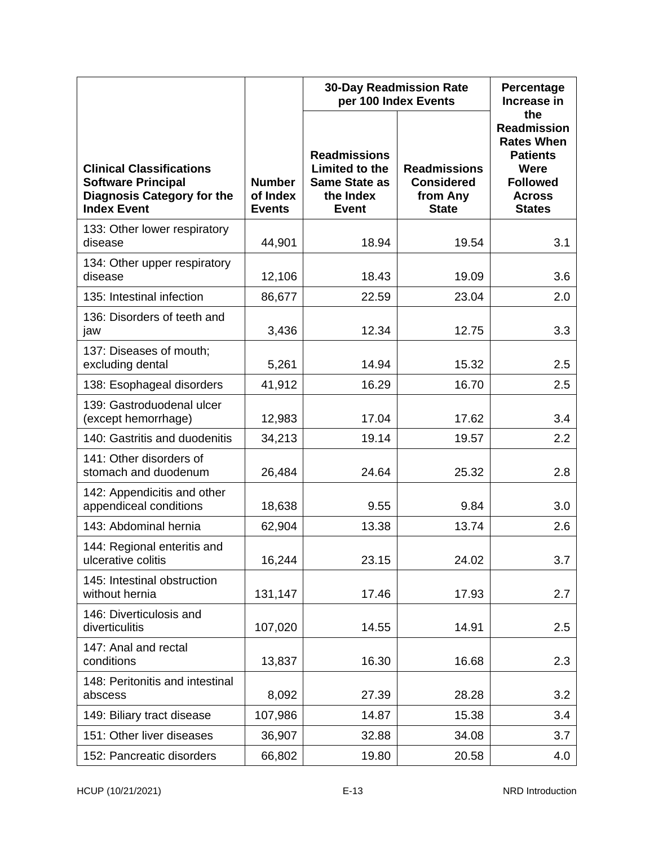|                                                                                                                         |                                            | <b>30-Day Readmission Rate</b><br>per 100 Index Events                                     | Percentage<br>Increase in                                            |                                                                                                                                |
|-------------------------------------------------------------------------------------------------------------------------|--------------------------------------------|--------------------------------------------------------------------------------------------|----------------------------------------------------------------------|--------------------------------------------------------------------------------------------------------------------------------|
| <b>Clinical Classifications</b><br><b>Software Principal</b><br><b>Diagnosis Category for the</b><br><b>Index Event</b> | <b>Number</b><br>of Index<br><b>Events</b> | <b>Readmissions</b><br>Limited to the<br><b>Same State as</b><br>the Index<br><b>Event</b> | <b>Readmissions</b><br><b>Considered</b><br>from Any<br><b>State</b> | the<br><b>Readmission</b><br><b>Rates When</b><br><b>Patients</b><br>Were<br><b>Followed</b><br><b>Across</b><br><b>States</b> |
| 133: Other lower respiratory<br>disease                                                                                 | 44,901                                     | 18.94                                                                                      | 19.54                                                                | 3.1                                                                                                                            |
| 134: Other upper respiratory<br>disease                                                                                 | 12,106                                     | 18.43                                                                                      | 19.09                                                                | 3.6                                                                                                                            |
| 135: Intestinal infection                                                                                               | 86,677                                     | 22.59                                                                                      | 23.04                                                                | 2.0                                                                                                                            |
| 136: Disorders of teeth and<br>jaw                                                                                      | 3,436                                      | 12.34                                                                                      | 12.75                                                                | 3.3                                                                                                                            |
| 137: Diseases of mouth;<br>excluding dental                                                                             | 5,261                                      | 14.94                                                                                      | 15.32                                                                | 2.5                                                                                                                            |
| 138: Esophageal disorders                                                                                               | 41,912                                     | 16.29                                                                                      | 16.70                                                                | 2.5                                                                                                                            |
| 139: Gastroduodenal ulcer<br>(except hemorrhage)                                                                        | 12,983                                     | 17.04                                                                                      | 17.62                                                                | 3.4                                                                                                                            |
| 140: Gastritis and duodenitis                                                                                           | 34,213                                     | 19.14                                                                                      | 19.57                                                                | 2.2                                                                                                                            |
| 141: Other disorders of<br>stomach and duodenum                                                                         | 26,484                                     | 24.64                                                                                      | 25.32                                                                | 2.8                                                                                                                            |
| 142: Appendicitis and other<br>appendiceal conditions                                                                   | 18,638                                     | 9.55                                                                                       | 9.84                                                                 | 3.0                                                                                                                            |
| 143: Abdominal hernia                                                                                                   | 62,904                                     | 13.38                                                                                      | 13.74                                                                | 2.6                                                                                                                            |
| 144: Regional enteritis and<br>ulcerative colitis                                                                       | 16,244                                     | 23.15                                                                                      | 24.02                                                                | 3.7                                                                                                                            |
| 145: Intestinal obstruction<br>without hernia                                                                           | 131,147                                    | 17.46                                                                                      | 17.93                                                                | 2.7                                                                                                                            |
| 146: Diverticulosis and<br>diverticulitis                                                                               | 107,020                                    | 14.55                                                                                      | 14.91                                                                | 2.5                                                                                                                            |
| 147: Anal and rectal<br>conditions                                                                                      | 13,837                                     | 16.30                                                                                      | 16.68                                                                | 2.3                                                                                                                            |
| 148: Peritonitis and intestinal<br>abscess                                                                              | 8,092                                      | 27.39                                                                                      | 28.28                                                                | 3.2                                                                                                                            |
| 149: Biliary tract disease                                                                                              | 107,986                                    | 14.87                                                                                      | 15.38                                                                | 3.4                                                                                                                            |
| 151: Other liver diseases                                                                                               | 36,907                                     | 32.88                                                                                      | 34.08                                                                | 3.7                                                                                                                            |
| 152: Pancreatic disorders                                                                                               | 66,802                                     | 19.80                                                                                      | 20.58                                                                | 4.0                                                                                                                            |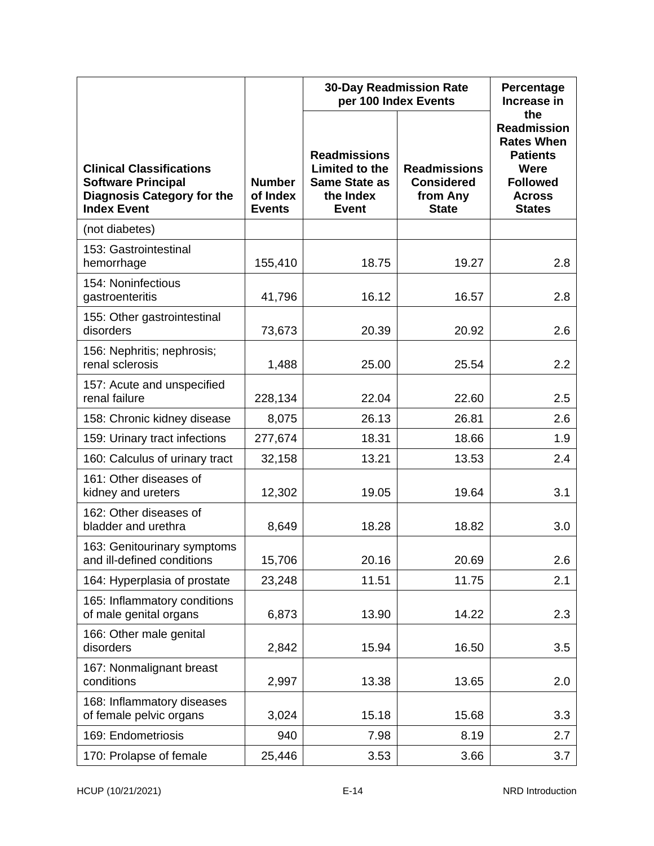|                                                                                                                         |                                            | <b>30-Day Readmission Rate</b><br>per 100 Index Events                                     | Percentage<br>Increase in                                            |                                                                                                                                |
|-------------------------------------------------------------------------------------------------------------------------|--------------------------------------------|--------------------------------------------------------------------------------------------|----------------------------------------------------------------------|--------------------------------------------------------------------------------------------------------------------------------|
| <b>Clinical Classifications</b><br><b>Software Principal</b><br><b>Diagnosis Category for the</b><br><b>Index Event</b> | <b>Number</b><br>of Index<br><b>Events</b> | <b>Readmissions</b><br>Limited to the<br><b>Same State as</b><br>the Index<br><b>Event</b> | <b>Readmissions</b><br><b>Considered</b><br>from Any<br><b>State</b> | the<br><b>Readmission</b><br><b>Rates When</b><br><b>Patients</b><br>Were<br><b>Followed</b><br><b>Across</b><br><b>States</b> |
| (not diabetes)                                                                                                          |                                            |                                                                                            |                                                                      |                                                                                                                                |
| 153: Gastrointestinal<br>hemorrhage                                                                                     | 155,410                                    | 18.75                                                                                      | 19.27                                                                | 2.8                                                                                                                            |
| 154: Noninfectious<br>gastroenteritis                                                                                   | 41,796                                     | 16.12                                                                                      | 16.57                                                                | 2.8                                                                                                                            |
| 155: Other gastrointestinal<br>disorders                                                                                | 73,673                                     | 20.39                                                                                      | 20.92                                                                | 2.6                                                                                                                            |
| 156: Nephritis; nephrosis;<br>renal sclerosis                                                                           | 1,488                                      | 25.00                                                                                      | 25.54                                                                | 2.2                                                                                                                            |
| 157: Acute and unspecified<br>renal failure                                                                             | 228,134                                    | 22.04                                                                                      | 22.60                                                                | 2.5                                                                                                                            |
| 158: Chronic kidney disease                                                                                             | 8,075                                      | 26.13                                                                                      | 26.81                                                                | 2.6                                                                                                                            |
| 159: Urinary tract infections                                                                                           | 277,674                                    | 18.31                                                                                      | 18.66                                                                | 1.9                                                                                                                            |
| 160: Calculus of urinary tract                                                                                          | 32,158                                     | 13.21                                                                                      | 13.53                                                                | 2.4                                                                                                                            |
| 161: Other diseases of<br>kidney and ureters                                                                            | 12,302                                     | 19.05                                                                                      | 19.64                                                                | 3.1                                                                                                                            |
| 162: Other diseases of<br>bladder and urethra                                                                           | 8,649                                      | 18.28                                                                                      | 18.82                                                                | 3.0                                                                                                                            |
| 163: Genitourinary symptoms<br>and ill-defined conditions                                                               | 15,706                                     | 20.16                                                                                      | 20.69                                                                | 2.6                                                                                                                            |
| 164: Hyperplasia of prostate                                                                                            | 23,248                                     | 11.51                                                                                      | 11.75                                                                | 2.1                                                                                                                            |
| 165: Inflammatory conditions<br>of male genital organs                                                                  | 6,873                                      | 13.90                                                                                      | 14.22                                                                | 2.3                                                                                                                            |
| 166: Other male genital<br>disorders                                                                                    | 2,842                                      | 15.94                                                                                      | 16.50                                                                | 3.5                                                                                                                            |
| 167: Nonmalignant breast<br>conditions                                                                                  | 2,997                                      | 13.38                                                                                      | 13.65                                                                | 2.0                                                                                                                            |
| 168: Inflammatory diseases<br>of female pelvic organs                                                                   | 3,024                                      | 15.18                                                                                      | 15.68                                                                | 3.3                                                                                                                            |
| 169: Endometriosis                                                                                                      | 940                                        | 7.98                                                                                       | 8.19                                                                 | 2.7                                                                                                                            |
| 170: Prolapse of female                                                                                                 | 25,446                                     | 3.53                                                                                       | 3.66                                                                 | 3.7                                                                                                                            |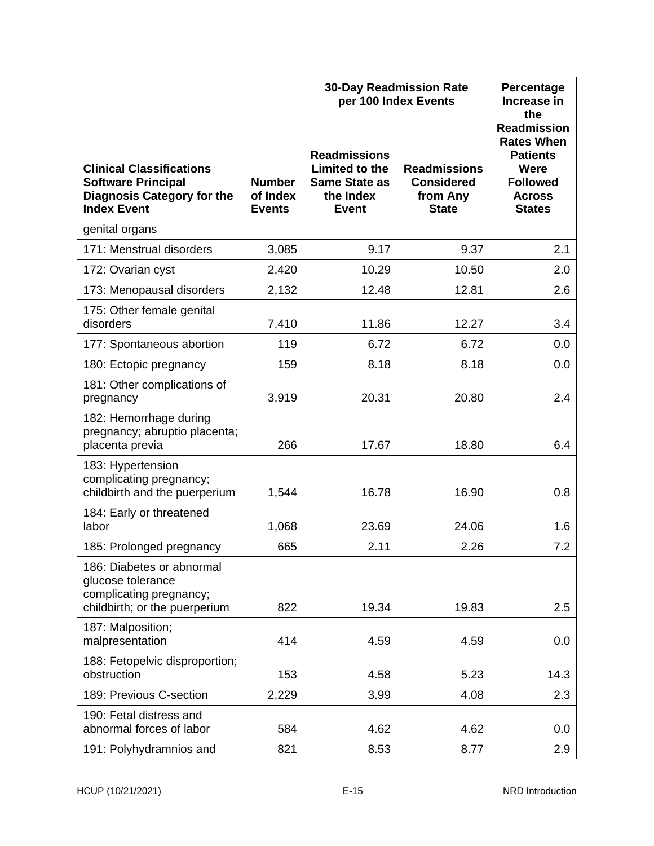|                                                                                                                         |                                            | <b>30-Day Readmission Rate</b><br>per 100 Index Events                                     | Percentage<br>Increase in                                            |                                                                                                                                |
|-------------------------------------------------------------------------------------------------------------------------|--------------------------------------------|--------------------------------------------------------------------------------------------|----------------------------------------------------------------------|--------------------------------------------------------------------------------------------------------------------------------|
| <b>Clinical Classifications</b><br><b>Software Principal</b><br><b>Diagnosis Category for the</b><br><b>Index Event</b> | <b>Number</b><br>of Index<br><b>Events</b> | <b>Readmissions</b><br>Limited to the<br><b>Same State as</b><br>the Index<br><b>Event</b> | <b>Readmissions</b><br><b>Considered</b><br>from Any<br><b>State</b> | the<br><b>Readmission</b><br><b>Rates When</b><br><b>Patients</b><br>Were<br><b>Followed</b><br><b>Across</b><br><b>States</b> |
| genital organs                                                                                                          |                                            |                                                                                            |                                                                      |                                                                                                                                |
| 171: Menstrual disorders                                                                                                | 3,085                                      | 9.17                                                                                       | 9.37                                                                 | 2.1                                                                                                                            |
| 172: Ovarian cyst                                                                                                       | 2,420                                      | 10.29                                                                                      | 10.50                                                                | 2.0                                                                                                                            |
| 173: Menopausal disorders                                                                                               | 2,132                                      | 12.48                                                                                      | 12.81                                                                | 2.6                                                                                                                            |
| 175: Other female genital<br>disorders                                                                                  | 7,410                                      | 11.86                                                                                      | 12.27                                                                | 3.4                                                                                                                            |
| 177: Spontaneous abortion                                                                                               | 119                                        | 6.72                                                                                       | 6.72                                                                 | 0.0                                                                                                                            |
| 180: Ectopic pregnancy                                                                                                  | 159                                        | 8.18                                                                                       | 8.18                                                                 | 0.0                                                                                                                            |
| 181: Other complications of<br>pregnancy                                                                                | 3,919                                      | 20.31                                                                                      | 20.80                                                                | 2.4                                                                                                                            |
| 182: Hemorrhage during<br>pregnancy; abruptio placenta;<br>placenta previa                                              | 266                                        | 17.67                                                                                      | 18.80                                                                | 6.4                                                                                                                            |
| 183: Hypertension<br>complicating pregnancy;<br>childbirth and the puerperium                                           | 1,544                                      | 16.78                                                                                      | 16.90                                                                | 0.8                                                                                                                            |
| 184: Early or threatened<br>labor                                                                                       | 1,068                                      | 23.69                                                                                      | 24.06                                                                | 1.6                                                                                                                            |
| 185: Prolonged pregnancy                                                                                                | 665                                        | 2.11                                                                                       | 2.26                                                                 | 7.2                                                                                                                            |
| 186: Diabetes or abnormal<br>glucose tolerance<br>complicating pregnancy;<br>childbirth; or the puerperium              | 822                                        | 19.34                                                                                      | 19.83                                                                | 2.5                                                                                                                            |
| 187: Malposition;<br>malpresentation                                                                                    | 414                                        | 4.59                                                                                       | 4.59                                                                 | 0.0                                                                                                                            |
| 188: Fetopelvic disproportion;<br>obstruction                                                                           | 153                                        | 4.58                                                                                       | 5.23                                                                 | 14.3                                                                                                                           |
| 189: Previous C-section                                                                                                 | 2,229                                      | 3.99                                                                                       | 4.08                                                                 | 2.3                                                                                                                            |
| 190: Fetal distress and<br>abnormal forces of labor                                                                     | 584                                        | 4.62                                                                                       | 4.62                                                                 | 0.0                                                                                                                            |
| 191: Polyhydramnios and                                                                                                 | 821                                        | 8.53                                                                                       | 8.77                                                                 | 2.9                                                                                                                            |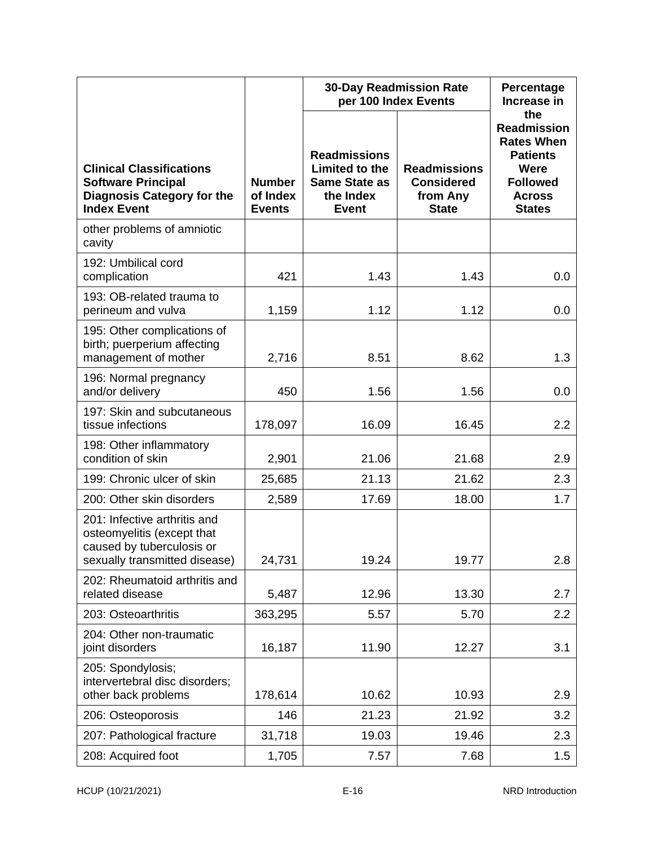|                                                                                                                          |                                            | <b>30-Day Readmission Rate</b><br>per 100 Index Events                                     | Percentage<br>Increase in<br>the                                     |                                                                                                                         |
|--------------------------------------------------------------------------------------------------------------------------|--------------------------------------------|--------------------------------------------------------------------------------------------|----------------------------------------------------------------------|-------------------------------------------------------------------------------------------------------------------------|
| <b>Clinical Classifications</b><br><b>Software Principal</b><br><b>Diagnosis Category for the</b><br><b>Index Event</b>  | <b>Number</b><br>of Index<br><b>Events</b> | <b>Readmissions</b><br>Limited to the<br><b>Same State as</b><br>the Index<br><b>Event</b> | <b>Readmissions</b><br><b>Considered</b><br>from Any<br><b>State</b> | <b>Readmission</b><br><b>Rates When</b><br><b>Patients</b><br>Were<br><b>Followed</b><br><b>Across</b><br><b>States</b> |
| other problems of amniotic<br>cavity                                                                                     |                                            |                                                                                            |                                                                      |                                                                                                                         |
| 192: Umbilical cord<br>complication                                                                                      | 421                                        | 1.43                                                                                       | 1.43                                                                 | 0.0                                                                                                                     |
| 193: OB-related trauma to<br>perineum and vulva                                                                          | 1,159                                      | 1.12                                                                                       | 1.12                                                                 | 0.0                                                                                                                     |
| 195: Other complications of<br>birth; puerperium affecting<br>management of mother                                       | 2,716                                      | 8.51                                                                                       | 8.62                                                                 | 1.3                                                                                                                     |
| 196: Normal pregnancy<br>and/or delivery                                                                                 | 450                                        | 1.56                                                                                       | 1.56                                                                 | 0.0                                                                                                                     |
| 197: Skin and subcutaneous<br>tissue infections                                                                          | 178,097                                    | 16.09                                                                                      | 16.45                                                                | 2.2                                                                                                                     |
| 198: Other inflammatory<br>condition of skin                                                                             | 2,901                                      | 21.06                                                                                      | 21.68                                                                | 2.9                                                                                                                     |
| 199: Chronic ulcer of skin                                                                                               | 25,685                                     | 21.13                                                                                      | 21.62                                                                | 2.3                                                                                                                     |
| 200: Other skin disorders                                                                                                | 2,589                                      | 17.69                                                                                      | 18.00                                                                | 1.7                                                                                                                     |
| 201: Infective arthritis and<br>osteomyelitis (except that<br>caused by tuberculosis or<br>sexually transmitted disease) | 24,731                                     | 19.24                                                                                      | 19.77                                                                | 2.8                                                                                                                     |
| 202: Rheumatoid arthritis and<br>related disease                                                                         | 5,487                                      | 12.96                                                                                      | 13.30                                                                | 2.7                                                                                                                     |
| 203: Osteoarthritis                                                                                                      | 363,295                                    | 5.57                                                                                       | 5.70                                                                 | 2.2                                                                                                                     |
| 204: Other non-traumatic<br>joint disorders                                                                              | 16,187                                     | 11.90                                                                                      | 12.27                                                                | 3.1                                                                                                                     |
| 205: Spondylosis;<br>intervertebral disc disorders;<br>other back problems                                               | 178,614                                    | 10.62                                                                                      | 10.93                                                                | 2.9                                                                                                                     |
| 206: Osteoporosis                                                                                                        | 146                                        | 21.23                                                                                      | 21.92                                                                | 3.2                                                                                                                     |
| 207: Pathological fracture                                                                                               | 31,718                                     | 19.03                                                                                      | 19.46                                                                | 2.3                                                                                                                     |
| 208: Acquired foot                                                                                                       | 1,705                                      | 7.57                                                                                       | 7.68                                                                 | 1.5                                                                                                                     |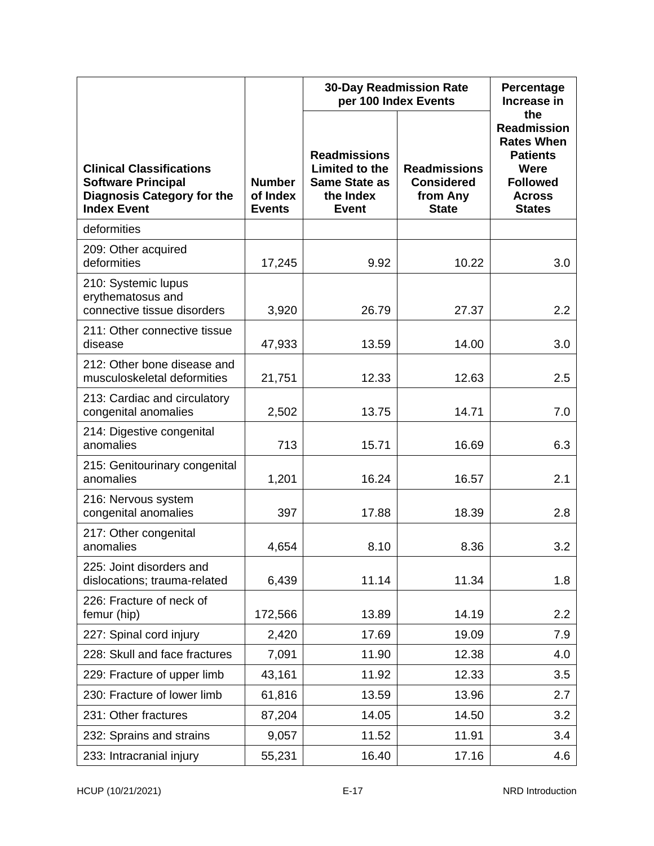|                                                                                                                         |                                            | <b>30-Day Readmission Rate</b><br>per 100 Index Events                                     | Percentage<br>Increase in                                            |                                                                                                                                |
|-------------------------------------------------------------------------------------------------------------------------|--------------------------------------------|--------------------------------------------------------------------------------------------|----------------------------------------------------------------------|--------------------------------------------------------------------------------------------------------------------------------|
| <b>Clinical Classifications</b><br><b>Software Principal</b><br><b>Diagnosis Category for the</b><br><b>Index Event</b> | <b>Number</b><br>of Index<br><b>Events</b> | <b>Readmissions</b><br>Limited to the<br><b>Same State as</b><br>the Index<br><b>Event</b> | <b>Readmissions</b><br><b>Considered</b><br>from Any<br><b>State</b> | the<br><b>Readmission</b><br><b>Rates When</b><br><b>Patients</b><br>Were<br><b>Followed</b><br><b>Across</b><br><b>States</b> |
| deformities                                                                                                             |                                            |                                                                                            |                                                                      |                                                                                                                                |
| 209: Other acquired<br>deformities                                                                                      | 17,245                                     | 9.92                                                                                       | 10.22                                                                | 3.0                                                                                                                            |
| 210: Systemic lupus<br>erythematosus and<br>connective tissue disorders                                                 | 3,920                                      | 26.79                                                                                      | 27.37                                                                | 2.2                                                                                                                            |
| 211: Other connective tissue<br>disease                                                                                 | 47,933                                     | 13.59                                                                                      | 14.00                                                                | 3.0                                                                                                                            |
| 212: Other bone disease and<br>musculoskeletal deformities                                                              | 21,751                                     | 12.33                                                                                      | 12.63                                                                | 2.5                                                                                                                            |
| 213: Cardiac and circulatory<br>congenital anomalies                                                                    | 2,502                                      | 13.75                                                                                      | 14.71                                                                | 7.0                                                                                                                            |
| 214: Digestive congenital<br>anomalies                                                                                  | 713                                        | 15.71                                                                                      | 16.69                                                                | 6.3                                                                                                                            |
| 215: Genitourinary congenital<br>anomalies                                                                              | 1,201                                      | 16.24                                                                                      | 16.57                                                                | 2.1                                                                                                                            |
| 216: Nervous system<br>congenital anomalies                                                                             | 397                                        | 17.88                                                                                      | 18.39                                                                | 2.8                                                                                                                            |
| 217: Other congenital<br>anomalies                                                                                      | 4,654                                      | 8.10                                                                                       | 8.36                                                                 | 3.2                                                                                                                            |
| 225: Joint disorders and<br>dislocations; trauma-related                                                                | 6,439                                      | 11.14                                                                                      | 11.34                                                                | 1.8                                                                                                                            |
| 226: Fracture of neck of<br>femur (hip)                                                                                 | 172,566                                    | 13.89                                                                                      | 14.19                                                                | 2.2                                                                                                                            |
| 227: Spinal cord injury                                                                                                 | 2,420                                      | 17.69                                                                                      | 19.09                                                                | 7.9                                                                                                                            |
| 228: Skull and face fractures                                                                                           | 7,091                                      | 11.90                                                                                      | 12.38                                                                | 4.0                                                                                                                            |
| 229: Fracture of upper limb                                                                                             | 43,161                                     | 11.92                                                                                      | 12.33                                                                | 3.5                                                                                                                            |
| 230: Fracture of lower limb                                                                                             | 61,816                                     | 13.59                                                                                      | 13.96                                                                | 2.7                                                                                                                            |
| 231: Other fractures                                                                                                    | 87,204                                     | 14.05                                                                                      | 14.50                                                                | 3.2                                                                                                                            |
| 232: Sprains and strains                                                                                                | 9,057                                      | 11.52                                                                                      | 11.91                                                                | 3.4                                                                                                                            |
| 233: Intracranial injury                                                                                                | 55,231                                     | 16.40                                                                                      | 17.16                                                                | 4.6                                                                                                                            |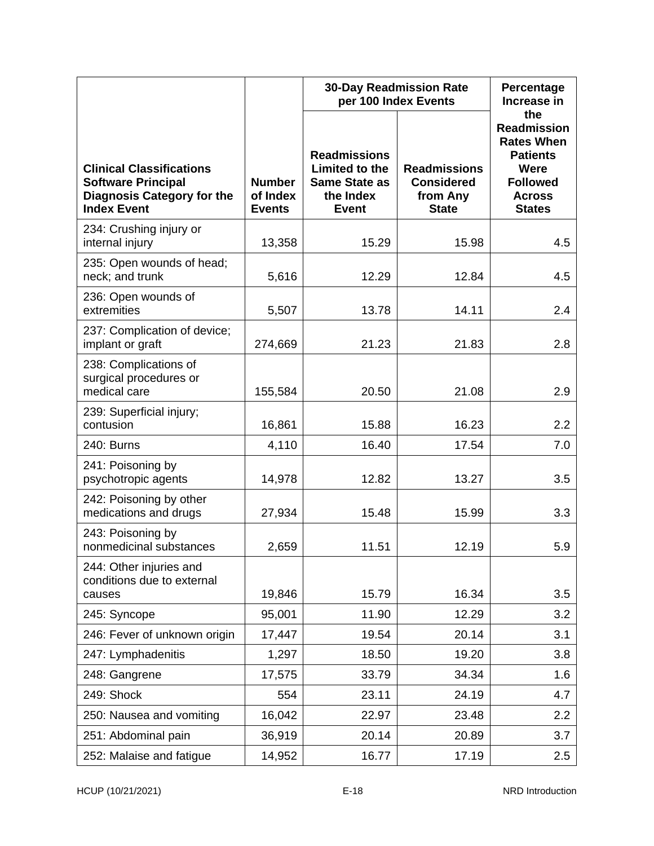|                                                                                                                         |                                            | <b>30-Day Readmission Rate</b><br>per 100 Index Events                                     | Percentage<br>Increase in                                            |                                                                                                                                |
|-------------------------------------------------------------------------------------------------------------------------|--------------------------------------------|--------------------------------------------------------------------------------------------|----------------------------------------------------------------------|--------------------------------------------------------------------------------------------------------------------------------|
| <b>Clinical Classifications</b><br><b>Software Principal</b><br><b>Diagnosis Category for the</b><br><b>Index Event</b> | <b>Number</b><br>of Index<br><b>Events</b> | <b>Readmissions</b><br>Limited to the<br><b>Same State as</b><br>the Index<br><b>Event</b> | <b>Readmissions</b><br><b>Considered</b><br>from Any<br><b>State</b> | the<br><b>Readmission</b><br><b>Rates When</b><br><b>Patients</b><br>Were<br><b>Followed</b><br><b>Across</b><br><b>States</b> |
| 234: Crushing injury or<br>internal injury                                                                              | 13,358                                     | 15.29                                                                                      | 15.98                                                                | 4.5                                                                                                                            |
| 235: Open wounds of head;<br>neck; and trunk                                                                            | 5,616                                      | 12.29                                                                                      | 12.84                                                                | 4.5                                                                                                                            |
| 236: Open wounds of<br>extremities                                                                                      | 5,507                                      | 13.78                                                                                      | 14.11                                                                | 2.4                                                                                                                            |
| 237: Complication of device;<br>implant or graft                                                                        | 274,669                                    | 21.23                                                                                      | 21.83                                                                | 2.8                                                                                                                            |
| 238: Complications of<br>surgical procedures or<br>medical care                                                         | 155,584                                    | 20.50                                                                                      | 21.08                                                                | 2.9                                                                                                                            |
| 239: Superficial injury;<br>contusion                                                                                   | 16,861                                     | 15.88                                                                                      | 16.23                                                                | 2.2                                                                                                                            |
| 240: Burns                                                                                                              | 4,110                                      | 16.40                                                                                      | 17.54                                                                | 7.0                                                                                                                            |
| 241: Poisoning by<br>psychotropic agents                                                                                | 14,978                                     | 12.82                                                                                      | 13.27                                                                | 3.5                                                                                                                            |
| 242: Poisoning by other<br>medications and drugs                                                                        | 27,934                                     | 15.48                                                                                      | 15.99                                                                | 3.3                                                                                                                            |
| 243: Poisoning by<br>nonmedicinal substances                                                                            | 2,659                                      | 11.51                                                                                      | 12.19                                                                | 5.9                                                                                                                            |
| 244: Other injuries and<br>conditions due to external<br>causes                                                         | 19,846                                     | 15.79                                                                                      | 16.34                                                                | 3.5                                                                                                                            |
| 245: Syncope                                                                                                            | 95,001                                     | 11.90                                                                                      | 12.29                                                                | 3.2                                                                                                                            |
| 246: Fever of unknown origin                                                                                            | 17,447                                     | 19.54                                                                                      | 20.14                                                                | 3.1                                                                                                                            |
| 247: Lymphadenitis                                                                                                      | 1,297                                      | 18.50                                                                                      | 19.20                                                                | 3.8                                                                                                                            |
| 248: Gangrene                                                                                                           | 17,575                                     | 33.79                                                                                      | 34.34                                                                | 1.6                                                                                                                            |
| 249: Shock                                                                                                              | 554                                        | 23.11                                                                                      | 24.19                                                                | 4.7                                                                                                                            |
| 250: Nausea and vomiting                                                                                                | 16,042                                     | 22.97                                                                                      | 23.48                                                                | 2.2                                                                                                                            |
| 251: Abdominal pain                                                                                                     | 36,919                                     | 20.14                                                                                      | 20.89                                                                | 3.7                                                                                                                            |
| 252: Malaise and fatigue                                                                                                | 14,952                                     | 16.77                                                                                      | 17.19                                                                | 2.5                                                                                                                            |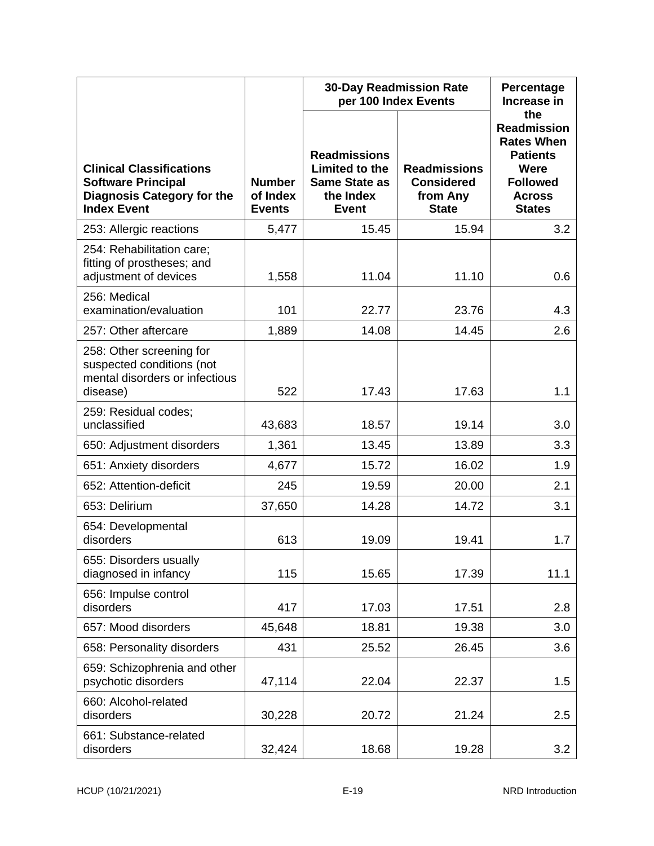|                                                                                                                         |                                            | <b>30-Day Readmission Rate</b><br>per 100 Index Events                                     | Percentage<br>Increase in                                            |                                                                                                                                |
|-------------------------------------------------------------------------------------------------------------------------|--------------------------------------------|--------------------------------------------------------------------------------------------|----------------------------------------------------------------------|--------------------------------------------------------------------------------------------------------------------------------|
| <b>Clinical Classifications</b><br><b>Software Principal</b><br><b>Diagnosis Category for the</b><br><b>Index Event</b> | <b>Number</b><br>of Index<br><b>Events</b> | <b>Readmissions</b><br>Limited to the<br><b>Same State as</b><br>the Index<br><b>Event</b> | <b>Readmissions</b><br><b>Considered</b><br>from Any<br><b>State</b> | the<br><b>Readmission</b><br><b>Rates When</b><br><b>Patients</b><br>Were<br><b>Followed</b><br><b>Across</b><br><b>States</b> |
| 253: Allergic reactions                                                                                                 | 5,477                                      | 15.45                                                                                      | 15.94                                                                | 3.2                                                                                                                            |
| 254: Rehabilitation care;<br>fitting of prostheses; and<br>adjustment of devices                                        | 1,558                                      | 11.04                                                                                      | 11.10                                                                | 0.6                                                                                                                            |
| 256: Medical<br>examination/evaluation                                                                                  | 101                                        | 22.77                                                                                      | 23.76                                                                | 4.3                                                                                                                            |
| 257: Other aftercare                                                                                                    | 1,889                                      | 14.08                                                                                      | 14.45                                                                | 2.6                                                                                                                            |
| 258: Other screening for<br>suspected conditions (not<br>mental disorders or infectious<br>disease)                     | 522                                        | 17.43                                                                                      | 17.63                                                                | 1.1                                                                                                                            |
| 259: Residual codes;<br>unclassified                                                                                    | 43,683                                     | 18.57                                                                                      | 19.14                                                                | 3.0                                                                                                                            |
| 650: Adjustment disorders                                                                                               | 1,361                                      | 13.45                                                                                      | 13.89                                                                | 3.3                                                                                                                            |
| 651: Anxiety disorders                                                                                                  | 4,677                                      | 15.72                                                                                      | 16.02                                                                | 1.9                                                                                                                            |
| 652: Attention-deficit                                                                                                  | 245                                        | 19.59                                                                                      | 20.00                                                                | 2.1                                                                                                                            |
| 653: Delirium                                                                                                           | 37,650                                     | 14.28                                                                                      | 14.72                                                                | 3.1                                                                                                                            |
| 654: Developmental<br>disorders                                                                                         | 613                                        | 19.09                                                                                      | 19.41                                                                | 1.7                                                                                                                            |
| 655: Disorders usually<br>diagnosed in infancy                                                                          | 115                                        | 15.65                                                                                      | 17.39                                                                | 11.1                                                                                                                           |
| 656: Impulse control<br>disorders                                                                                       | 417                                        | 17.03                                                                                      | 17.51                                                                | 2.8                                                                                                                            |
| 657: Mood disorders                                                                                                     | 45,648                                     | 18.81                                                                                      | 19.38                                                                | 3.0                                                                                                                            |
| 658: Personality disorders                                                                                              | 431                                        | 25.52                                                                                      | 26.45                                                                | 3.6                                                                                                                            |
| 659: Schizophrenia and other<br>psychotic disorders                                                                     | 47,114                                     | 22.04                                                                                      | 22.37                                                                | 1.5                                                                                                                            |
| 660: Alcohol-related<br>disorders                                                                                       | 30,228                                     | 20.72                                                                                      | 21.24                                                                | 2.5                                                                                                                            |
| 661: Substance-related<br>disorders                                                                                     | 32,424                                     | 18.68                                                                                      | 19.28                                                                | 3.2                                                                                                                            |